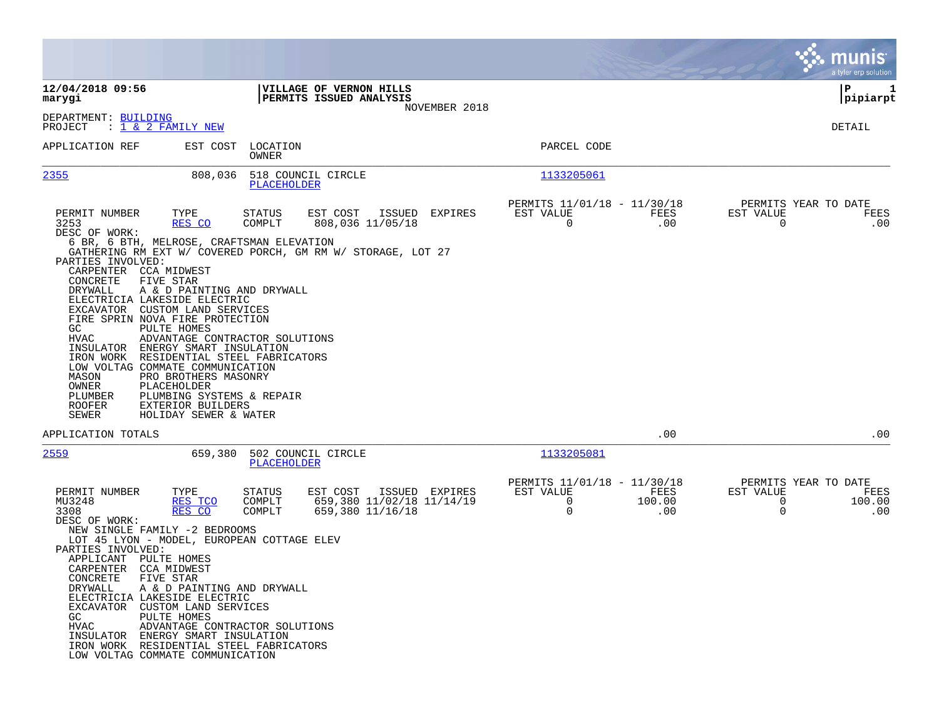|                                                                                                                                                                                                                                                                                                                                                                                                                                                                                                                                                                                                                                                                                                                                                                                  |                                                                             |                                                                                       | munis<br>a tyler erp solution                                                     |
|----------------------------------------------------------------------------------------------------------------------------------------------------------------------------------------------------------------------------------------------------------------------------------------------------------------------------------------------------------------------------------------------------------------------------------------------------------------------------------------------------------------------------------------------------------------------------------------------------------------------------------------------------------------------------------------------------------------------------------------------------------------------------------|-----------------------------------------------------------------------------|---------------------------------------------------------------------------------------|-----------------------------------------------------------------------------------|
| 12/04/2018 09:56<br>marygi                                                                                                                                                                                                                                                                                                                                                                                                                                                                                                                                                                                                                                                                                                                                                       | VILLAGE OF VERNON HILLS<br>PERMITS ISSUED ANALYSIS<br>NOVEMBER 2018         |                                                                                       | ∣P<br>1<br> pipiarpt                                                              |
| DEPARTMENT: BUILDING<br>PROJECT<br>: 1 & 2 FAMILY NEW                                                                                                                                                                                                                                                                                                                                                                                                                                                                                                                                                                                                                                                                                                                            |                                                                             |                                                                                       | DETAIL                                                                            |
| APPLICATION REF<br>EST COST<br>OWNER                                                                                                                                                                                                                                                                                                                                                                                                                                                                                                                                                                                                                                                                                                                                             | LOCATION                                                                    | PARCEL CODE                                                                           |                                                                                   |
| 2355<br>808,036                                                                                                                                                                                                                                                                                                                                                                                                                                                                                                                                                                                                                                                                                                                                                                  | 518 COUNCIL CIRCLE<br>PLACEHOLDER                                           | <u> 1133205061</u>                                                                    |                                                                                   |
| PERMIT NUMBER<br>TYPE<br>STATUS<br>3253<br>RES CO<br>COMPLT<br>DESC OF WORK:<br>6 BR, 6 BTH, MELROSE, CRAFTSMAN ELEVATION<br>GATHERING RM EXT W/ COVERED PORCH, GM RM W/ STORAGE, LOT 27<br>PARTIES INVOLVED:<br>CARPENTER CCA MIDWEST<br>CONCRETE<br>FIVE STAR<br>DRYWALL<br>A & D PAINTING AND DRYWALL<br>ELECTRICIA LAKESIDE ELECTRIC<br>EXCAVATOR CUSTOM LAND SERVICES<br>FIRE SPRIN NOVA FIRE PROTECTION<br>GC.<br>PULTE HOMES<br>HVAC<br>ADVANTAGE CONTRACTOR SOLUTIONS<br>INSULATOR<br>ENERGY SMART INSULATION<br>RESIDENTIAL STEEL FABRICATORS<br>IRON WORK<br>LOW VOLTAG COMMATE COMMUNICATION<br>MASON<br>PRO BROTHERS MASONRY<br>OWNER<br>PLACEHOLDER<br>PLUMBER<br>PLUMBING SYSTEMS & REPAIR<br><b>ROOFER</b><br>EXTERIOR BUILDERS<br>SEWER<br>HOLIDAY SEWER & WATER | EST COST<br>ISSUED<br>EXPIRES<br>808,036 11/05/18                           | PERMITS 11/01/18 - 11/30/18<br>EST VALUE<br>FEES<br>$\mathbf 0$<br>.00                | PERMITS YEAR TO DATE<br>EST VALUE<br>FEES<br>$\mathbf 0$<br>.00                   |
| APPLICATION TOTALS                                                                                                                                                                                                                                                                                                                                                                                                                                                                                                                                                                                                                                                                                                                                                               |                                                                             | .00                                                                                   | .00                                                                               |
| 2559<br>659,380                                                                                                                                                                                                                                                                                                                                                                                                                                                                                                                                                                                                                                                                                                                                                                  | 502 COUNCIL CIRCLE<br>PLACEHOLDER                                           | 1133205081                                                                            |                                                                                   |
| PERMIT NUMBER<br>TYPE<br>STATUS<br>MU3248<br>RES TCO<br>COMPLT<br>3308<br>RES CO<br>COMPLT<br>DESC OF WORK:<br>NEW SINGLE FAMILY -2 BEDROOMS<br>LOT 45 LYON - MODEL, EUROPEAN COTTAGE ELEV<br>PARTIES INVOLVED:<br>APPLICANT PULTE HOMES<br>CARPENTER<br>CCA MIDWEST<br>CONCRETE<br>FIVE STAR<br>DRYWALL<br>A & D PAINTING AND DRYWALL<br>ELECTRICIA LAKESIDE ELECTRIC<br>EXCAVATOR CUSTOM LAND SERVICES<br>PULTE HOMES<br>GC.<br>ADVANTAGE CONTRACTOR SOLUTIONS<br>HVAC<br>INSULATOR ENERGY SMART INSULATION<br>IRON WORK RESIDENTIAL STEEL FABRICATORS<br>LOW VOLTAG COMMATE COMMUNICATION                                                                                                                                                                                     | EST COST<br>ISSUED EXPIRES<br>659,380 11/02/18 11/14/19<br>659,380 11/16/18 | PERMITS 11/01/18 - 11/30/18<br>EST VALUE<br>FEES<br>$\mathbf 0$<br>100.00<br>0<br>.00 | PERMITS YEAR TO DATE<br>EST VALUE<br>FEES<br>$\overline{0}$<br>100.00<br>0<br>.00 |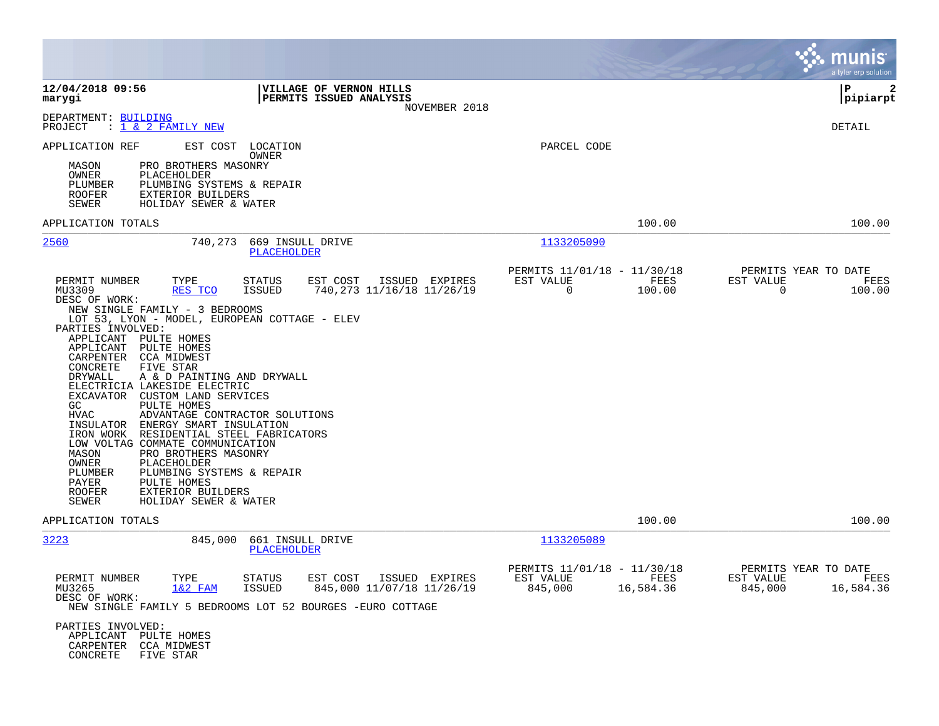|                                                                                                                                                                                                                                                                                                                                                                                                                                                                                                                                                                                                                                                                                                                                                                                                                                                                                           |                                                                          | munis<br>a tyler erp solution                                     |
|-------------------------------------------------------------------------------------------------------------------------------------------------------------------------------------------------------------------------------------------------------------------------------------------------------------------------------------------------------------------------------------------------------------------------------------------------------------------------------------------------------------------------------------------------------------------------------------------------------------------------------------------------------------------------------------------------------------------------------------------------------------------------------------------------------------------------------------------------------------------------------------------|--------------------------------------------------------------------------|-------------------------------------------------------------------|
| 12/04/2018 09:56<br><b>VILLAGE OF VERNON HILLS</b><br>marygi<br>PERMITS ISSUED ANALYSIS<br>NOVEMBER 2018                                                                                                                                                                                                                                                                                                                                                                                                                                                                                                                                                                                                                                                                                                                                                                                  |                                                                          | lР<br>$\mathbf{2}$<br> pipiarpt                                   |
| DEPARTMENT: BUILDING<br><u>: 1 &amp; 2 FAMILY NEW</u><br>PROJECT                                                                                                                                                                                                                                                                                                                                                                                                                                                                                                                                                                                                                                                                                                                                                                                                                          |                                                                          | DETAIL                                                            |
| APPLICATION REF<br>EST COST<br>LOCATION<br>OWNER<br>MASON<br>PRO BROTHERS MASONRY<br>OWNER<br>PLACEHOLDER<br>PLUMBING SYSTEMS & REPAIR<br>PLUMBER<br>EXTERIOR BUILDERS<br><b>ROOFER</b><br>HOLIDAY SEWER & WATER<br>SEWER                                                                                                                                                                                                                                                                                                                                                                                                                                                                                                                                                                                                                                                                 | PARCEL CODE                                                              |                                                                   |
| APPLICATION TOTALS                                                                                                                                                                                                                                                                                                                                                                                                                                                                                                                                                                                                                                                                                                                                                                                                                                                                        | 100.00                                                                   | 100.00                                                            |
| 2560<br>740,273<br>669 INSULL DRIVE<br><b>PLACEHOLDER</b>                                                                                                                                                                                                                                                                                                                                                                                                                                                                                                                                                                                                                                                                                                                                                                                                                                 | 1133205090                                                               |                                                                   |
| PERMIT NUMBER<br>TYPE<br><b>STATUS</b><br>EST COST<br>ISSUED EXPIRES<br>MU3309<br>RES TCO<br><b>ISSUED</b><br>740, 273 11/16/18 11/26/19<br>DESC OF WORK:<br>NEW SINGLE FAMILY - 3 BEDROOMS<br>LOT 53, LYON - MODEL, EUROPEAN COTTAGE - ELEV<br>PARTIES INVOLVED:<br>APPLICANT PULTE HOMES<br>PULTE HOMES<br>APPLICANT<br>CARPENTER<br>CCA MIDWEST<br>CONCRETE<br>FIVE STAR<br>DRYWALL<br>A & D PAINTING AND DRYWALL<br>ELECTRICIA LAKESIDE ELECTRIC<br>EXCAVATOR CUSTOM LAND SERVICES<br>PULTE HOMES<br>GC.<br><b>HVAC</b><br>ADVANTAGE CONTRACTOR SOLUTIONS<br>INSULATOR ENERGY SMART INSULATION<br>IRON WORK RESIDENTIAL STEEL FABRICATORS<br>LOW VOLTAG COMMATE COMMUNICATION<br>PRO BROTHERS MASONRY<br>MASON<br>PLACEHOLDER<br>OWNER<br>PLUMBING SYSTEMS & REPAIR<br>PLUMBER<br>PULTE HOMES<br>PAYER<br>EXTERIOR BUILDERS<br><b>ROOFER</b><br><b>SEWER</b><br>HOLIDAY SEWER & WATER | PERMITS 11/01/18 - 11/30/18<br>EST VALUE<br>FEES<br>$\Omega$<br>100.00   | PERMITS YEAR TO DATE<br>EST VALUE<br>FEES<br>$\Omega$<br>100.00   |
| APPLICATION TOTALS                                                                                                                                                                                                                                                                                                                                                                                                                                                                                                                                                                                                                                                                                                                                                                                                                                                                        | 100.00                                                                   | 100.00                                                            |
| 3223<br>845,000<br>661 INSULL DRIVE<br>PLACEHOLDER                                                                                                                                                                                                                                                                                                                                                                                                                                                                                                                                                                                                                                                                                                                                                                                                                                        | 1133205089                                                               |                                                                   |
| PERMIT NUMBER<br>TYPE<br><b>STATUS</b><br>EST COST<br>ISSUED EXPIRES<br>$1&2$ FAM<br>845,000 11/07/18 11/26/19<br>MU3265<br><b>ISSUED</b><br>DESC OF WORK:<br>NEW SINGLE FAMILY 5 BEDROOMS LOT 52 BOURGES -EURO COTTAGE<br>PARTIES INVOLVED:<br>APPLICANT PULTE HOMES<br>CARPENTER<br><b>CCA MIDWEST</b><br>CONCRETE<br>FIVE STAR                                                                                                                                                                                                                                                                                                                                                                                                                                                                                                                                                         | PERMITS 11/01/18 - 11/30/18<br>EST VALUE<br>FEES<br>845,000<br>16,584.36 | PERMITS YEAR TO DATE<br>EST VALUE<br>FEES<br>845,000<br>16,584.36 |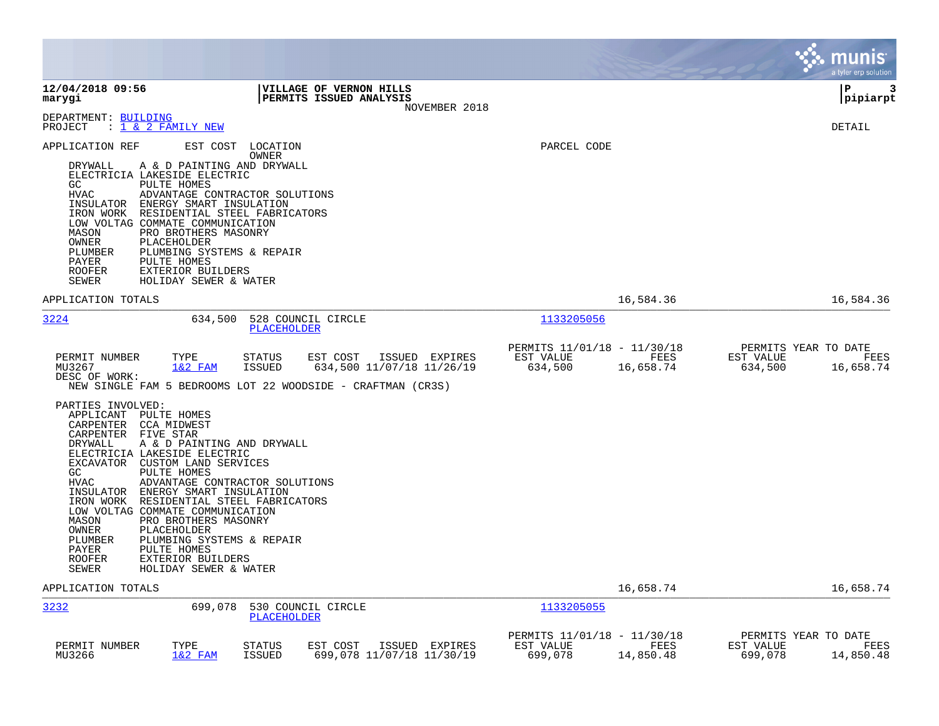|                                                                                                                                                                                                                                                                                                                                                                                                                                                                                                                                                                                                                                                            |                                                                                                                                                          |                                                     |                   |                                              | <b>munis</b><br>a tyler erp solution |
|------------------------------------------------------------------------------------------------------------------------------------------------------------------------------------------------------------------------------------------------------------------------------------------------------------------------------------------------------------------------------------------------------------------------------------------------------------------------------------------------------------------------------------------------------------------------------------------------------------------------------------------------------------|----------------------------------------------------------------------------------------------------------------------------------------------------------|-----------------------------------------------------|-------------------|----------------------------------------------|--------------------------------------|
| 12/04/2018 09:56<br>marygi                                                                                                                                                                                                                                                                                                                                                                                                                                                                                                                                                                                                                                 | VILLAGE OF VERNON HILLS<br>PERMITS ISSUED ANALYSIS<br>NOVEMBER 2018                                                                                      |                                                     |                   |                                              | ∣P<br>3<br> pipiarpt                 |
| DEPARTMENT: BUILDING<br>: 1 & 2 FAMILY NEW<br>PROJECT                                                                                                                                                                                                                                                                                                                                                                                                                                                                                                                                                                                                      |                                                                                                                                                          |                                                     |                   |                                              | DETAIL                               |
| EST COST<br>APPLICATION REF<br>DRYWALL<br>A & D PAINTING AND DRYWALL<br>ELECTRICIA LAKESIDE ELECTRIC<br>GC<br>PULTE HOMES<br><b>HVAC</b><br>ADVANTAGE CONTRACTOR SOLUTIONS<br>INSULATOR ENERGY SMART INSULATION<br>IRON WORK RESIDENTIAL STEEL FABRICATORS<br>LOW VOLTAG COMMATE COMMUNICATION<br>MASON<br>PRO BROTHERS MASONRY<br>OWNER<br>PLACEHOLDER<br>PLUMBER<br>PLUMBING SYSTEMS & REPAIR<br>PAYER<br>PULTE HOMES<br><b>ROOFER</b><br>EXTERIOR BUILDERS<br>HOLIDAY SEWER & WATER<br>SEWER                                                                                                                                                            | LOCATION<br>OWNER                                                                                                                                        | PARCEL CODE                                         |                   |                                              |                                      |
| APPLICATION TOTALS                                                                                                                                                                                                                                                                                                                                                                                                                                                                                                                                                                                                                                         |                                                                                                                                                          |                                                     | 16,584.36         |                                              | 16,584.36                            |
| 3224<br>634,500                                                                                                                                                                                                                                                                                                                                                                                                                                                                                                                                                                                                                                            | 528 COUNCIL CIRCLE<br><b>PLACEHOLDER</b>                                                                                                                 | 1133205056                                          |                   |                                              |                                      |
| TYPE<br>PERMIT NUMBER<br>$1&2$ FAM<br>MU3267<br>DESC OF WORK:<br>PARTIES INVOLVED:<br>APPLICANT PULTE HOMES<br>CARPENTER CCA MIDWEST<br>CARPENTER FIVE STAR<br>DRYWALL<br>A & D PAINTING AND DRYWALL<br>ELECTRICIA LAKESIDE ELECTRIC<br>EXCAVATOR CUSTOM LAND SERVICES<br>GC<br>PULTE HOMES<br><b>HVAC</b><br>ADVANTAGE CONTRACTOR SOLUTIONS<br>INSULATOR ENERGY SMART INSULATION<br>IRON WORK RESIDENTIAL STEEL FABRICATORS<br>LOW VOLTAG COMMATE COMMUNICATION<br>PRO BROTHERS MASONRY<br>MASON<br>OWNER<br>PLACEHOLDER<br>PLUMBER<br>PLUMBING SYSTEMS & REPAIR<br>PULTE HOMES<br>PAYER<br>ROOFER<br>EXTERIOR BUILDERS<br>SEWER<br>HOLIDAY SEWER & WATER | <b>STATUS</b><br>EST COST<br>ISSUED EXPIRES<br><b>ISSUED</b><br>634,500 11/07/18 11/26/19<br>NEW SINGLE FAM 5 BEDROOMS LOT 22 WOODSIDE - CRAFTMAN (CR3S) | PERMITS 11/01/18 - 11/30/18<br>EST VALUE<br>634,500 | FEES<br>16,658.74 | PERMITS YEAR TO DATE<br>EST VALUE<br>634,500 | FEES<br>16,658.74                    |
| APPLICATION TOTALS                                                                                                                                                                                                                                                                                                                                                                                                                                                                                                                                                                                                                                         |                                                                                                                                                          |                                                     | 16,658.74         |                                              | 16,658.74                            |
| 3232<br>699,078                                                                                                                                                                                                                                                                                                                                                                                                                                                                                                                                                                                                                                            | 530 COUNCIL CIRCLE<br>PLACEHOLDER                                                                                                                        | 1133205055                                          |                   |                                              |                                      |
| PERMIT NUMBER<br>TYPE<br>MU3266<br>$1&2$ FAM                                                                                                                                                                                                                                                                                                                                                                                                                                                                                                                                                                                                               | <b>STATUS</b><br>EST COST<br>ISSUED EXPIRES<br><b>ISSUED</b><br>699,078 11/07/18 11/30/19                                                                | PERMITS 11/01/18 - 11/30/18<br>EST VALUE<br>699,078 | FEES<br>14,850.48 | PERMITS YEAR TO DATE<br>EST VALUE<br>699,078 | FEES<br>14,850.48                    |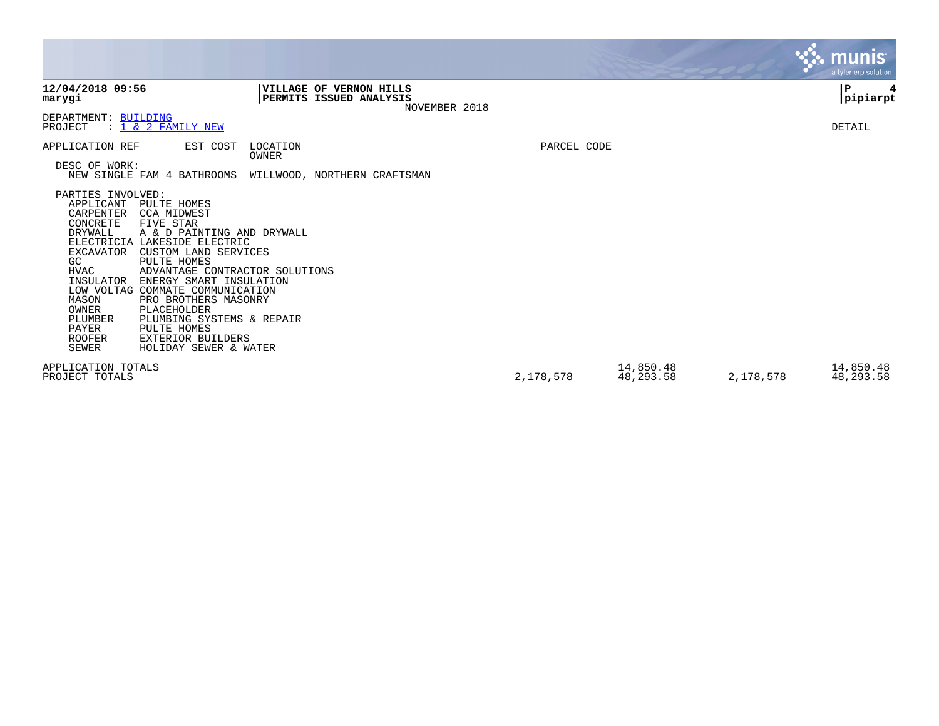|                                                                                                                                                                                                        |                                                                                                                                                                                                                                                                                                                                                                                              |                   |                                                                     |             |                        |           | <b>munis</b><br>a tyler erp solution |
|--------------------------------------------------------------------------------------------------------------------------------------------------------------------------------------------------------|----------------------------------------------------------------------------------------------------------------------------------------------------------------------------------------------------------------------------------------------------------------------------------------------------------------------------------------------------------------------------------------------|-------------------|---------------------------------------------------------------------|-------------|------------------------|-----------|--------------------------------------|
| 12/04/2018 09:56<br>marygi                                                                                                                                                                             |                                                                                                                                                                                                                                                                                                                                                                                              |                   | VILLAGE OF VERNON HILLS<br>PERMITS ISSUED ANALYSIS<br>NOVEMBER 2018 |             |                        |           | $\mathbf P$<br> pipiarpt             |
| DEPARTMENT: BUILDING<br>PROJECT                                                                                                                                                                        | : 1 & 2 FAMILY NEW                                                                                                                                                                                                                                                                                                                                                                           |                   |                                                                     |             |                        |           | DETAIL                               |
| APPLICATION REF                                                                                                                                                                                        | EST COST                                                                                                                                                                                                                                                                                                                                                                                     | LOCATION<br>OWNER |                                                                     | PARCEL CODE |                        |           |                                      |
| DESC OF WORK:                                                                                                                                                                                          | NEW SINGLE FAM 4 BATHROOMS                                                                                                                                                                                                                                                                                                                                                                   |                   | WILLWOOD, NORTHERN CRAFTSMAN                                        |             |                        |           |                                      |
| PARTIES INVOLVED:<br>APPLICANT<br>CARPENTER<br>CONCRETE<br>DRYWALL<br><b>EXCAVATOR</b><br><b>GC</b><br><b>HVAC</b><br>INSULATOR<br>MASON<br>OWNER<br>PLUMBER<br>PAYER<br><b>ROOFER</b><br><b>SEWER</b> | PULTE HOMES<br><b>CCA MIDWEST</b><br>FIVE STAR<br>A & D PAINTING AND DRYWALL<br>ELECTRICIA LAKESIDE ELECTRIC<br>CUSTOM LAND SERVICES<br>PULTE HOMES<br>ADVANTAGE CONTRACTOR SOLUTIONS<br>ENERGY SMART INSULATION<br>LOW VOLTAG COMMATE COMMUNICATION<br>PRO BROTHERS MASONRY<br>PLACEHOLDER<br>PLUMBING SYSTEMS & REPAIR<br>PULTE HOMES<br><b>EXTERIOR BUILDERS</b><br>HOLIDAY SEWER & WATER |                   |                                                                     |             |                        |           |                                      |
| APPLICATION TOTALS<br>PROJECT TOTALS                                                                                                                                                                   |                                                                                                                                                                                                                                                                                                                                                                                              |                   |                                                                     | 2,178,578   | 14,850.48<br>48,293.58 | 2,178,578 | 14,850.48<br>48,293.58               |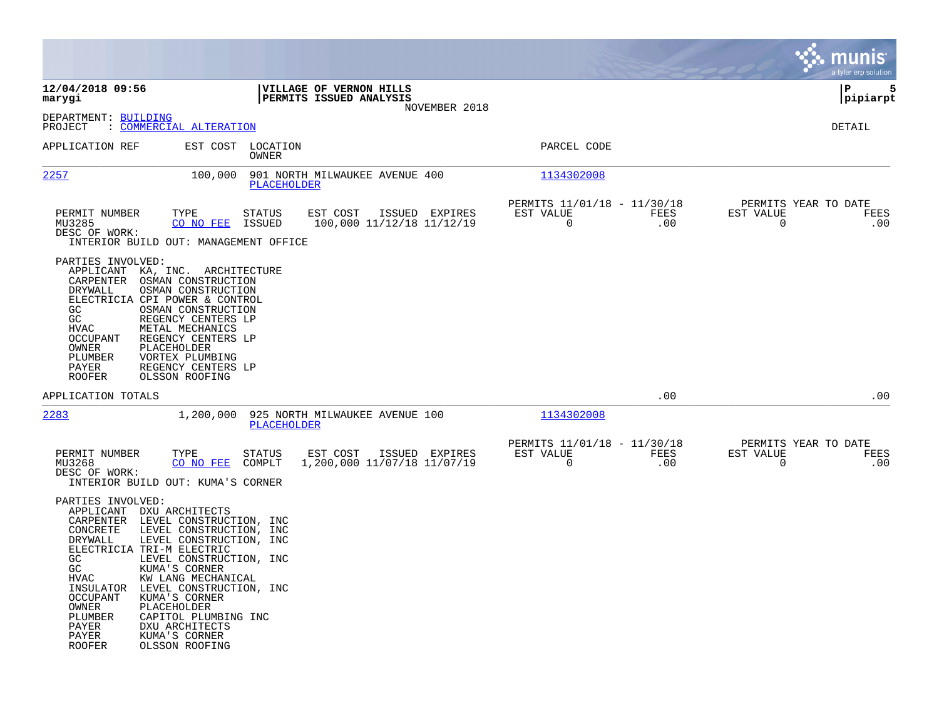|                                                                                                                                                                                                                                                                                                                                                                                                                                                                                                                                 |                                                                                      |                                                                        | munis<br>a tyler erp solution                                   |
|---------------------------------------------------------------------------------------------------------------------------------------------------------------------------------------------------------------------------------------------------------------------------------------------------------------------------------------------------------------------------------------------------------------------------------------------------------------------------------------------------------------------------------|--------------------------------------------------------------------------------------|------------------------------------------------------------------------|-----------------------------------------------------------------|
| 12/04/2018 09:56<br>marygi                                                                                                                                                                                                                                                                                                                                                                                                                                                                                                      | VILLAGE OF VERNON HILLS<br>PERMITS ISSUED ANALYSIS<br>NOVEMBER 2018                  |                                                                        | 5<br>ΙP<br> pipiarpt                                            |
| DEPARTMENT: BUILDING<br>: COMMERCIAL ALTERATION<br>PROJECT                                                                                                                                                                                                                                                                                                                                                                                                                                                                      |                                                                                      |                                                                        | DETAIL                                                          |
| APPLICATION REF                                                                                                                                                                                                                                                                                                                                                                                                                                                                                                                 | EST COST LOCATION<br>OWNER                                                           | PARCEL CODE                                                            |                                                                 |
| 2257<br>100,000                                                                                                                                                                                                                                                                                                                                                                                                                                                                                                                 | 901 NORTH MILWAUKEE AVENUE 400<br>PLACEHOLDER                                        | 1134302008                                                             |                                                                 |
| TYPE<br>PERMIT NUMBER<br>MU3285<br>CO NO FEE<br>DESC OF WORK:<br>INTERIOR BUILD OUT: MANAGEMENT OFFICE                                                                                                                                                                                                                                                                                                                                                                                                                          | ISSUED EXPIRES<br><b>STATUS</b><br>EST COST<br>100,000 11/12/18 11/12/19<br>ISSUED   | PERMITS 11/01/18 - 11/30/18<br>EST VALUE<br>FEES<br>$\mathbf 0$<br>.00 | PERMITS YEAR TO DATE<br>EST VALUE<br>FEES<br>$\mathbf 0$<br>.00 |
| PARTIES INVOLVED:<br>KA, INC. ARCHITECTURE<br>APPLICANT<br>CARPENTER<br>OSMAN CONSTRUCTION<br>OSMAN CONSTRUCTION<br>DRYWALL<br>ELECTRICIA CPI POWER & CONTROL<br>GC<br>OSMAN CONSTRUCTION<br><b>GC</b><br>REGENCY CENTERS LP<br><b>HVAC</b><br>METAL MECHANICS<br>OCCUPANT<br>REGENCY CENTERS LP<br><b>PLACEHOLDER</b><br>OWNER<br>PLUMBER<br>VORTEX PLUMBING<br>REGENCY CENTERS LP<br>PAYER<br>OLSSON ROOFING<br><b>ROOFER</b>                                                                                                 |                                                                                      |                                                                        |                                                                 |
| APPLICATION TOTALS                                                                                                                                                                                                                                                                                                                                                                                                                                                                                                              |                                                                                      | .00                                                                    | .00                                                             |
| 2283<br>1,200,000                                                                                                                                                                                                                                                                                                                                                                                                                                                                                                               | 925 NORTH MILWAUKEE AVENUE 100<br><b>PLACEHOLDER</b>                                 | 1134302008                                                             |                                                                 |
| PERMIT NUMBER<br>TYPE<br>MU3268<br>CO NO FEE<br>DESC OF WORK:<br>INTERIOR BUILD OUT: KUMA'S CORNER                                                                                                                                                                                                                                                                                                                                                                                                                              | <b>STATUS</b><br>EST COST<br>ISSUED EXPIRES<br>1,200,000 11/07/18 11/07/19<br>COMPLT | PERMITS 11/01/18 - 11/30/18<br>EST VALUE<br>FEES<br>$\mathbf 0$<br>.00 | PERMITS YEAR TO DATE<br>EST VALUE<br>FEES<br>$\Omega$<br>.00    |
| PARTIES INVOLVED:<br>APPLICANT<br>DXU ARCHITECTS<br>CARPENTER<br>LEVEL CONSTRUCTION, INC<br>CONCRETE<br>LEVEL CONSTRUCTION, INC<br>LEVEL CONSTRUCTION, INC<br>DRYWALL<br>ELECTRICIA TRI-M ELECTRIC<br>GC.<br>LEVEL CONSTRUCTION, INC<br>GC<br>KUMA'S CORNER<br><b>HVAC</b><br>KW LANG MECHANICAL<br>INSULATOR<br>LEVEL CONSTRUCTION, INC<br><b>OCCUPANT</b><br>KUMA'S CORNER<br>PLACEHOLDER<br>OWNER<br>PLUMBER<br>CAPITOL PLUMBING INC<br>PAYER<br>DXU ARCHITECTS<br>KUMA'S CORNER<br>PAYER<br><b>ROOFER</b><br>OLSSON ROOFING |                                                                                      |                                                                        |                                                                 |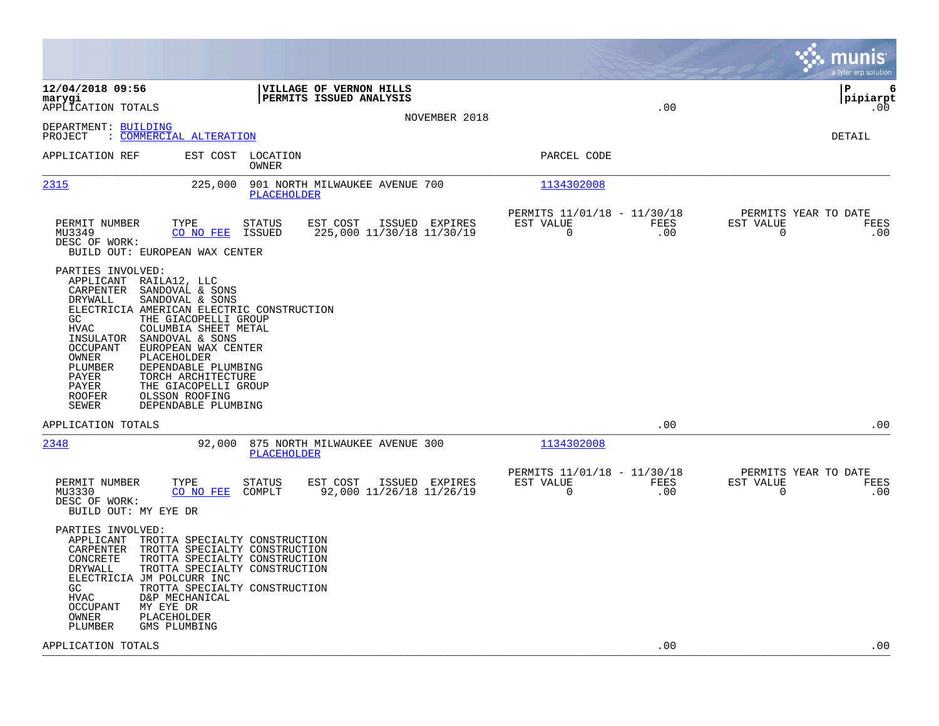|                                                                                                                                                                                                                                                                                                                                                                                                                                                                                                    |                                                                               | munis<br>a tyler erp solution                                   |
|----------------------------------------------------------------------------------------------------------------------------------------------------------------------------------------------------------------------------------------------------------------------------------------------------------------------------------------------------------------------------------------------------------------------------------------------------------------------------------------------------|-------------------------------------------------------------------------------|-----------------------------------------------------------------|
| 12/04/2018 09:56<br>VILLAGE OF VERNON HILLS<br>PERMITS ISSUED ANALYSIS<br>marygi<br>APPLICATION TOTALS                                                                                                                                                                                                                                                                                                                                                                                             | .00                                                                           | lР<br>6<br> pipiarpt<br>.00                                     |
| NOVEMBER 2018<br>DEPARTMENT: BUILDING<br>: COMMERCIAL ALTERATION<br>PROJECT                                                                                                                                                                                                                                                                                                                                                                                                                        |                                                                               | DETAIL                                                          |
| LOCATION<br>APPLICATION REF<br>EST COST<br>OWNER                                                                                                                                                                                                                                                                                                                                                                                                                                                   | PARCEL CODE                                                                   |                                                                 |
| 2315<br>225,000<br>901 NORTH MILWAUKEE AVENUE 700<br>PLACEHOLDER                                                                                                                                                                                                                                                                                                                                                                                                                                   | 1134302008                                                                    |                                                                 |
| EST COST<br>PERMIT NUMBER<br>TYPE<br>STATUS<br>ISSUED EXPIRES<br>225,000 11/30/18 11/30/19<br>MU3349<br>CO NO FEE<br>ISSUED<br>DESC OF WORK:<br>BUILD OUT: EUROPEAN WAX CENTER                                                                                                                                                                                                                                                                                                                     | PERMITS 11/01/18 - 11/30/18<br>EST VALUE<br><b>FEES</b><br>$\mathbf 0$<br>.00 | PERMITS YEAR TO DATE<br>EST VALUE<br>FEES<br>$\mathbf 0$<br>.00 |
| PARTIES INVOLVED:<br>APPLICANT RAILA12, LLC<br>CARPENTER<br>SANDOVAL & SONS<br>DRYWALL<br>SANDOVAL & SONS<br>ELECTRICIA AMERICAN ELECTRIC CONSTRUCTION<br>GC<br>THE GIACOPELLI GROUP<br><b>HVAC</b><br>COLUMBIA SHEET METAL<br>INSULATOR<br>SANDOVAL & SONS<br><b>OCCUPANT</b><br>EUROPEAN WAX CENTER<br>OWNER<br>PLACEHOLDER<br>PLUMBER<br>DEPENDABLE PLUMBING<br>PAYER<br>TORCH ARCHITECTURE<br>PAYER<br>THE GIACOPELLI GROUP<br><b>ROOFER</b><br>OLSSON ROOFING<br>SEWER<br>DEPENDABLE PLUMBING |                                                                               |                                                                 |
| APPLICATION TOTALS                                                                                                                                                                                                                                                                                                                                                                                                                                                                                 | .00                                                                           | .00                                                             |
| 2348<br>92,000<br>875 NORTH MILWAUKEE AVENUE 300<br>PLACEHOLDER                                                                                                                                                                                                                                                                                                                                                                                                                                    | 1134302008                                                                    |                                                                 |
| TYPE<br>EST COST<br>PERMIT NUMBER<br>STATUS<br>ISSUED EXPIRES<br>MU3330<br>CO NO FEE<br>COMPLT<br>92,000 11/26/18 11/26/19<br>DESC OF WORK:<br>BUILD OUT: MY EYE DR                                                                                                                                                                                                                                                                                                                                | PERMITS 11/01/18 - 11/30/18<br>EST VALUE<br>FEES<br>.00<br>0                  | PERMITS YEAR TO DATE<br>EST VALUE<br>FEES<br>.00<br>$\mathbf 0$ |
| PARTIES INVOLVED:<br>APPLICANT<br>TROTTA SPECIALTY CONSTRUCTION<br>CARPENTER<br>TROTTA SPECIALTY CONSTRUCTION<br>CONCRETE<br>TROTTA SPECIALTY CONSTRUCTION<br>DRYWALL<br>TROTTA SPECIALTY CONSTRUCTION<br>ELECTRICIA JM POLCURR INC<br>TROTTA SPECIALTY CONSTRUCTION<br>GC.<br>HVAC<br>D&P MECHANICAL<br>OCCUPANT<br>MY EYE DR<br>PLACEHOLDER<br>OWNER<br>PLUMBER<br>GMS PLUMBING                                                                                                                  |                                                                               |                                                                 |
| APPLICATION TOTALS                                                                                                                                                                                                                                                                                                                                                                                                                                                                                 | .00                                                                           | .00                                                             |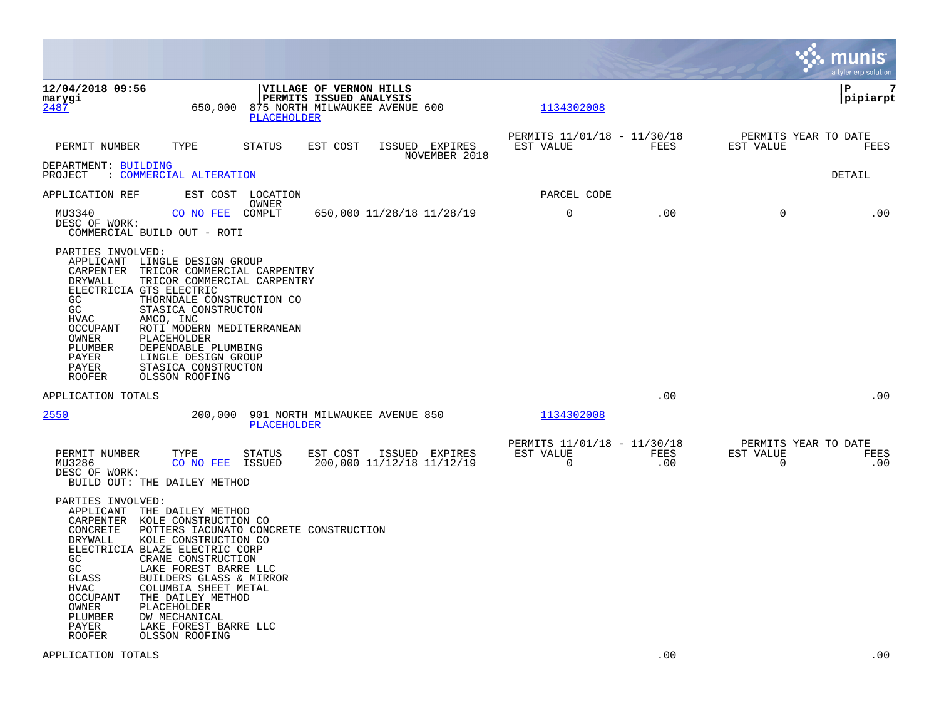|                                                                                                                                                                                                                                                                                                                                                                                                                                                                                           |                                                                                                     |                                 |                                                      |             |                                               | munis<br>a tyler erp solution |
|-------------------------------------------------------------------------------------------------------------------------------------------------------------------------------------------------------------------------------------------------------------------------------------------------------------------------------------------------------------------------------------------------------------------------------------------------------------------------------------------|-----------------------------------------------------------------------------------------------------|---------------------------------|------------------------------------------------------|-------------|-----------------------------------------------|-------------------------------|
| 12/04/2018 09:56<br>marygi<br>2487<br>650,000                                                                                                                                                                                                                                                                                                                                                                                                                                             | VILLAGE OF VERNON HILLS<br>PERMITS ISSUED ANALYSIS<br>875 NORTH MILWAUKEE AVENUE 600<br>PLACEHOLDER |                                 | 1134302008                                           |             |                                               | P<br>7<br> pipiarpt           |
| PERMIT NUMBER<br>TYPE                                                                                                                                                                                                                                                                                                                                                                                                                                                                     | STATUS<br>EST COST                                                                                  | ISSUED EXPIRES<br>NOVEMBER 2018 | PERMITS 11/01/18 - 11/30/18<br>EST VALUE             | FEES        | PERMITS YEAR TO DATE<br>EST VALUE             | FEES                          |
| DEPARTMENT: BUILDING<br>PROJECT<br>: COMMERCIAL ALTERATION                                                                                                                                                                                                                                                                                                                                                                                                                                |                                                                                                     |                                 |                                                      |             |                                               | DETAIL                        |
| APPLICATION REF                                                                                                                                                                                                                                                                                                                                                                                                                                                                           | EST COST LOCATION<br>OWNER                                                                          |                                 | PARCEL CODE                                          |             |                                               |                               |
| MU3340<br>CO NO FEE<br>DESC OF WORK:<br>COMMERCIAL BUILD OUT - ROTI                                                                                                                                                                                                                                                                                                                                                                                                                       | COMPLT                                                                                              | 650,000 11/28/18 11/28/19       | $\mathbf 0$                                          | .00         | $\Omega$                                      | .00                           |
| PARTIES INVOLVED:<br>APPLICANT LINGLE DESIGN GROUP<br>CARPENTER<br>TRICOR COMMERCIAL CARPENTRY<br>DRYWALL<br>TRICOR COMMERCIAL CARPENTRY<br>ELECTRICIA GTS ELECTRIC<br>GC.<br>THORNDALE CONSTRUCTION CO<br>GC<br>STASICA CONSTRUCTON<br>HVAC<br>AMCO, INC<br><b>OCCUPANT</b><br>ROTI MODERN MEDITERRANEAN<br>OWNER<br>PLACEHOLDER<br>PLUMBER<br>DEPENDABLE PLUMBING<br>PAYER<br>LINGLE DESIGN GROUP<br>PAYER<br>STASICA CONSTRUCTON<br>ROOFER<br>OLSSON ROOFING                           |                                                                                                     |                                 |                                                      |             |                                               |                               |
| APPLICATION TOTALS                                                                                                                                                                                                                                                                                                                                                                                                                                                                        |                                                                                                     |                                 |                                                      | .00         |                                               | .00                           |
| 2550<br>200,000                                                                                                                                                                                                                                                                                                                                                                                                                                                                           | 901 NORTH MILWAUKEE AVENUE 850<br><b>PLACEHOLDER</b>                                                |                                 | 1134302008                                           |             |                                               |                               |
| PERMIT NUMBER<br>TYPE<br>MU3286<br>CO NO FEE<br>DESC OF WORK:<br>BUILD OUT: THE DAILEY METHOD                                                                                                                                                                                                                                                                                                                                                                                             | EST COST<br>STATUS<br>ISSUED<br>200,000 11/12/18 11/12/19                                           | ISSUED EXPIRES                  | PERMITS 11/01/18 - 11/30/18<br>EST VALUE<br>$\Omega$ | FEES<br>.00 | PERMITS YEAR TO DATE<br>EST VALUE<br>$\Omega$ | FEES<br>.00                   |
| PARTIES INVOLVED:<br>APPLICANT THE DAILEY METHOD<br>CARPENTER KOLE CONSTRUCTION CO<br>CONCRETE<br>KOLE CONSTRUCTION CO<br>DRYWALL<br>ELECTRICIA BLAZE ELECTRIC CORP<br>GC<br>CRANE CONSTRUCTION<br>GC<br>LAKE FOREST BARRE LLC<br>GLASS<br>BUILDERS GLASS & MIRROR<br><b>HVAC</b><br>COLUMBIA SHEET METAL<br>OCCUPANT<br>THE DAILEY METHOD<br>OWNER<br>PLACEHOLDER<br>PLUMBER<br>DW MECHANICAL<br>PAYER<br>LAKE FOREST BARRE LLC<br>OLSSON ROOFING<br><b>ROOFER</b><br>APPLICATION TOTALS | POTTERS IACUNATO CONCRETE CONSTRUCTION                                                              |                                 |                                                      | .00         |                                               | .00                           |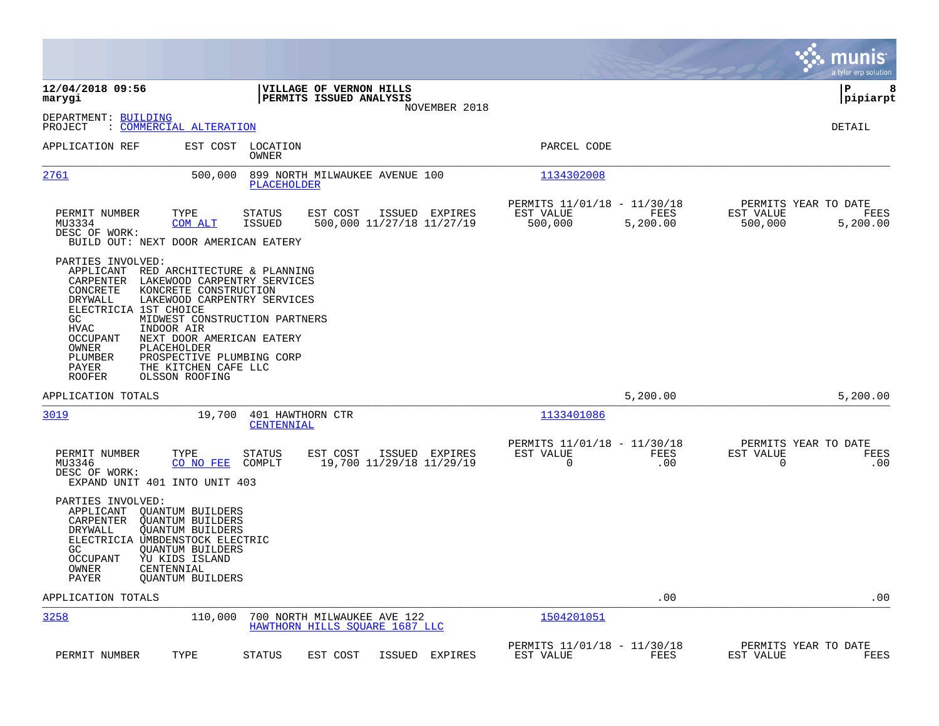|                                                                                                                                                                                                                                                                                                               |                                                                                                                                                       |                                                                         | munis<br>a tyler erp solution                                    |
|---------------------------------------------------------------------------------------------------------------------------------------------------------------------------------------------------------------------------------------------------------------------------------------------------------------|-------------------------------------------------------------------------------------------------------------------------------------------------------|-------------------------------------------------------------------------|------------------------------------------------------------------|
| 12/04/2018 09:56<br>marygi                                                                                                                                                                                                                                                                                    | VILLAGE OF VERNON HILLS<br>PERMITS ISSUED ANALYSIS<br>NOVEMBER 2018                                                                                   |                                                                         | ΙP<br>8<br> pipiarpt                                             |
| DEPARTMENT: BUILDING<br><u>COMMERCIAL ALTERATION</u><br>PROJECT                                                                                                                                                                                                                                               |                                                                                                                                                       |                                                                         | DETAIL                                                           |
| APPLICATION REF<br>EST COST                                                                                                                                                                                                                                                                                   | LOCATION<br>OWNER                                                                                                                                     | PARCEL CODE                                                             |                                                                  |
| 2761<br>500,000                                                                                                                                                                                                                                                                                               | 899 NORTH MILWAUKEE AVENUE 100<br>PLACEHOLDER                                                                                                         | 1134302008                                                              |                                                                  |
| PERMIT NUMBER<br>TYPE<br>MU3334<br>COM ALT<br>DESC OF WORK:<br>BUILD OUT: NEXT DOOR AMERICAN EATERY                                                                                                                                                                                                           | <b>STATUS</b><br>EST COST<br>ISSUED EXPIRES<br>500,000 11/27/18 11/27/19<br><b>ISSUED</b>                                                             | PERMITS 11/01/18 - 11/30/18<br>EST VALUE<br>FEES<br>500,000<br>5,200.00 | PERMITS YEAR TO DATE<br>EST VALUE<br>FEES<br>500,000<br>5,200.00 |
| PARTIES INVOLVED:<br>APPLICANT RED ARCHITECTURE & PLANNING<br>CARPENTER<br>CONCRETE<br>KONCRETE CONSTRUCTION<br>DRYWALL<br>ELECTRICIA 1ST CHOICE<br>GC<br><b>HVAC</b><br>INDOOR AIR<br><b>OCCUPANT</b><br>OWNER<br>PLACEHOLDER<br>PLUMBER<br>PAYER<br>THE KITCHEN CAFE LLC<br><b>ROOFER</b><br>OLSSON ROOFING | LAKEWOOD CARPENTRY SERVICES<br>LAKEWOOD CARPENTRY SERVICES<br>MIDWEST CONSTRUCTION PARTNERS<br>NEXT DOOR AMERICAN EATERY<br>PROSPECTIVE PLUMBING CORP |                                                                         |                                                                  |
| APPLICATION TOTALS                                                                                                                                                                                                                                                                                            |                                                                                                                                                       | 5,200.00                                                                | 5,200.00                                                         |
| <u>3019</u>                                                                                                                                                                                                                                                                                                   | 19,700<br>401 HAWTHORN CTR<br>CENTENNIAL                                                                                                              | 1133401086                                                              |                                                                  |
| PERMIT NUMBER<br>TYPE<br>MU3346<br>CO NO FEE<br>DESC OF WORK:<br>EXPAND UNIT 401 INTO UNIT 403                                                                                                                                                                                                                | ISSUED EXPIRES<br><b>STATUS</b><br>EST COST<br>19,700 11/29/18 11/29/19<br>COMPLT                                                                     | PERMITS 11/01/18 - 11/30/18<br>EST VALUE<br><b>FEES</b><br>0<br>.00     | PERMITS YEAR TO DATE<br>EST VALUE<br>FEES<br>$\mathbf 0$<br>.00  |
| PARTIES INVOLVED:<br>APPLICANT<br>QUANTUM BUILDERS<br>CARPENTER<br><b>QUANTUM BUILDERS</b><br>DRYWALL<br><b>QUANTUM BUILDERS</b><br>ELECTRICIA UMBDENSTOCK ELECTRIC<br>GC<br><b>QUANTUM BUILDERS</b><br>OCCUPANT<br>YU KIDS ISLAND<br>OWNER<br>CENTENNIAL<br>PAYER<br><b>QUANTUM BUILDERS</b>                 |                                                                                                                                                       |                                                                         |                                                                  |
| APPLICATION TOTALS                                                                                                                                                                                                                                                                                            |                                                                                                                                                       | .00                                                                     | .00                                                              |
| 3258<br>110,000                                                                                                                                                                                                                                                                                               | 700 NORTH MILWAUKEE AVE 122<br>HAWTHORN HILLS SOUARE 1687 LLC                                                                                         | 1504201051                                                              |                                                                  |
| PERMIT NUMBER<br>TYPE                                                                                                                                                                                                                                                                                         | <b>STATUS</b><br>EST COST<br>ISSUED<br><b>EXPIRES</b>                                                                                                 | PERMITS 11/01/18 - 11/30/18<br>EST VALUE<br>FEES                        | PERMITS YEAR TO DATE<br><b>FEES</b><br>EST VALUE                 |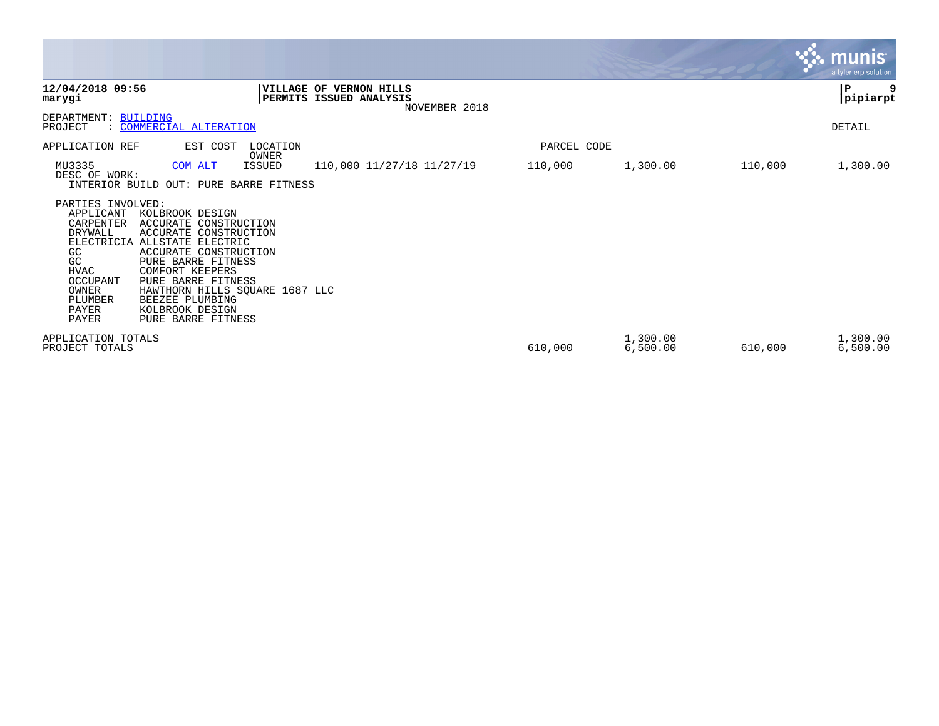|                                                                                                                                                           |                                                                                                                                                                                                                                                                                     |                 |                                                                     |             |                      |         | munis <sup>®</sup><br>a tyler erp solution |
|-----------------------------------------------------------------------------------------------------------------------------------------------------------|-------------------------------------------------------------------------------------------------------------------------------------------------------------------------------------------------------------------------------------------------------------------------------------|-----------------|---------------------------------------------------------------------|-------------|----------------------|---------|--------------------------------------------|
| 12/04/2018 09:56<br>marygi                                                                                                                                |                                                                                                                                                                                                                                                                                     |                 | VILLAGE OF VERNON HILLS<br>PERMITS ISSUED ANALYSIS<br>NOVEMBER 2018 |             |                      |         | 9<br>P<br> pipiarpt                        |
| DEPARTMENT: BUILDING<br>PROJECT                                                                                                                           | : COMMERCIAL ALTERATION                                                                                                                                                                                                                                                             |                 |                                                                     |             |                      |         | DETAIL                                     |
| APPLICATION REF                                                                                                                                           | EST COST                                                                                                                                                                                                                                                                            | LOCATION        |                                                                     | PARCEL CODE |                      |         |                                            |
| MU3335<br>DESC OF WORK:                                                                                                                                   | COM ALT<br>INTERIOR BUILD OUT: PURE BARRE FITNESS                                                                                                                                                                                                                                   | OWNER<br>ISSUED | 110,000 11/27/18 11/27/19                                           | 110,000     | 1,300.00             | 110,000 | 1,300.00                                   |
| PARTIES INVOLVED:<br>APPLICANT<br>CARPENTER<br>DRYWALL<br>ELECTRICIA<br>GC.<br>GC<br><b>HVAC</b><br>OCCUPANT<br>OWNER<br>PLUMBER<br>PAYER<br><b>PAYER</b> | KOLBROOK DESIGN<br>ACCURATE CONSTRUCTION<br>ACCURATE CONSTRUCTION<br>ALLSTATE ELECTRIC<br>ACCURATE CONSTRUCTION<br>PURE BARRE FITNESS<br><b>COMFORT KEEPERS</b><br>PURE BARRE FITNESS<br>HAWTHORN HILLS SQUARE 1687 LLC<br>BEEZEE PLUMBING<br>KOLBROOK DESIGN<br>PURE BARRE FITNESS |                 |                                                                     |             |                      |         |                                            |
| APPLICATION TOTALS<br>PROJECT TOTALS                                                                                                                      |                                                                                                                                                                                                                                                                                     |                 |                                                                     | 610,000     | 1,300.00<br>6,500.00 | 610,000 | 1,300.00<br>6,500.00                       |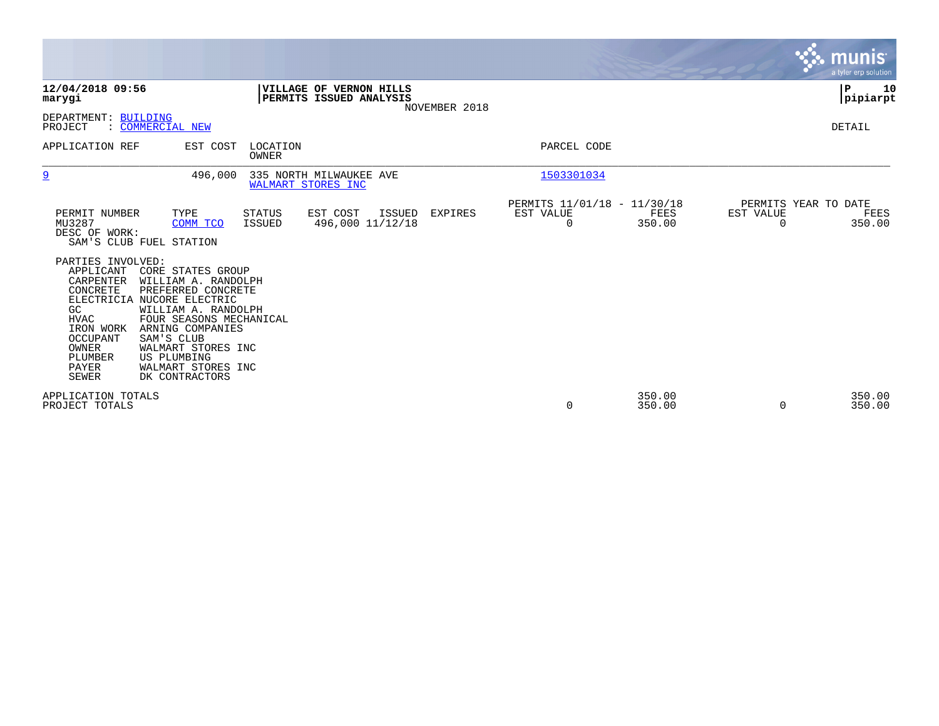|                                                                                                                                                                                  |                           |                                                                                                                                                                                                    |                                |                                                    |               |                                               |                  |                          |                      | munis<br>a tyler erp solution |
|----------------------------------------------------------------------------------------------------------------------------------------------------------------------------------|---------------------------|----------------------------------------------------------------------------------------------------------------------------------------------------------------------------------------------------|--------------------------------|----------------------------------------------------|---------------|-----------------------------------------------|------------------|--------------------------|----------------------|-------------------------------|
| 12/04/2018 09:56<br>marygi                                                                                                                                                       |                           |                                                                                                                                                                                                    |                                | VILLAGE OF VERNON HILLS<br>PERMITS ISSUED ANALYSIS | NOVEMBER 2018 |                                               |                  |                          | ΙP                   | 10<br> pipiarpt               |
| DEPARTMENT: BUILDING<br>PROJECT                                                                                                                                                  | : COMMERCIAL NEW          |                                                                                                                                                                                                    |                                |                                                    |               |                                               |                  |                          | <b>DETAIL</b>        |                               |
| APPLICATION REF                                                                                                                                                                  |                           | EST COST                                                                                                                                                                                           | LOCATION<br>OWNER              |                                                    |               | PARCEL CODE                                   |                  |                          |                      |                               |
| $\overline{9}$                                                                                                                                                                   |                           | 496,000                                                                                                                                                                                            |                                | 335 NORTH MILWAUKEE AVE<br>WALMART STORES INC      |               | 1503301034                                    |                  |                          |                      |                               |
| PERMIT NUMBER<br>MU3287<br>DESC OF WORK:<br>SAM'S CLUB FUEL STATION                                                                                                              |                           | TYPE<br>COMM TCO                                                                                                                                                                                   | <b>STATUS</b><br><b>ISSUED</b> | EST COST<br>ISSUED<br>496,000 11/12/18             | EXPIRES       | PERMITS 11/01/18 - 11/30/18<br>EST VALUE<br>0 | FEES<br>350.00   | EST VALUE<br>$\mathbf 0$ | PERMITS YEAR TO DATE | FEES<br>350.00                |
| PARTIES INVOLVED:<br>APPLICANT<br>CARPENTER<br>CONCRETE<br>ELECTRICIA NUCORE ELECTRIC<br>GC<br><b>HVAC</b><br>IRON WORK<br>OCCUPANT<br>OWNER<br>PLUMBER<br>PAYER<br><b>SEWER</b> | SAM'S CLUB<br>US PLUMBING | CORE STATES GROUP<br>WILLIAM A. RANDOLPH<br>PREFERRED CONCRETE<br>WILLIAM A. RANDOLPH<br>FOUR SEASONS MECHANICAL<br>ARNING COMPANIES<br>WALMART STORES INC<br>WALMART STORES INC<br>DK CONTRACTORS |                                |                                                    |               |                                               |                  |                          |                      |                               |
| APPLICATION TOTALS<br>PROJECT TOTALS                                                                                                                                             |                           |                                                                                                                                                                                                    |                                |                                                    |               | 0                                             | 350.00<br>350.00 | $\Omega$                 |                      | 350.00<br>350.00              |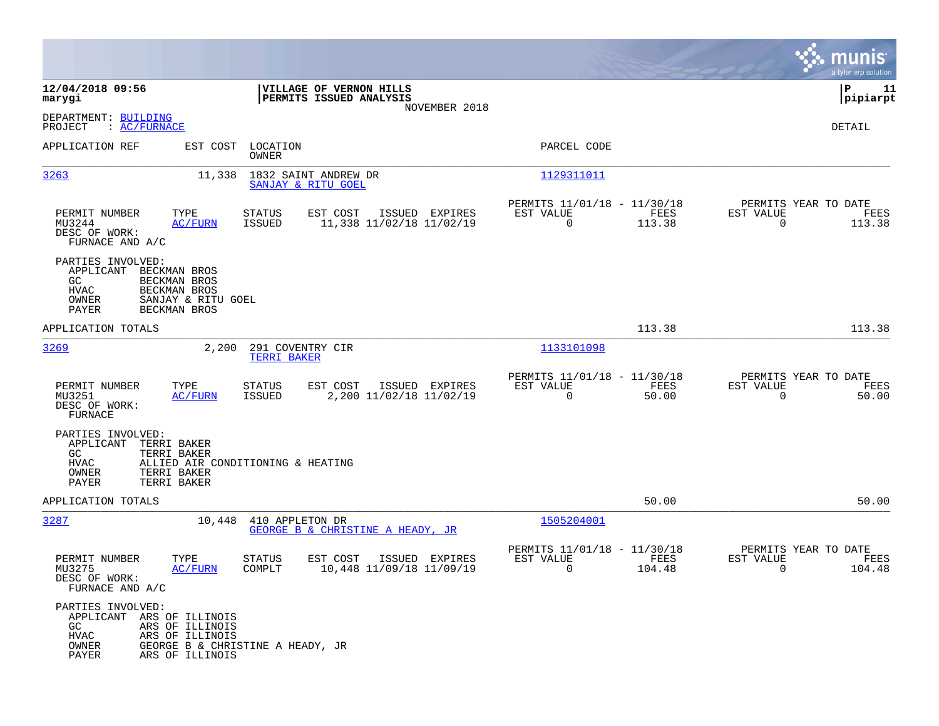|                                                                                                                                                      |                                                                            |                                                                              | munis<br>a tyler erp solution                                      |
|------------------------------------------------------------------------------------------------------------------------------------------------------|----------------------------------------------------------------------------|------------------------------------------------------------------------------|--------------------------------------------------------------------|
| 12/04/2018 09:56<br>marygi                                                                                                                           | VILLAGE OF VERNON HILLS<br>PERMITS ISSUED ANALYSIS                         |                                                                              | P<br>11<br> pipiarpt                                               |
| DEPARTMENT: BUILDING<br>: AC/FURNACE<br>PROJECT                                                                                                      | NOVEMBER 2018                                                              |                                                                              | DETAIL                                                             |
| APPLICATION REF                                                                                                                                      | EST COST LOCATION<br><b>OWNER</b>                                          | PARCEL CODE                                                                  |                                                                    |
| 3263                                                                                                                                                 | 1832 SAINT ANDREW DR<br>11,338<br>SANJAY & RITU GOEL                       | 1129311011                                                                   |                                                                    |
| PERMIT NUMBER<br>TYPE<br>MU3244<br><b>AC/FURN</b><br>DESC OF WORK:<br>FURNACE AND A/C                                                                | STATUS<br>EST COST<br>ISSUED EXPIRES<br>11,338 11/02/18 11/02/19<br>ISSUED | PERMITS 11/01/18 - 11/30/18<br>EST VALUE<br>FEES<br>$\overline{0}$<br>113.38 | PERMITS YEAR TO DATE<br>EST VALUE<br>FEES<br>$\mathbf 0$<br>113.38 |
| PARTIES INVOLVED:<br>APPLICANT<br>BECKMAN BROS<br>GC<br>BECKMAN BROS<br>BECKMAN BROS<br>HVAC<br>OWNER<br>SANJAY & RITU GOEL<br>PAYER<br>BECKMAN BROS |                                                                            |                                                                              |                                                                    |
| APPLICATION TOTALS                                                                                                                                   |                                                                            | 113.38                                                                       | 113.38                                                             |
| 3269                                                                                                                                                 | 2,200<br>291 COVENTRY CIR<br>TERRI BAKER                                   | 1133101098                                                                   |                                                                    |
| TYPE<br>PERMIT NUMBER<br>MU3251<br><b>AC/FURN</b><br>DESC OF WORK:<br><b>FURNACE</b>                                                                 | EST COST<br>ISSUED EXPIRES<br>STATUS<br>2,200 11/02/18 11/02/19<br>ISSUED  | PERMITS 11/01/18 - 11/30/18<br>EST VALUE<br>FEES<br>$\mathbf 0$<br>50.00     | PERMITS YEAR TO DATE<br>EST VALUE<br>FEES<br>$\Omega$<br>50.00     |
| PARTIES INVOLVED:<br>APPLICANT<br>TERRI BAKER<br>GC<br>TERRI BAKER<br>HVAC<br>OWNER<br>TERRI BAKER<br>PAYER<br>TERRI BAKER                           | ALLIED AIR CONDITIONING & HEATING                                          |                                                                              |                                                                    |
| APPLICATION TOTALS                                                                                                                                   |                                                                            | 50.00                                                                        | 50.00                                                              |
| 3287                                                                                                                                                 | 10,448 410 APPLETON DR<br>GEORGE B & CHRISTINE A HEADY, JR                 | 1505204001                                                                   |                                                                    |
| PERMIT NUMBER<br>TYPE<br>MU3275<br><b>AC/FURN</b><br>DESC OF WORK:<br>FURNACE AND A/C                                                                | EST COST<br>ISSUED EXPIRES<br>STATUS<br>10,448 11/09/18 11/09/19<br>COMPLT | PERMITS 11/01/18 - 11/30/18<br>EST VALUE<br>FEES<br>0<br>104.48              | PERMITS YEAR TO DATE<br>EST VALUE<br>FEES<br>0<br>104.48           |
| PARTIES INVOLVED:<br>APPLICANT ARS OF ILLINOIS<br>GC<br>ARS OF ILLINOIS<br>HVAC<br>ARS OF ILLINOIS<br>OWNER<br>PAYER<br>ARS OF ILLINOIS              | GEORGE B & CHRISTINE A HEADY, JR                                           |                                                                              |                                                                    |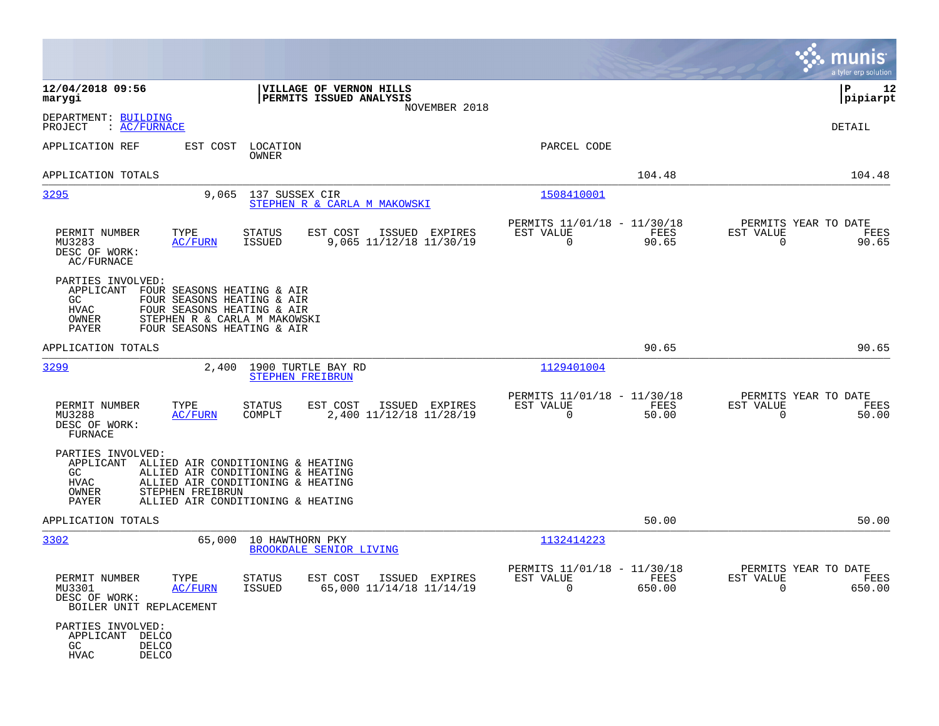|                                                                                                                                                                                                                        |                                                                                                                                                  |                                                                                  | munis<br>a tyler erp solution                                     |
|------------------------------------------------------------------------------------------------------------------------------------------------------------------------------------------------------------------------|--------------------------------------------------------------------------------------------------------------------------------------------------|----------------------------------------------------------------------------------|-------------------------------------------------------------------|
| 12/04/2018 09:56<br>marygi                                                                                                                                                                                             | VILLAGE OF VERNON HILLS<br>PERMITS ISSUED ANALYSIS<br>NOVEMBER 2018                                                                              |                                                                                  | ΙP<br>12<br> pipiarpt                                             |
| DEPARTMENT: BUILDING<br>: AC/FURNACE<br>PROJECT                                                                                                                                                                        |                                                                                                                                                  |                                                                                  | DETAIL                                                            |
| EST COST<br>APPLICATION REF                                                                                                                                                                                            | LOCATION<br>OWNER                                                                                                                                | PARCEL CODE                                                                      |                                                                   |
| APPLICATION TOTALS                                                                                                                                                                                                     |                                                                                                                                                  | 104.48                                                                           | 104.48                                                            |
| 3295<br>9,065                                                                                                                                                                                                          | 137 SUSSEX CIR<br>STEPHEN R & CARLA M MAKOWSKI                                                                                                   | 1508410001                                                                       |                                                                   |
| PERMIT NUMBER<br>TYPE<br>MU3283<br><u>AC/FURN</u><br>DESC OF WORK:<br>AC/FURNACE                                                                                                                                       | EST COST<br>STATUS<br>ISSUED EXPIRES<br>9,065 11/12/18 11/30/19<br>ISSUED                                                                        | PERMITS 11/01/18 - 11/30/18<br>EST VALUE<br>FEES<br>$\mathbf 0$<br>90.65         | PERMITS YEAR TO DATE<br>EST VALUE<br>FEES<br>$\mathbf 0$<br>90.65 |
| PARTIES INVOLVED:<br>APPLICANT<br>FOUR SEASONS HEATING & AIR<br>GC<br>FOUR SEASONS HEATING & AIR<br>HVAC<br>FOUR SEASONS HEATING & AIR<br>OWNER<br>STEPHEN R & CARLA M MAKOWSKI<br>PAYER<br>FOUR SEASONS HEATING & AIR |                                                                                                                                                  |                                                                                  |                                                                   |
| APPLICATION TOTALS                                                                                                                                                                                                     |                                                                                                                                                  | 90.65                                                                            | 90.65                                                             |
| <u>3299</u><br>2,400                                                                                                                                                                                                   | 1900 TURTLE BAY RD<br>STEPHEN FREIBRUN                                                                                                           | 1129401004                                                                       |                                                                   |
| TYPE<br>PERMIT NUMBER<br>MU3288<br>AC/FURN<br>DESC OF WORK:<br><b>FURNACE</b>                                                                                                                                          | STATUS<br>EST COST<br>ISSUED EXPIRES<br>COMPLT<br>2,400 11/12/18 11/28/19                                                                        | PERMITS 11/01/18 - 11/30/18<br>EST VALUE<br>FEES<br>$\mathbf 0$<br>50.00         | PERMITS YEAR TO DATE<br>EST VALUE<br>FEES<br>$\mathbf 0$<br>50.00 |
| PARTIES INVOLVED:<br>APPLICANT<br>GC.<br><b>HVAC</b><br>STEPHEN FREIBRUN<br>OWNER<br>PAYER                                                                                                                             | ALLIED AIR CONDITIONING & HEATING<br>ALLIED AIR CONDITIONING & HEATING<br>ALLIED AIR CONDITIONING & HEATING<br>ALLIED AIR CONDITIONING & HEATING |                                                                                  |                                                                   |
| APPLICATION TOTALS                                                                                                                                                                                                     |                                                                                                                                                  | 50.00                                                                            | 50.00                                                             |
| 3302<br>65,000                                                                                                                                                                                                         | 10 HAWTHORN PKY<br>BROOKDALE SENIOR LIVING                                                                                                       | 1132414223                                                                       |                                                                   |
| TYPE<br>PERMIT NUMBER<br>MU3301<br><b>AC/FURN</b><br>DESC OF WORK:<br>BOILER UNIT REPLACEMENT                                                                                                                          | <b>STATUS</b><br>EST COST<br>ISSUED EXPIRES<br><b>ISSUED</b><br>65,000 11/14/18 11/14/19                                                         | PERMITS 11/01/18 - 11/30/18<br>EST VALUE<br><b>FEES</b><br>$\mathbf 0$<br>650.00 | PERMITS YEAR TO DATE<br>EST VALUE<br>FEES<br>650.00<br>0          |
| PARTIES INVOLVED:<br>APPLICANT<br>DELCO<br>GC<br><b>DELCO</b><br><b>HVAC</b><br><b>DELCO</b>                                                                                                                           |                                                                                                                                                  |                                                                                  |                                                                   |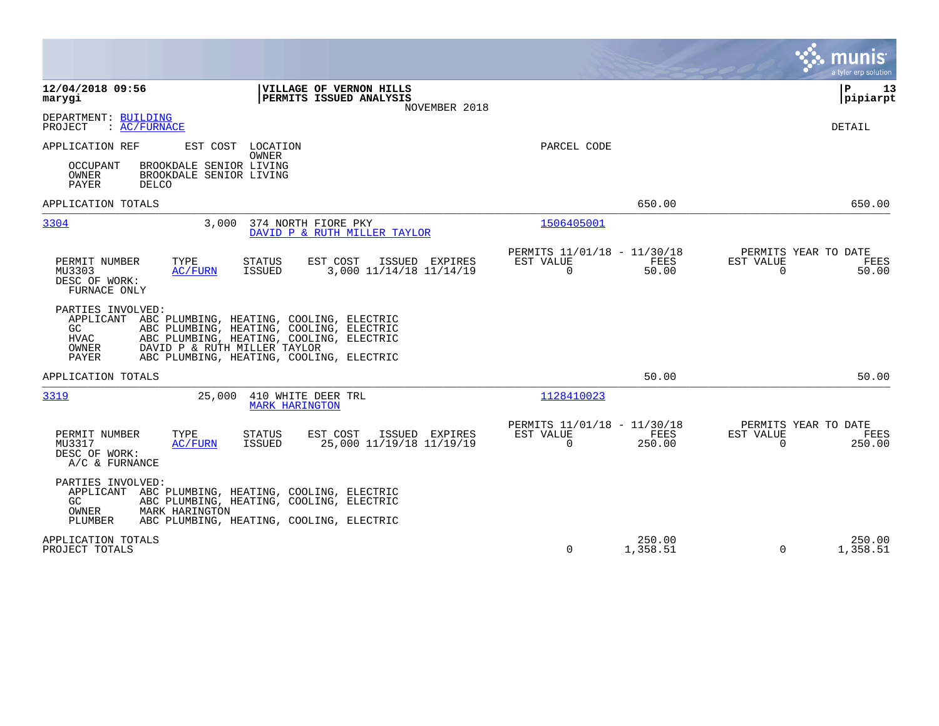|                                                                                                                                                                                                                                                                                 |                                                                          | munis<br>a tyler erp solution                                     |
|---------------------------------------------------------------------------------------------------------------------------------------------------------------------------------------------------------------------------------------------------------------------------------|--------------------------------------------------------------------------|-------------------------------------------------------------------|
| 12/04/2018 09:56<br>VILLAGE OF VERNON HILLS<br>PERMITS ISSUED ANALYSIS<br>marygi<br>NOVEMBER 2018                                                                                                                                                                               |                                                                          | 13<br>l P<br> pipiarpt                                            |
| DEPARTMENT: BUILDING<br>: AC/FURNACE<br>PROJECT                                                                                                                                                                                                                                 |                                                                          | <b>DETAIL</b>                                                     |
| APPLICATION REF<br>EST COST LOCATION<br>OWNER                                                                                                                                                                                                                                   | PARCEL CODE                                                              |                                                                   |
| BROOKDALE SENIOR LIVING<br>OCCUPANT<br>OWNER<br>BROOKDALE SENIOR LIVING<br>PAYER<br>DELCO                                                                                                                                                                                       |                                                                          |                                                                   |
| APPLICATION TOTALS                                                                                                                                                                                                                                                              | 650.00                                                                   | 650.00                                                            |
| 3304<br>3.000<br>374 NORTH FIORE PKY<br>DAVID P & RUTH MILLER TAYLOR                                                                                                                                                                                                            | 1506405001                                                               |                                                                   |
| TYPE<br><b>STATUS</b><br>EST COST<br>ISSUED EXPIRES<br>PERMIT NUMBER<br>3,000 11/14/18 11/14/19<br>MU3303<br><b>AC/FURN</b><br>ISSUED<br>DESC OF WORK:<br>FURNACE ONLY                                                                                                          | PERMITS 11/01/18 - 11/30/18<br>EST VALUE<br>FEES<br>$\mathbf 0$<br>50.00 | PERMITS YEAR TO DATE<br>EST VALUE<br>FEES<br>50.00<br>$\mathbf 0$ |
| PARTIES INVOLVED:<br>APPLICANT<br>ABC PLUMBING, HEATING, COOLING, ELECTRIC<br>GC.<br>ABC PLUMBING, HEATING, COOLING, ELECTRIC<br>HVAC<br>ABC PLUMBING, HEATING, COOLING, ELECTRIC<br>OWNER<br>DAVID P & RUTH MILLER TAYLOR<br>PAYER<br>ABC PLUMBING, HEATING, COOLING, ELECTRIC |                                                                          |                                                                   |
| APPLICATION TOTALS                                                                                                                                                                                                                                                              | 50.00                                                                    | 50.00                                                             |
| 3319<br>25,000<br>410 WHITE DEER TRL<br><b>MARK HARINGTON</b>                                                                                                                                                                                                                   | 1128410023                                                               |                                                                   |
| PERMIT NUMBER<br>EST COST<br>TYPE<br>STATUS<br>ISSUED EXPIRES<br>25,000 11/19/18 11/19/19<br>MU3317<br>ISSUED<br>AC/FURN<br>DESC OF WORK:<br>A/C & FURNANCE                                                                                                                     | PERMITS 11/01/18 - 11/30/18<br>FEES<br>EST VALUE<br>$\Omega$<br>250.00   | PERMITS YEAR TO DATE<br>EST VALUE<br>FEES<br>$\Omega$<br>250.00   |
| PARTIES INVOLVED:<br>APPLICANT<br>ABC PLUMBING, HEATING, COOLING, ELECTRIC<br>GC.<br>ABC PLUMBING, HEATING, COOLING, ELECTRIC<br>OWNER<br>MARK HARINGTON                                                                                                                        |                                                                          |                                                                   |
| PLUMBER<br>ABC PLUMBING, HEATING, COOLING, ELECTRIC                                                                                                                                                                                                                             |                                                                          |                                                                   |
| APPLICATION TOTALS<br>PROJECT TOTALS                                                                                                                                                                                                                                            | 250.00<br>0<br>1,358.51                                                  | 250.00<br>$\Omega$<br>1,358.51                                    |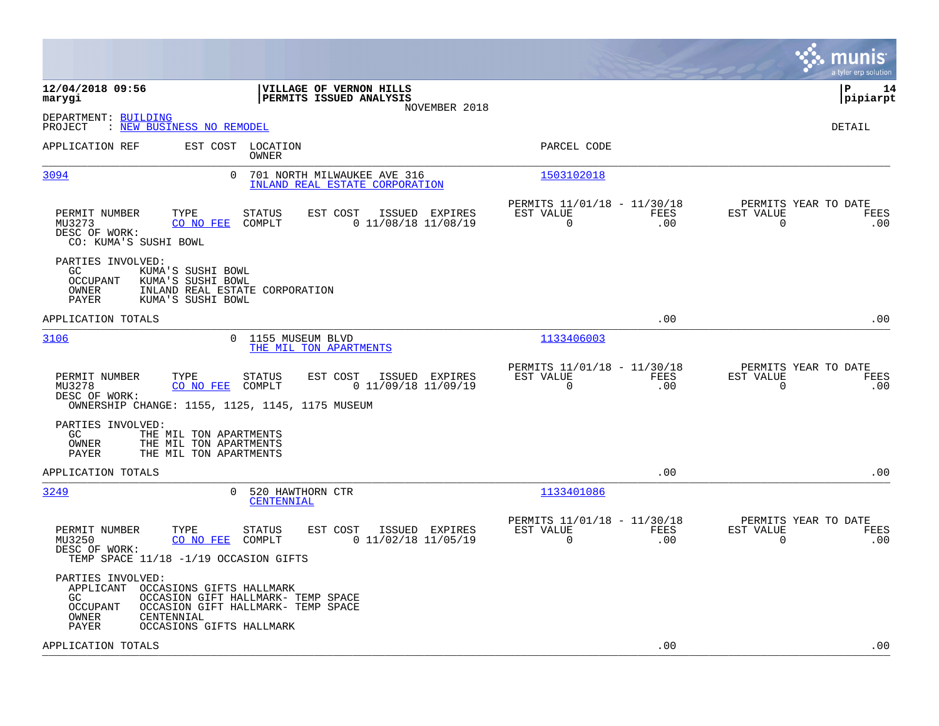|                                                                                                                                                                                                                              |                                                                        | munis<br>a tyler erp solution                                   |
|------------------------------------------------------------------------------------------------------------------------------------------------------------------------------------------------------------------------------|------------------------------------------------------------------------|-----------------------------------------------------------------|
| 12/04/2018 09:56<br><b>VILLAGE OF VERNON HILLS</b><br>PERMITS ISSUED ANALYSIS<br>marygi<br>NOVEMBER 2018                                                                                                                     |                                                                        | l P<br>14<br> pipiarpt                                          |
| DEPARTMENT: BUILDING<br><u>: NEW BUSINESS NO REMODEL</u><br>PROJECT                                                                                                                                                          |                                                                        | <b>DETAIL</b>                                                   |
| APPLICATION REF<br>EST COST<br>LOCATION<br>OWNER                                                                                                                                                                             | PARCEL CODE                                                            |                                                                 |
| 0<br>3094<br>701 NORTH MILWAUKEE AVE 316<br>INLAND REAL ESTATE CORPORATION                                                                                                                                                   | 1503102018                                                             |                                                                 |
| PERMIT NUMBER<br>TYPE<br><b>STATUS</b><br>EST COST<br>ISSUED EXPIRES<br>COMPLT<br>$0$ 11/08/18 11/08/19<br>MU3273<br>CO NO FEE<br>DESC OF WORK:<br>CO: KUMA'S SUSHI BOWL                                                     | PERMITS 11/01/18 - 11/30/18<br>EST VALUE<br>FEES<br>0<br>.00           | PERMITS YEAR TO DATE<br>EST VALUE<br>FEES<br>$\mathbf 0$<br>.00 |
| PARTIES INVOLVED:<br>KUMA'S SUSHI BOWL<br>GC.<br><b>OCCUPANT</b><br>KUMA'S SUSHI BOWL<br>OWNER<br>INLAND REAL ESTATE CORPORATION<br>PAYER<br>KUMA'S SUSHI BOWL                                                               |                                                                        |                                                                 |
| APPLICATION TOTALS                                                                                                                                                                                                           | .00                                                                    | .00                                                             |
| 3106<br>0 1155 MUSEUM BLVD<br>THE MIL TON APARTMENTS                                                                                                                                                                         | 1133406003                                                             |                                                                 |
| PERMIT NUMBER<br>TYPE<br>STATUS<br>EST COST<br>ISSUED EXPIRES<br>MU3278<br>CO NO FEE<br>COMPLT<br>$0$ 11/09/18 11/09/19<br>DESC OF WORK:<br>OWNERSHIP CHANGE: 1155, 1125, 1145, 1175 MUSEUM                                  | PERMITS 11/01/18 - 11/30/18<br>EST VALUE<br>FEES<br>0<br>.00           | PERMITS YEAR TO DATE<br>EST VALUE<br>FEES<br>$\Omega$<br>.00    |
| PARTIES INVOLVED:<br>GC.<br>THE MIL TON APARTMENTS<br>OWNER<br>THE MIL TON APARTMENTS<br>PAYER<br>THE MIL TON APARTMENTS                                                                                                     |                                                                        |                                                                 |
| APPLICATION TOTALS                                                                                                                                                                                                           | .00                                                                    | .00                                                             |
| 3249<br>0<br>520 HAWTHORN CTR<br>CENTENNIAL                                                                                                                                                                                  | 1133401086                                                             |                                                                 |
| TYPE<br><b>STATUS</b><br>EST COST<br>ISSUED EXPIRES<br>PERMIT NUMBER<br>$0$ 11/02/18 11/05/19<br>MU3250<br>CO NO FEE<br>COMPLT<br>DESC OF WORK:<br>TEMP SPACE 11/18 -1/19 OCCASION GIFTS                                     | PERMITS 11/01/18 - 11/30/18<br>EST VALUE<br>FEES<br>$\mathbf 0$<br>.00 | PERMITS YEAR TO DATE<br>EST VALUE<br>FEES<br>$\mathbf 0$<br>.00 |
| PARTIES INVOLVED:<br>APPLICANT<br>OCCASIONS GIFTS HALLMARK<br>GC.<br>OCCASION GIFT HALLMARK- TEMP SPACE<br><b>OCCUPANT</b><br>OCCASION GIFT HALLMARK- TEMP SPACE<br>CENTENNIAL<br>OWNER<br>PAYER<br>OCCASIONS GIFTS HALLMARK |                                                                        |                                                                 |
| APPLICATION TOTALS                                                                                                                                                                                                           | .00                                                                    | .00                                                             |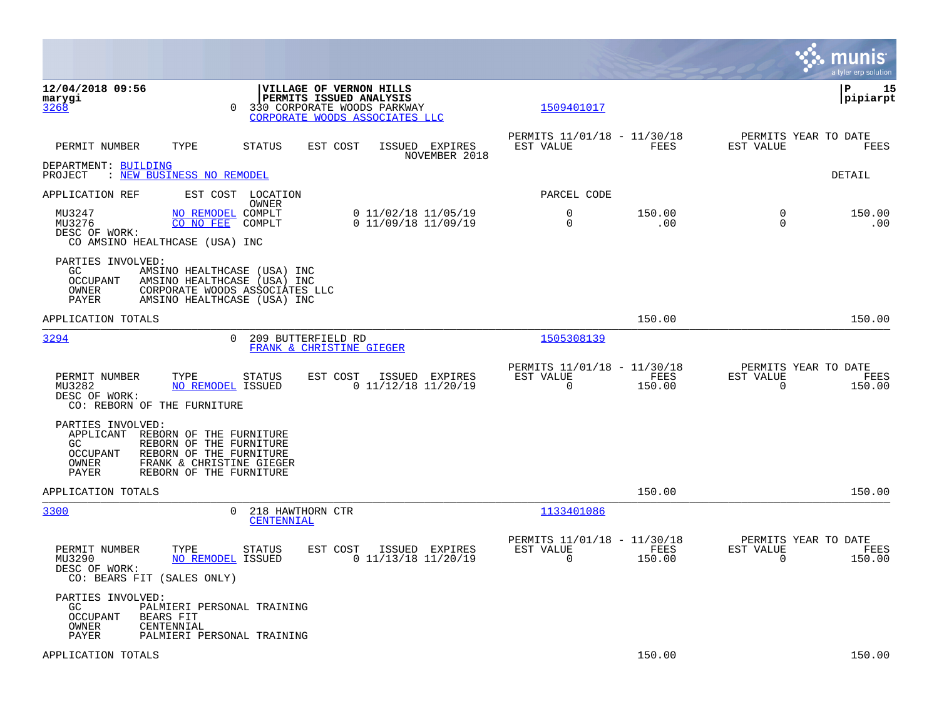|                                                                                                                                                                                                                          |                                              |                                                         |                |                                                  | munis<br>a tyler erp solution |
|--------------------------------------------------------------------------------------------------------------------------------------------------------------------------------------------------------------------------|----------------------------------------------|---------------------------------------------------------|----------------|--------------------------------------------------|-------------------------------|
| 12/04/2018 09:56<br>VILLAGE OF VERNON HILLS<br>PERMITS ISSUED ANALYSIS<br>marygi<br>3268<br>330 CORPORATE WOODS PARKWAY<br>$\Omega$<br>CORPORATE WOODS ASSOCIATES LLC                                                    |                                              | 1509401017                                              |                |                                                  | IΡ<br>15<br> pipiarpt         |
| PERMIT NUMBER<br>TYPE<br><b>STATUS</b><br>EST COST                                                                                                                                                                       | ISSUED EXPIRES<br>NOVEMBER 2018              | PERMITS 11/01/18 - 11/30/18<br>EST VALUE                | FEES           | PERMITS YEAR TO DATE<br>EST VALUE                | FEES                          |
| DEPARTMENT: BUILDING<br>PROJECT<br>: NEW BUSINESS NO REMODEL                                                                                                                                                             |                                              |                                                         |                |                                                  | DETAIL                        |
| EST COST LOCATION<br>APPLICATION REF<br>OWNER                                                                                                                                                                            |                                              | PARCEL CODE                                             |                |                                                  |                               |
| MU3247<br>NO REMODEL COMPLT<br>MU3276<br>CO NO FEE<br>COMPLT<br>DESC OF WORK:<br>CO AMSINO HEALTHCASE (USA) INC                                                                                                          | 0 11/02/18 11/05/19<br>$0$ 11/09/18 11/09/19 | $\Omega$<br>0                                           | 150.00<br>.00  | $\Omega$<br>$\Omega$                             | 150.00<br>.00                 |
| PARTIES INVOLVED:<br>GC.<br>AMSINO HEALTHCASE (USA) INC<br>OCCUPANT<br>AMSINO HEALTHCASE (USA) INC<br>OWNER<br>CORPORATE WOODS ASSOCIATES LLC<br>PAYER<br>AMSINO HEALTHCASE (USA) INC                                    |                                              |                                                         |                |                                                  |                               |
| APPLICATION TOTALS                                                                                                                                                                                                       |                                              |                                                         | 150.00         |                                                  | 150.00                        |
| 3294<br>209 BUTTERFIELD RD<br>$\Omega$<br>FRANK & CHRISTINE GIEGER                                                                                                                                                       |                                              | 1505308139                                              |                |                                                  |                               |
| PERMIT NUMBER<br>TYPE<br><b>STATUS</b><br>EST COST<br>MU3282<br>NO REMODEL ISSUED<br>DESC OF WORK:<br>CO: REBORN OF THE FURNITURE                                                                                        | ISSUED EXPIRES<br>$0$ 11/12/18 11/20/19      | PERMITS 11/01/18 - 11/30/18<br>EST VALUE<br>$\mathbf 0$ | FEES<br>150.00 | PERMITS YEAR TO DATE<br>EST VALUE<br>$\mathbf 0$ | FEES<br>150.00                |
| PARTIES INVOLVED:<br>APPLICANT<br>REBORN OF THE FURNITURE<br>GC<br>REBORN OF THE FURNITURE<br><b>OCCUPANT</b><br>REBORN OF THE FURNITURE<br>OWNER<br>FRANK & CHRISTINE GIEGER<br><b>PAYER</b><br>REBORN OF THE FURNITURE |                                              |                                                         |                |                                                  |                               |
| APPLICATION TOTALS                                                                                                                                                                                                       |                                              |                                                         | 150.00         |                                                  | 150.00                        |
| 3300<br>0<br>218 HAWTHORN CTR<br>CENTENNIAL                                                                                                                                                                              |                                              | 1133401086                                              |                |                                                  |                               |
| PERMIT NUMBER<br>TYPE<br>EST COST<br>STATUS<br>MU3290<br>NO REMODEL ISSUED<br>DESC OF WORK:<br>CO: BEARS FIT (SALES ONLY)                                                                                                | ISSUED EXPIRES<br>$0$ 11/13/18 11/20/19      | PERMITS 11/01/18 - 11/30/18<br>EST VALUE<br>$\mathbf 0$ | FEES<br>150.00 | PERMITS YEAR TO DATE<br>EST VALUE<br>$\mathbf 0$ | FEES<br>150.00                |
| PARTIES INVOLVED:<br>GC.<br>PALMIERI PERSONAL TRAINING<br><b>OCCUPANT</b><br>BEARS FIT<br>OWNER<br>CENTENNIAL<br>PAYER<br>PALMIERI PERSONAL TRAINING                                                                     |                                              |                                                         |                |                                                  |                               |
| APPLICATION TOTALS                                                                                                                                                                                                       |                                              |                                                         | 150.00         |                                                  | 150.00                        |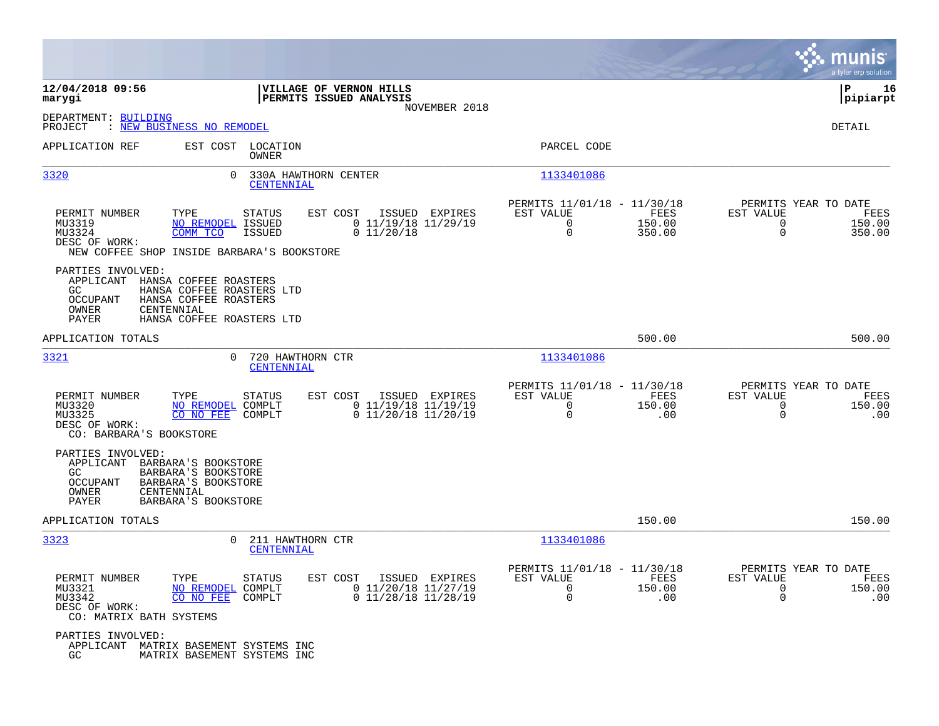|                                                                                  |                                                                                                                          |                                                                      |                |                                                              |                          |                                                       | munis<br>a tyler erp solution |
|----------------------------------------------------------------------------------|--------------------------------------------------------------------------------------------------------------------------|----------------------------------------------------------------------|----------------|--------------------------------------------------------------|--------------------------|-------------------------------------------------------|-------------------------------|
| 12/04/2018 09:56<br>marygi                                                       |                                                                                                                          | VILLAGE OF VERNON HILLS<br>PERMITS ISSUED ANALYSIS                   | NOVEMBER 2018  |                                                              |                          |                                                       | ΙP<br>16<br> pipiarpt         |
| DEPARTMENT: BUILDING<br>PROJECT                                                  | : NEW BUSINESS NO REMODEL                                                                                                |                                                                      |                |                                                              |                          |                                                       | DETAIL                        |
| APPLICATION REF                                                                  | EST COST LOCATION<br>OWNER                                                                                               |                                                                      |                | PARCEL CODE                                                  |                          |                                                       |                               |
| 3320                                                                             | $\Omega$                                                                                                                 | 330A HAWTHORN CENTER<br><b>CENTENNIAL</b>                            |                | 1133401086                                                   |                          |                                                       |                               |
| PERMIT NUMBER<br>MU3319<br>MU3324<br>DESC OF WORK:                               | TYPE<br><b>STATUS</b><br><b>NO REMODEL</b><br>ISSUED<br>COMM TCO<br>ISSUED<br>NEW COFFEE SHOP INSIDE BARBARA'S BOOKSTORE | EST COST<br>$0$ 11/19/18 11/29/19<br>0 11/20/18                      | ISSUED EXPIRES | PERMITS 11/01/18 - 11/30/18<br>EST VALUE<br>$\mathbf 0$<br>0 | FEES<br>150.00<br>350.00 | PERMITS YEAR TO DATE<br>EST VALUE<br>0<br>$\mathbf 0$ | FEES<br>150.00<br>350.00      |
| PARTIES INVOLVED:<br>APPLICANT<br><b>GC</b><br><b>OCCUPANT</b><br>OWNER<br>PAYER | HANSA COFFEE ROASTERS<br>HANSA COFFEE ROASTERS LTD<br>HANSA COFFEE ROASTERS<br>CENTENNIAL<br>HANSA COFFEE ROASTERS LTD   |                                                                      |                |                                                              |                          |                                                       |                               |
| APPLICATION TOTALS                                                               |                                                                                                                          |                                                                      |                |                                                              | 500.00                   |                                                       | 500.00                        |
| <u>3321</u>                                                                      | 0                                                                                                                        | 720 HAWTHORN CTR<br>CENTENNIAL                                       |                | 1133401086                                                   |                          |                                                       |                               |
| PERMIT NUMBER<br>MU3320<br>MU3325<br>DESC OF WORK:                               | TYPE<br><b>STATUS</b><br><b>NO REMODEL</b><br>COMPLT<br>CO NO FEE<br>COMPLT<br>CO: BARBARA'S BOOKSTORE                   | EST COST<br>$0$ 11/19/18 11/19/19<br>$0$ 11/20/18 11/20/19           | ISSUED EXPIRES | PERMITS 11/01/18 - 11/30/18<br>EST VALUE<br>0<br>$\mathbf 0$ | FEES<br>150.00<br>.00    | PERMITS YEAR TO DATE<br>EST VALUE<br>0<br>$\mathbf 0$ | <b>FEES</b><br>150.00<br>.00  |
| PARTIES INVOLVED:<br>APPLICANT<br>GC<br>OCCUPANT<br>OWNER<br>PAYER               | BARBARA'S BOOKSTORE<br>BARBARA'S BOOKSTORE<br>BARBARA'S BOOKSTORE<br>CENTENNIAL<br>BARBARA'S BOOKSTORE                   |                                                                      |                |                                                              |                          |                                                       |                               |
| APPLICATION TOTALS                                                               |                                                                                                                          |                                                                      |                |                                                              | 150.00                   |                                                       | 150.00                        |
| 3323                                                                             | $\Omega$                                                                                                                 | 211 HAWTHORN CTR<br>CENTENNIAL                                       |                | 1133401086                                                   |                          |                                                       |                               |
| PERMIT NUMBER<br>MU3321<br>MU3342<br>DESC OF WORK:                               | TYPE<br><b>STATUS</b><br><b>NO REMODEL</b><br>COMPLT<br>CO NO FEE<br>COMPLT<br>CO: MATRIX BATH SYSTEMS                   | EST COST<br>ISSUED<br>$0$ 11/20/18 11/27/19<br>$0$ 11/28/18 11/28/19 | EXPIRES        | PERMITS 11/01/18 - 11/30/18<br>EST VALUE<br>0<br>0           | FEES<br>150.00<br>.00    | PERMITS YEAR TO DATE<br>EST VALUE<br>0<br>$\mathbf 0$ | FEES<br>150.00<br>.00         |
| PARTIES INVOLVED:<br>APPLICANT<br>GC                                             | MATRIX BASEMENT SYSTEMS INC<br>MATRIX BASEMENT SYSTEMS INC                                                               |                                                                      |                |                                                              |                          |                                                       |                               |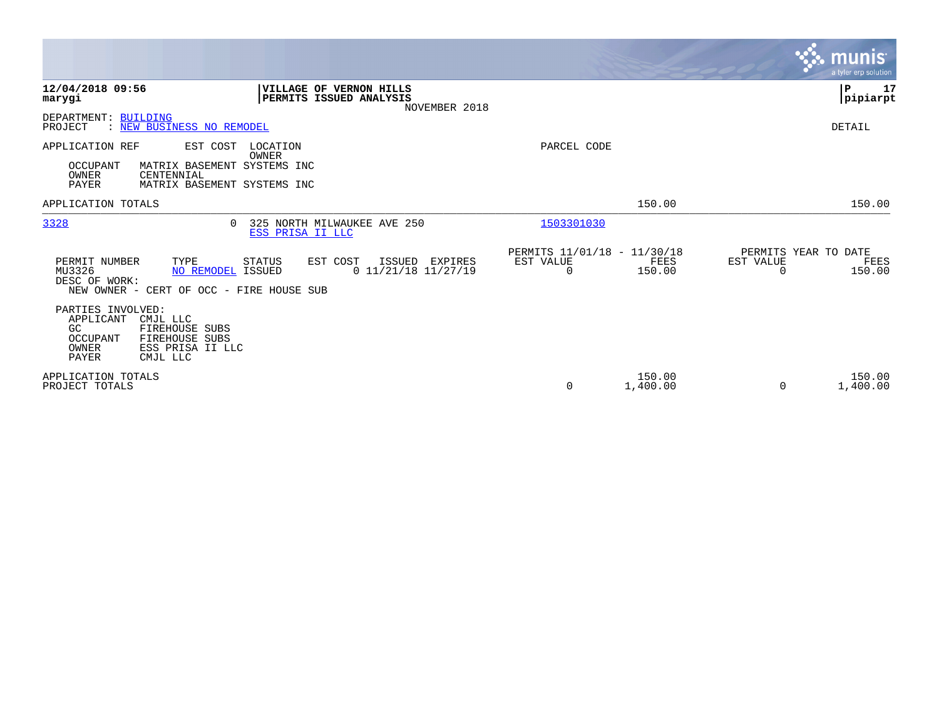|                                                                                                                                                            |                                                                                       |                                               |                    | munis<br>a tyler erp solution                                   |
|------------------------------------------------------------------------------------------------------------------------------------------------------------|---------------------------------------------------------------------------------------|-----------------------------------------------|--------------------|-----------------------------------------------------------------|
| 12/04/2018 09:56<br>marygi                                                                                                                                 | VILLAGE OF VERNON HILLS<br>PERMITS ISSUED ANALYSIS<br>NOVEMBER 2018                   |                                               |                    | P<br>17<br> pipiarpt                                            |
| DEPARTMENT: BUILDING<br>PROJECT<br>: NEW BUSINESS NO REMODEL                                                                                               |                                                                                       |                                               |                    | DETAIL                                                          |
| APPLICATION REF<br>EST COST<br>MATRIX BASEMENT SYSTEMS INC<br>OCCUPANT<br>OWNER<br>CENTENNIAL<br>PAYER                                                     | LOCATION<br>OWNER<br>MATRIX BASEMENT SYSTEMS INC                                      | PARCEL CODE                                   |                    |                                                                 |
| APPLICATION TOTALS                                                                                                                                         |                                                                                       |                                               | 150.00             | 150.00                                                          |
| 3328                                                                                                                                                       | 325 NORTH MILWAUKEE AVE 250<br>$\cap$<br>ESS PRISA II LLC                             | 1503301030                                    |                    |                                                                 |
| PERMIT NUMBER<br>TYPE<br>MU3326<br>DESC OF WORK:<br>NEW OWNER - CERT OF OCC - FIRE HOUSE SUB                                                               | EST COST<br>STATUS<br>ISSUED<br>EXPIRES<br>$0$ 11/21/18 11/27/19<br>NO REMODEL ISSUED | PERMITS 11/01/18 - 11/30/18<br>EST VALUE<br>0 | FEES<br>150.00     | PERMITS YEAR TO DATE<br>EST VALUE<br>FEES<br>150.00<br>$\Omega$ |
| PARTIES INVOLVED:<br>APPLICANT<br>CMJL LLC<br>GC.<br>FIREHOUSE SUBS<br>OCCUPANT<br><b>FIREHOUSE SUBS</b><br>OWNER<br>ESS PRISA II LLC<br>PAYER<br>CMJL LLC |                                                                                       |                                               |                    |                                                                 |
| APPLICATION TOTALS<br>PROJECT TOTALS                                                                                                                       |                                                                                       | 0                                             | 150.00<br>1,400.00 | 150.00<br>1,400.00<br>0                                         |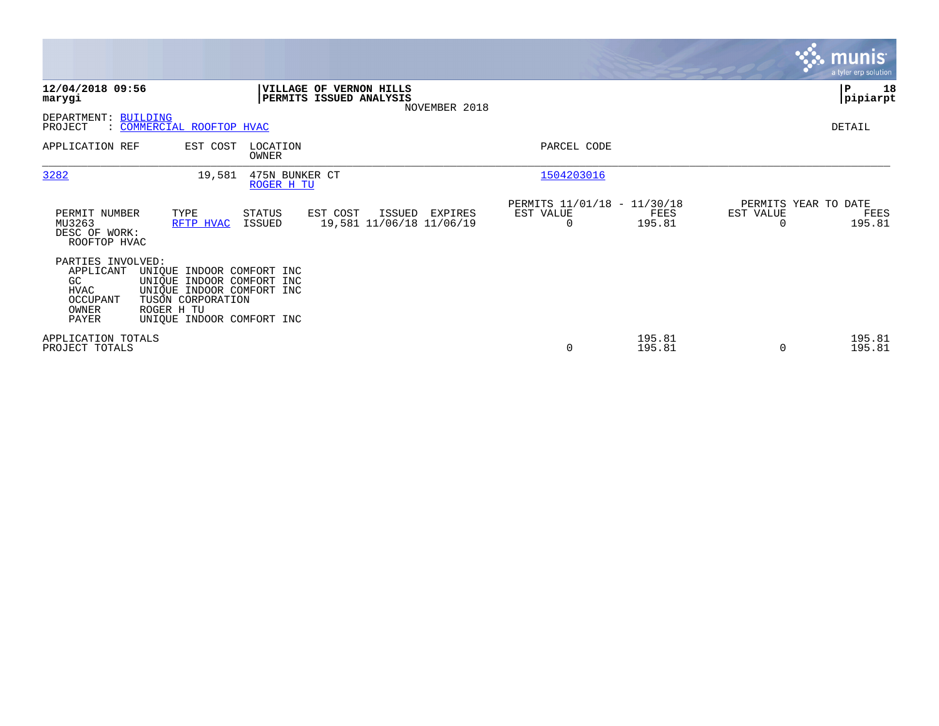|                                                                                   |                                                                                                                                                     |                              |                                                                            |                                               |                  |                       | <b>munis</b><br>a tyler erp solution   |
|-----------------------------------------------------------------------------------|-----------------------------------------------------------------------------------------------------------------------------------------------------|------------------------------|----------------------------------------------------------------------------|-----------------------------------------------|------------------|-----------------------|----------------------------------------|
| 12/04/2018 09:56<br>marygi                                                        |                                                                                                                                                     |                              | <b>VILLAGE OF VERNON HILLS</b><br>PERMITS ISSUED ANALYSIS<br>NOVEMBER 2018 |                                               |                  |                       | P<br>18<br> pipiarpt                   |
| DEPARTMENT: BUILDING<br>PROJECT                                                   | : COMMERCIAL ROOFTOP HVAC                                                                                                                           |                              |                                                                            |                                               |                  |                       | DETAIL                                 |
| APPLICATION REF                                                                   | EST COST                                                                                                                                            | LOCATION<br>OWNER            |                                                                            | PARCEL CODE                                   |                  |                       |                                        |
| 3282                                                                              | 19,581                                                                                                                                              | 475N BUNKER CT<br>ROGER H TU |                                                                            | 1504203016                                    |                  |                       |                                        |
| PERMIT NUMBER<br>MU3263<br>DESC OF WORK:<br>ROOFTOP HVAC                          | TYPE<br>RFTP HVAC                                                                                                                                   | STATUS<br>ISSUED             | EST COST<br>ISSUED<br>EXPIRES<br>19,581 11/06/18 11/06/19                  | PERMITS 11/01/18 - 11/30/18<br>EST VALUE<br>0 | FEES<br>195.81   | EST VALUE<br>$\Omega$ | PERMITS YEAR TO DATE<br>FEES<br>195.81 |
| PARTIES INVOLVED:<br>APPLICANT<br>GC<br><b>HVAC</b><br>OCCUPANT<br>OWNER<br>PAYER | UNIQUE INDOOR COMFORT INC<br>UNIQUE INDOOR COMFORT INC<br>UNIQUE INDOOR COMFORT INC<br>TUSON CORPORATION<br>ROGER H TU<br>UNIQUE INDOOR COMFORT INC |                              |                                                                            |                                               |                  |                       |                                        |
| APPLICATION TOTALS<br>PROJECT TOTALS                                              |                                                                                                                                                     |                              |                                                                            | 0                                             | 195.81<br>195.81 | $\Omega$              | 195.81<br>195.81                       |

 $\mathcal{L}^{\text{max}}$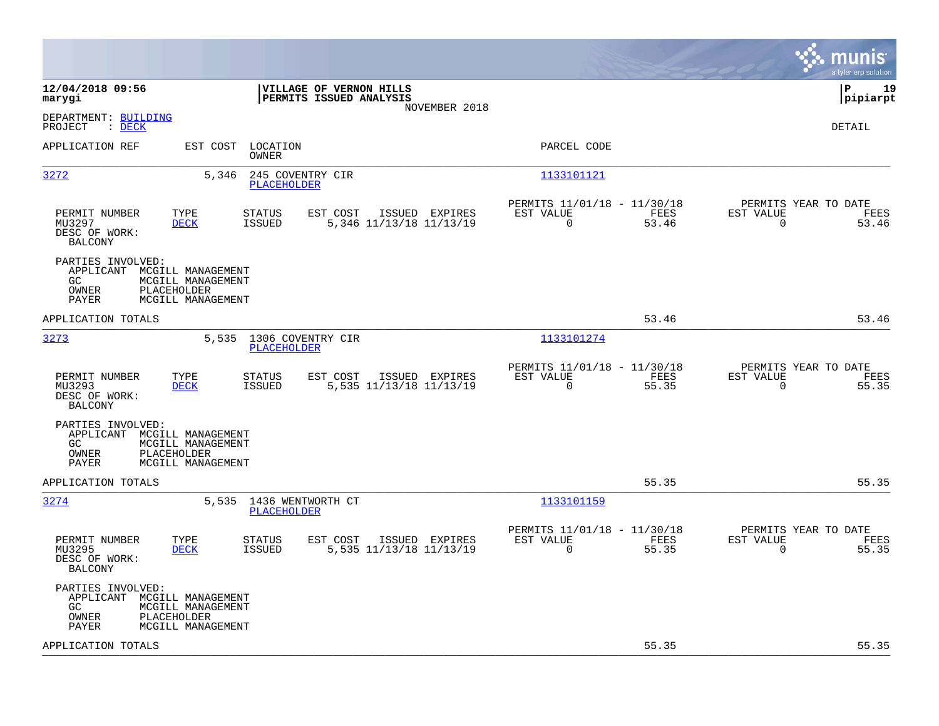|                                                                                                                                                                              |                                                                          | munis<br>a tyler erp solution                                     |
|------------------------------------------------------------------------------------------------------------------------------------------------------------------------------|--------------------------------------------------------------------------|-------------------------------------------------------------------|
| 12/04/2018 09:56<br>VILLAGE OF VERNON HILLS<br>PERMITS ISSUED ANALYSIS<br>marygi<br>NOVEMBER 2018                                                                            |                                                                          | l P<br>19<br> pipiarpt                                            |
| DEPARTMENT: BUILDING<br>PROJECT<br>: DECK                                                                                                                                    |                                                                          | <b>DETAIL</b>                                                     |
| EST COST<br>LOCATION<br>APPLICATION REF<br>OWNER                                                                                                                             | PARCEL CODE                                                              |                                                                   |
| 3272<br>5,346<br>245 COVENTRY CIR<br><b>PLACEHOLDER</b>                                                                                                                      | 1133101121                                                               |                                                                   |
| PERMIT NUMBER<br>TYPE<br><b>STATUS</b><br>EST COST<br>ISSUED EXPIRES<br>MU3297<br><b>DECK</b><br><b>ISSUED</b><br>5,346 11/13/18 11/13/19<br>DESC OF WORK:<br><b>BALCONY</b> | PERMITS 11/01/18 - 11/30/18<br>EST VALUE<br>FEES<br>$\Omega$<br>53.46    | PERMITS YEAR TO DATE<br>EST VALUE<br>FEES<br>$\Omega$<br>53.46    |
| PARTIES INVOLVED:<br>APPLICANT<br>MCGILL MANAGEMENT<br>GC.<br>MCGILL MANAGEMENT<br><b>PLACEHOLDER</b><br>OWNER<br>PAYER<br>MCGILL MANAGEMENT                                 |                                                                          |                                                                   |
| APPLICATION TOTALS                                                                                                                                                           | 53.46                                                                    | 53.46                                                             |
| 3273<br>5,535 1306 COVENTRY CIR<br><b>PLACEHOLDER</b>                                                                                                                        | 1133101274                                                               |                                                                   |
| TYPE<br>EST COST<br>PERMIT NUMBER<br><b>STATUS</b><br>ISSUED EXPIRES<br>MU3293<br><b>DECK</b><br><b>ISSUED</b><br>5,535 11/13/18 11/13/19<br>DESC OF WORK:<br><b>BALCONY</b> | PERMITS 11/01/18 - 11/30/18<br>EST VALUE<br>FEES<br>$\mathbf 0$<br>55.35 | PERMITS YEAR TO DATE<br>EST VALUE<br>FEES<br>$\mathbf 0$<br>55.35 |
| PARTIES INVOLVED:<br>APPLICANT MCGILL MANAGEMENT<br>MCGILL MANAGEMENT<br>GC.<br>OWNER<br>PLACEHOLDER<br>PAYER<br>MCGILL MANAGEMENT                                           |                                                                          |                                                                   |
| APPLICATION TOTALS                                                                                                                                                           | 55.35                                                                    | 55.35                                                             |
| 3274<br>5,535 1436 WENTWORTH CT<br>PLACEHOLDER                                                                                                                               | 1133101159                                                               |                                                                   |
| PERMIT NUMBER<br>TYPE<br>STATUS<br>EST COST<br>ISSUED EXPIRES<br>5,535 11/13/18 11/13/19<br>MU3295<br>DECK<br>ISSUED<br>DESC OF WORK:<br><b>BALCONY</b>                      | PERMITS 11/01/18 - 11/30/18<br>EST VALUE<br>FEES<br>$\Omega$<br>55.35    | PERMITS YEAR TO DATE<br>EST VALUE<br>FEES<br>$\Omega$<br>55.35    |
| PARTIES INVOLVED:<br>APPLICANT MCGILL MANAGEMENT<br>GC.<br>MCGILL MANAGEMENT<br>PLACEHOLDER<br>OWNER<br>PAYER<br>MCGILL MANAGEMENT                                           |                                                                          |                                                                   |
| APPLICATION TOTALS                                                                                                                                                           | 55.35                                                                    | 55.35                                                             |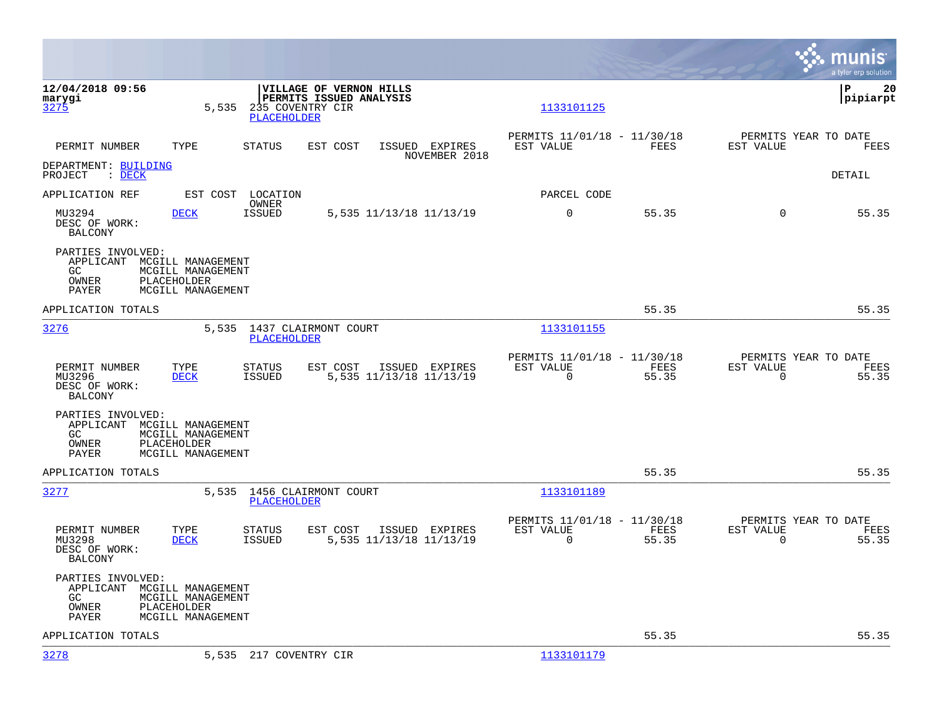|                                                                                  |                                                                            |                                            |                                                                  |                                 |                                                         |               |                                                  | munis<br>a tyler erp solution |
|----------------------------------------------------------------------------------|----------------------------------------------------------------------------|--------------------------------------------|------------------------------------------------------------------|---------------------------------|---------------------------------------------------------|---------------|--------------------------------------------------|-------------------------------|
| 12/04/2018 09:56<br>marygi<br>3275                                               | 5,535                                                                      | 235 COVENTRY CIR<br><b>PLACEHOLDER</b>     | <b>VILLAGE OF VERNON HILLS</b><br><b>PERMITS ISSUED ANALYSIS</b> |                                 | 1133101125                                              |               |                                                  | l P<br>20<br> pipiarpt        |
| PERMIT NUMBER                                                                    | TYPE                                                                       | <b>STATUS</b>                              | EST COST                                                         | ISSUED EXPIRES<br>NOVEMBER 2018 | PERMITS 11/01/18 - 11/30/18<br>EST VALUE                | FEES          | PERMITS YEAR TO DATE<br>EST VALUE                | FEES                          |
| DEPARTMENT: BUILDING<br>PROJECT<br>$\therefore$ DECK                             |                                                                            |                                            |                                                                  |                                 |                                                         |               |                                                  | DETAIL                        |
| APPLICATION REF                                                                  | EST COST                                                                   | LOCATION<br>OWNER                          |                                                                  |                                 | PARCEL CODE                                             |               |                                                  |                               |
| MU3294<br>DESC OF WORK:<br>BALCONY                                               | DECK                                                                       | <b>ISSUED</b>                              | 5,535 11/13/18 11/13/19                                          |                                 | $\mathbf 0$                                             | 55.35         | $\mathbf 0$                                      | 55.35                         |
| PARTIES INVOLVED:<br>APPLICANT MCGILL MANAGEMENT<br>GC<br>OWNER<br>PAYER         | MCGILL MANAGEMENT<br>PLACEHOLDER<br>MCGILL MANAGEMENT                      |                                            |                                                                  |                                 |                                                         |               |                                                  |                               |
| APPLICATION TOTALS                                                               |                                                                            |                                            |                                                                  |                                 |                                                         | 55.35         |                                                  | 55.35                         |
| 3276                                                                             | 5,535                                                                      | 1437 CLAIRMONT COURT<br><b>PLACEHOLDER</b> |                                                                  |                                 | 1133101155                                              |               |                                                  |                               |
| PERMIT NUMBER<br>MU3296<br>DESC OF WORK:<br><b>BALCONY</b>                       | TYPE<br><b>DECK</b>                                                        | <b>STATUS</b><br><b>ISSUED</b>             | EST COST<br>5,535 11/13/18 11/13/19                              | ISSUED EXPIRES                  | PERMITS 11/01/18 - 11/30/18<br>EST VALUE<br>$\mathbf 0$ | FEES<br>55.35 | PERMITS YEAR TO DATE<br>EST VALUE<br>$\mathbf 0$ | FEES<br>55.35                 |
| PARTIES INVOLVED:<br>APPLICANT MCGILL MANAGEMENT<br>GC.<br>OWNER<br><b>PAYER</b> | MCGILL MANAGEMENT<br>PLACEHOLDER<br>MCGILL MANAGEMENT                      |                                            |                                                                  |                                 |                                                         |               |                                                  |                               |
| APPLICATION TOTALS                                                               |                                                                            |                                            |                                                                  |                                 |                                                         | 55.35         |                                                  | 55.35                         |
| 3277                                                                             | 5,535                                                                      | 1456 CLAIRMONT COURT<br>PLACEHOLDER        |                                                                  |                                 | 1133101189                                              |               |                                                  |                               |
| PERMIT NUMBER<br>MU3298<br>DESC OF WORK:<br><b>BALCONY</b>                       | TYPE<br><b>DECK</b>                                                        | <b>STATUS</b><br><b>ISSUED</b>             | EST COST<br>5,535 11/13/18 11/13/19                              | ISSUED EXPIRES                  | PERMITS 11/01/18 - 11/30/18<br>EST VALUE<br>$\mathbf 0$ | FEES<br>55.35 | PERMITS YEAR TO DATE<br>EST VALUE<br>$\mathbf 0$ | FEES<br>55.35                 |
| PARTIES INVOLVED:<br>APPLICANT<br>GC<br>OWNER<br>PAYER                           | MCGILL MANAGEMENT<br>MCGILL MANAGEMENT<br>PLACEHOLDER<br>MCGILL MANAGEMENT |                                            |                                                                  |                                 |                                                         |               |                                                  |                               |
| APPLICATION TOTALS                                                               |                                                                            |                                            |                                                                  |                                 |                                                         | 55.35         |                                                  | 55.35                         |
| 3278                                                                             |                                                                            | 5,535 217 COVENTRY CIR                     |                                                                  |                                 | 1133101179                                              |               |                                                  |                               |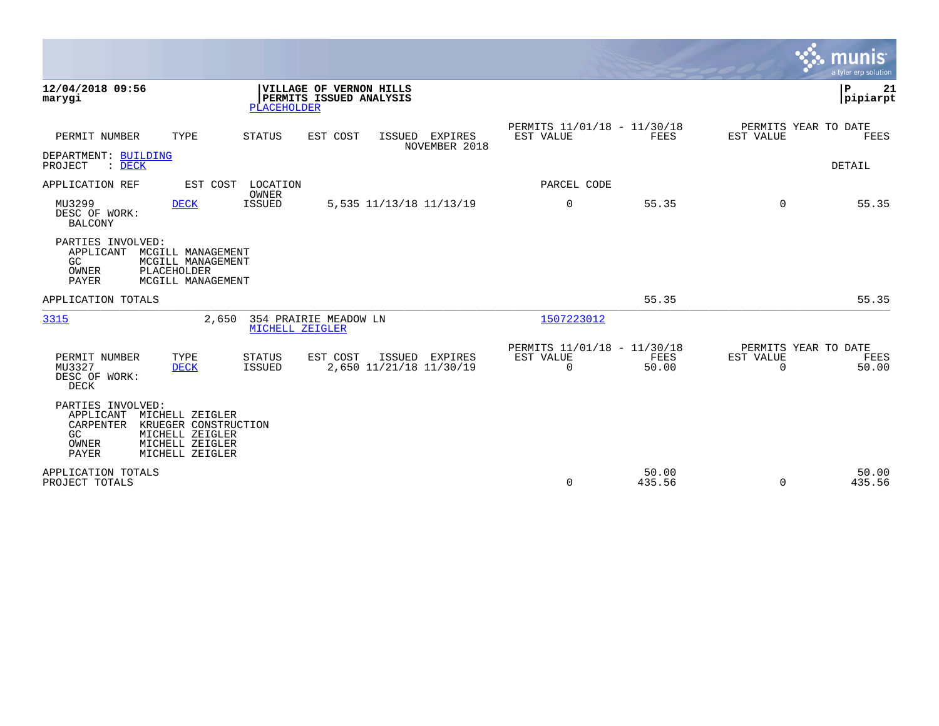|                                                                                                                                                                         |                          |                                                      |                 |                       | munis<br>a tyler erp solution         |
|-------------------------------------------------------------------------------------------------------------------------------------------------------------------------|--------------------------|------------------------------------------------------|-----------------|-----------------------|---------------------------------------|
| 12/04/2018 09:56<br>VILLAGE OF VERNON HILLS<br>PERMITS ISSUED ANALYSIS<br>marygi<br><b>PLACEHOLDER</b>                                                                  |                          |                                                      |                 |                       | P.<br>21<br> pipiarpt                 |
| PERMIT NUMBER<br>TYPE<br><b>STATUS</b><br>EST COST<br>ISSUED                                                                                                            | EXPIRES<br>NOVEMBER 2018 | PERMITS 11/01/18 - 11/30/18<br>EST VALUE             | FEES            | EST VALUE             | PERMITS YEAR TO DATE<br>FEES          |
| DEPARTMENT: BUILDING<br>$\therefore$ DECK<br>PROJECT                                                                                                                    |                          |                                                      |                 |                       | <b>DETAIL</b>                         |
| APPLICATION REF<br>LOCATION<br>EST COST<br>OWNER                                                                                                                        |                          | PARCEL CODE                                          |                 |                       |                                       |
| MU3299<br><b>ISSUED</b><br><b>DECK</b><br>5,535 11/13/18 11/13/19<br>DESC OF WORK:<br><b>BALCONY</b>                                                                    |                          | $\mathbf 0$                                          | 55.35           | $\Omega$              | 55.35                                 |
| PARTIES INVOLVED:<br>APPLICANT<br>MCGILL MANAGEMENT<br>GC<br>MCGILL MANAGEMENT<br>PLACEHOLDER<br>OWNER<br>PAYER<br>MCGILL MANAGEMENT                                    |                          |                                                      |                 |                       |                                       |
| APPLICATION TOTALS                                                                                                                                                      |                          |                                                      | 55.35           |                       | 55.35                                 |
| 3315<br>354 PRAIRIE MEADOW LN<br>2,650<br>MICHELL ZEIGLER                                                                                                               |                          | 1507223012                                           |                 |                       |                                       |
| PERMIT NUMBER<br>TYPE<br><b>STATUS</b><br>EST COST<br>ISSUED<br>2,650 11/21/18 11/30/19<br>MU3327<br><b>ISSUED</b><br><b>DECK</b><br>DESC OF WORK:<br><b>DECK</b>       | EXPIRES                  | PERMITS 11/01/18 - 11/30/18<br>EST VALUE<br>$\Omega$ | FEES<br>50.00   | EST VALUE<br>$\Omega$ | PERMITS YEAR TO DATE<br>FEES<br>50.00 |
| PARTIES INVOLVED:<br>APPLICANT<br>MICHELL ZEIGLER<br>CARPENTER<br>KRUEGER CONSTRUCTION<br>GC<br>MICHELL ZEIGLER<br>MICHELL ZEIGLER<br>OWNER<br>PAYER<br>MICHELL ZEIGLER |                          |                                                      |                 |                       |                                       |
| APPLICATION TOTALS<br>PROJECT TOTALS                                                                                                                                    |                          | $\mathbf 0$                                          | 50.00<br>435.56 | $\Omega$              | 50.00<br>435.56                       |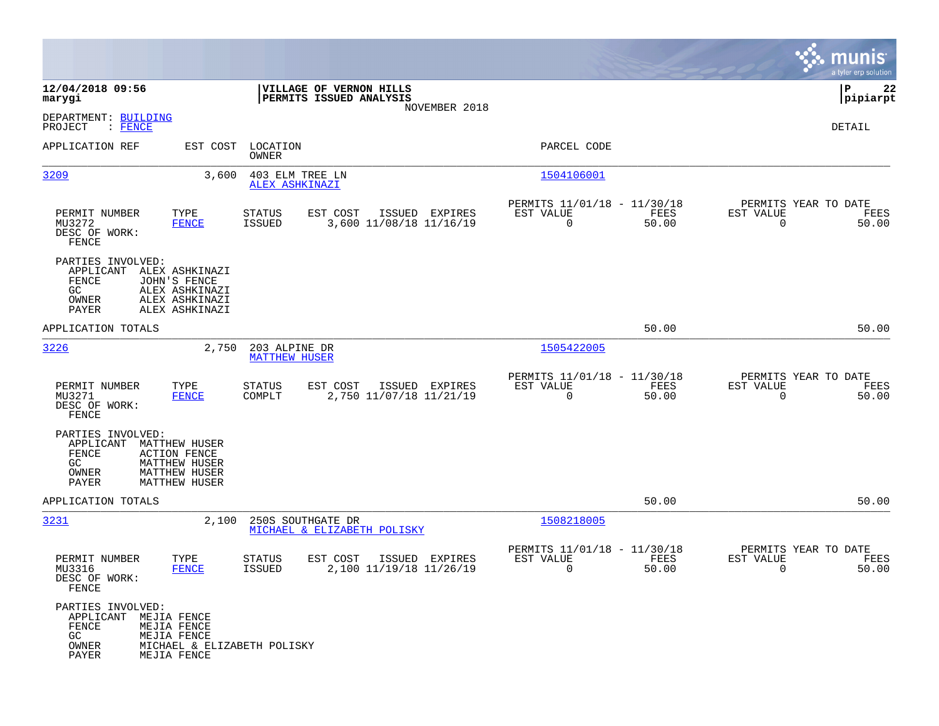|                                                                             |                                                                                                                     |                                       |                                                    |                |                                                         |               |                                                  | munis<br>a tyler erp solution |
|-----------------------------------------------------------------------------|---------------------------------------------------------------------------------------------------------------------|---------------------------------------|----------------------------------------------------|----------------|---------------------------------------------------------|---------------|--------------------------------------------------|-------------------------------|
| 12/04/2018 09:56<br>marygi                                                  |                                                                                                                     |                                       | VILLAGE OF VERNON HILLS<br>PERMITS ISSUED ANALYSIS |                |                                                         |               |                                                  | P<br>22<br> pipiarpt          |
| DEPARTMENT: BUILDING<br>PROJECT<br>: FENCE                                  |                                                                                                                     |                                       |                                                    | NOVEMBER 2018  |                                                         |               |                                                  | DETAIL                        |
| APPLICATION REF                                                             | EST COST                                                                                                            | LOCATION<br>OWNER                     |                                                    |                | PARCEL CODE                                             |               |                                                  |                               |
| 3209                                                                        | 3,600                                                                                                               | 403 ELM TREE LN<br>ALEX ASHKINAZI     |                                                    |                | 1504106001                                              |               |                                                  |                               |
| PERMIT NUMBER<br>MU3272<br>DESC OF WORK:<br>FENCE                           | TYPE<br><b>FENCE</b>                                                                                                | <b>STATUS</b><br><b>ISSUED</b>        | EST COST<br>3,600 11/08/18 11/16/19                | ISSUED EXPIRES | PERMITS 11/01/18 - 11/30/18<br>EST VALUE<br>$\mathbf 0$ | FEES<br>50.00 | PERMITS YEAR TO DATE<br>EST VALUE<br>$\mathbf 0$ | FEES<br>50.00                 |
| PARTIES INVOLVED:<br>APPLICANT<br>FENCE<br>GC.<br>OWNER<br>PAYER            | ALEX ASHKINAZI<br>JOHN'S FENCE<br>ALEX ASHKINAZI<br>ALEX ASHKINAZI<br>ALEX ASHKINAZI                                |                                       |                                                    |                |                                                         |               |                                                  |                               |
| APPLICATION TOTALS                                                          |                                                                                                                     |                                       |                                                    |                |                                                         | 50.00         |                                                  | 50.00                         |
| 3226                                                                        | 2,750                                                                                                               | 203 ALPINE DR<br><b>MATTHEW HUSER</b> |                                                    |                | 1505422005                                              |               |                                                  |                               |
| PERMIT NUMBER<br>MU3271<br>DESC OF WORK:<br>FENCE                           | TYPE<br><b>FENCE</b>                                                                                                | <b>STATUS</b><br>COMPLT               | EST COST<br>2,750 11/07/18 11/21/19                | ISSUED EXPIRES | PERMITS 11/01/18 - 11/30/18<br>EST VALUE<br>$\mathbf 0$ | FEES<br>50.00 | PERMITS YEAR TO DATE<br>EST VALUE<br>$\mathbf 0$ | FEES<br>50.00                 |
| PARTIES INVOLVED:<br>APPLICANT<br>FENCE<br>GC<br>OWNER<br>PAYER             | <b>MATTHEW HUSER</b><br><b>ACTION FENCE</b><br><b>MATTHEW HUSER</b><br><b>MATTHEW HUSER</b><br><b>MATTHEW HUSER</b> |                                       |                                                    |                |                                                         |               |                                                  |                               |
| APPLICATION TOTALS                                                          |                                                                                                                     |                                       |                                                    |                |                                                         | 50.00         |                                                  | 50.00                         |
| 3231                                                                        | 2,100                                                                                                               | 250S SOUTHGATE DR                     | MICHAEL & ELIZABETH POLISKY                        |                | 1508218005                                              |               |                                                  |                               |
| PERMIT NUMBER<br>MU3316<br>DESC OF WORK:<br>FENCE                           | TYPE<br><b>FENCE</b>                                                                                                | STATUS<br>ISSUED                      | EST COST<br>2,100 11/19/18 11/26/19                | ISSUED EXPIRES | PERMITS 11/01/18 - 11/30/18<br>EST VALUE<br>0           | FEES<br>50.00 | PERMITS YEAR TO DATE<br>EST VALUE<br>0           | FEES<br>50.00                 |
| PARTIES INVOLVED:<br>APPLICANT MEJIA FENCE<br>FENCE<br>GC<br>OWNER<br>PAYER | MEJIA FENCE<br>MEJIA FENCE<br>MICHAEL & ELIZABETH POLISKY<br>MEJIA FENCE                                            |                                       |                                                    |                |                                                         |               |                                                  |                               |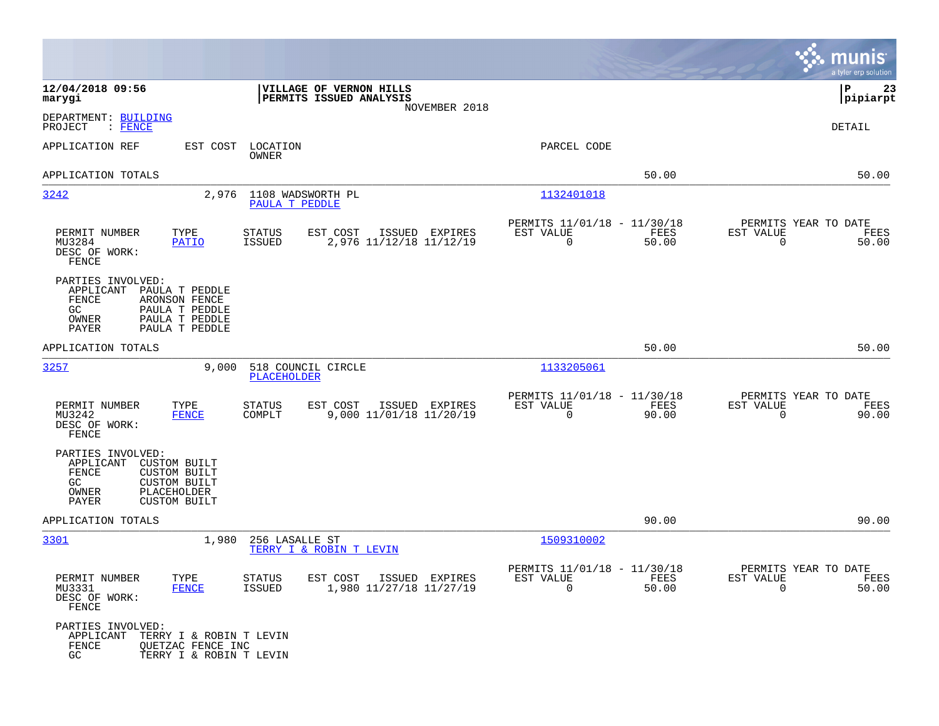|                                                                                                                                                                            |                                                                                         |                                                                       | munis<br>a tyler erp solution                                     |
|----------------------------------------------------------------------------------------------------------------------------------------------------------------------------|-----------------------------------------------------------------------------------------|-----------------------------------------------------------------------|-------------------------------------------------------------------|
| 12/04/2018 09:56<br>marygi                                                                                                                                                 | VILLAGE OF VERNON HILLS<br>PERMITS ISSUED ANALYSIS<br>NOVEMBER 2018                     |                                                                       | ΙP<br>23<br> pipiarpt                                             |
| DEPARTMENT: BUILDING<br>: FENCE<br>PROJECT                                                                                                                                 |                                                                                         |                                                                       | DETAIL                                                            |
| EST COST<br>APPLICATION REF                                                                                                                                                | LOCATION<br>OWNER                                                                       | PARCEL CODE                                                           |                                                                   |
| APPLICATION TOTALS                                                                                                                                                         |                                                                                         | 50.00                                                                 | 50.00                                                             |
| 2,976<br>3242                                                                                                                                                              | 1108 WADSWORTH PL<br>PAULA T PEDDLE                                                     | 1132401018                                                            |                                                                   |
| PERMIT NUMBER<br>TYPE<br>MU3284<br>PATIO<br>DESC OF WORK:<br>FENCE                                                                                                         | EST COST<br><b>STATUS</b><br>ISSUED EXPIRES<br>2,976 11/12/18 11/12/19<br><b>ISSUED</b> | PERMITS 11/01/18 - 11/30/18<br>EST VALUE<br>FEES<br>$\Omega$<br>50.00 | PERMITS YEAR TO DATE<br>EST VALUE<br>FEES<br>$\Omega$<br>50.00    |
| PARTIES INVOLVED:<br>APPLICANT<br>PAULA T PEDDLE<br>FENCE<br>ARONSON FENCE<br>GC<br>PAULA T PEDDLE<br>OWNER<br>PAULA T PEDDLE<br>PAYER<br>PAULA T PEDDLE                   |                                                                                         |                                                                       |                                                                   |
| APPLICATION TOTALS                                                                                                                                                         |                                                                                         | 50.00                                                                 | 50.00                                                             |
| 3257<br>9,000                                                                                                                                                              | 518 COUNCIL CIRCLE<br><b>PLACEHOLDER</b>                                                | 1133205061                                                            |                                                                   |
| TYPE<br>PERMIT NUMBER<br>MU3242<br><b>FENCE</b><br>DESC OF WORK:<br>FENCE                                                                                                  | EST COST<br><b>STATUS</b><br>ISSUED EXPIRES<br>9,000 11/01/18 11/20/19<br>COMPLT        | PERMITS 11/01/18 - 11/30/18<br>EST VALUE<br>FEES<br>0<br>90.00        | PERMITS YEAR TO DATE<br>EST VALUE<br>FEES<br>90.00<br>0           |
| PARTIES INVOLVED:<br>APPLICANT<br><b>CUSTOM BUILT</b><br>FENCE<br><b>CUSTOM BUILT</b><br>GC<br><b>CUSTOM BUILT</b><br>PLACEHOLDER<br>OWNER<br>PAYER<br><b>CUSTOM BUILT</b> |                                                                                         |                                                                       |                                                                   |
| APPLICATION TOTALS                                                                                                                                                         |                                                                                         | 90.00                                                                 | 90.00                                                             |
| 3301<br>1,980                                                                                                                                                              | 256 LASALLE ST<br>TERRY I & ROBIN T LEVIN                                               | 1509310002                                                            |                                                                   |
| PERMIT NUMBER<br>TYPE<br>MU3331<br><b>FENCE</b><br>DESC OF WORK:<br>FENCE                                                                                                  | <b>STATUS</b><br>EST COST<br>ISSUED EXPIRES<br><b>ISSUED</b><br>1,980 11/27/18 11/27/19 | PERMITS 11/01/18 - 11/30/18<br>EST VALUE<br>FEES<br>0<br>50.00        | PERMITS YEAR TO DATE<br>EST VALUE<br>FEES<br>$\mathbf 0$<br>50.00 |
| PARTIES INVOLVED:<br>APPLICANT<br>TERRY I & ROBIN T LEVIN<br>FENCE<br>QUETZAC FENCE INC<br>GC<br>TERRY I & ROBIN T LEVIN                                                   |                                                                                         |                                                                       |                                                                   |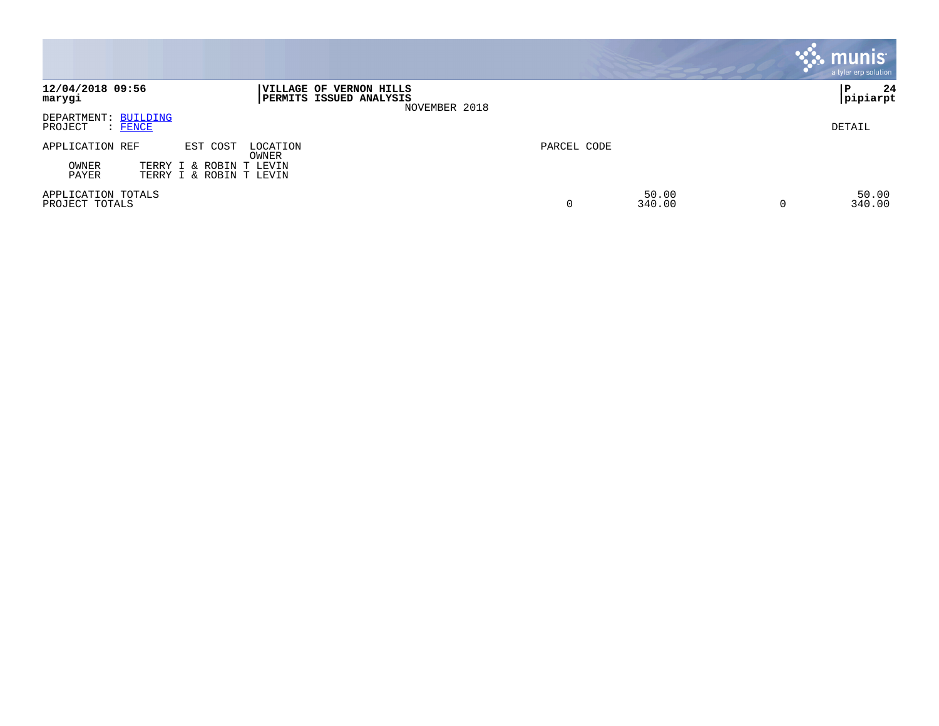|                                                                      |                                                                     |             |                 | <b>munis</b><br>a tyler erp solution |
|----------------------------------------------------------------------|---------------------------------------------------------------------|-------------|-----------------|--------------------------------------|
| 12/04/2018 09:56<br>marygi                                           | VILLAGE OF VERNON HILLS<br>PERMITS ISSUED ANALYSIS<br>NOVEMBER 2018 |             |                 | 24<br>ΙP<br> pipiarpt                |
| DEPARTMENT: BUILDING<br>PROJECT<br>$:$ FENCE                         |                                                                     |             |                 | DETAIL                               |
| APPLICATION REF<br>EST COST                                          | LOCATION<br>OWNER                                                   | PARCEL CODE |                 |                                      |
| OWNER<br>TERRY I & ROBIN T LEVIN<br>PAYER<br>TERRY I & ROBIN T LEVIN |                                                                     |             |                 |                                      |
| APPLICATION TOTALS<br>PROJECT TOTALS                                 |                                                                     | 0           | 50.00<br>340.00 | 50.00<br>340.00                      |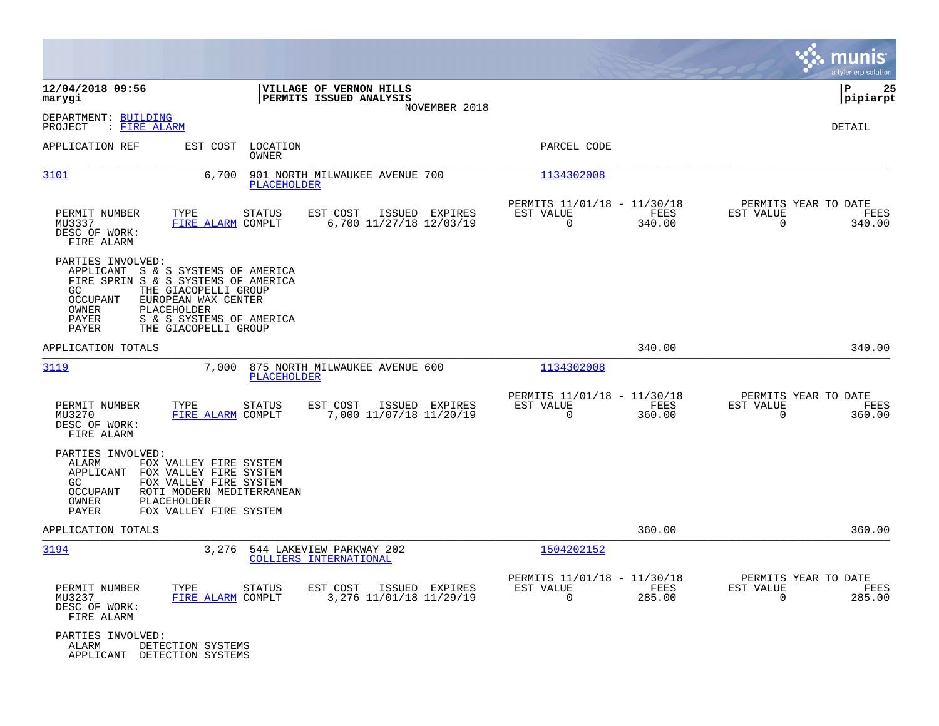|                                                                                                                                                                   |                                                                                                                                   |                                                                     |                                                                           | munis<br>a tyler erp solution                                      |
|-------------------------------------------------------------------------------------------------------------------------------------------------------------------|-----------------------------------------------------------------------------------------------------------------------------------|---------------------------------------------------------------------|---------------------------------------------------------------------------|--------------------------------------------------------------------|
| 12/04/2018 09:56<br>marygi                                                                                                                                        |                                                                                                                                   | VILLAGE OF VERNON HILLS<br>PERMITS ISSUED ANALYSIS<br>NOVEMBER 2018 |                                                                           | lР<br>25<br> pipiarpt                                              |
| DEPARTMENT: BUILDING<br>PROJECT<br>: FIRE ALARM                                                                                                                   |                                                                                                                                   |                                                                     |                                                                           | DETAIL                                                             |
| APPLICATION REF                                                                                                                                                   | EST COST<br>LOCATION<br><b>OWNER</b>                                                                                              |                                                                     | PARCEL CODE                                                               |                                                                    |
| 3101                                                                                                                                                              | 6,700<br><b>PLACEHOLDER</b>                                                                                                       | 901 NORTH MILWAUKEE AVENUE 700                                      | 1134302008                                                                |                                                                    |
| PERMIT NUMBER<br>TYPE<br>MU3337<br>DESC OF WORK:<br>FIRE ALARM                                                                                                    | <b>STATUS</b><br>FIRE ALARM COMPLT                                                                                                | EST COST<br>ISSUED EXPIRES<br>6,700 11/27/18 12/03/19               | PERMITS 11/01/18 - 11/30/18<br>EST VALUE<br>FEES<br>$\mathbf 0$<br>340.00 | PERMITS YEAR TO DATE<br>EST VALUE<br>FEES<br>$\mathbf 0$<br>340.00 |
| PARTIES INVOLVED:<br>APPLICANT S & S SYSTEMS OF AMERICA<br>FIRE SPRIN S & S SYSTEMS OF AMERICA<br>GC<br><b>OCCUPANT</b><br>OWNER<br>PLACEHOLDER<br>PAYER<br>PAYER | THE GIACOPELLI GROUP<br>EUROPEAN WAX CENTER<br>S & S SYSTEMS OF AMERICA<br>THE GIACOPELLI GROUP                                   |                                                                     |                                                                           |                                                                    |
| APPLICATION TOTALS                                                                                                                                                |                                                                                                                                   |                                                                     | 340.00                                                                    | 340.00                                                             |
| 3119                                                                                                                                                              | 7,000<br><b>PLACEHOLDER</b>                                                                                                       | 875 NORTH MILWAUKEE AVENUE 600                                      | 1134302008                                                                |                                                                    |
| PERMIT NUMBER<br>TYPE<br>MU3270<br>DESC OF WORK:<br>FIRE ALARM                                                                                                    | <b>STATUS</b><br>FIRE ALARM COMPLT                                                                                                | EST COST<br>ISSUED EXPIRES<br>7,000 11/07/18 11/20/19               | PERMITS 11/01/18 - 11/30/18<br>EST VALUE<br>FEES<br>$\mathbf 0$<br>360.00 | PERMITS YEAR TO DATE<br>EST VALUE<br>FEES<br>$\Omega$<br>360.00    |
| PARTIES INVOLVED:<br><b>ALARM</b><br>APPLICANT<br>GC<br><b>OCCUPANT</b><br>OWNER<br>PLACEHOLDER<br>PAYER                                                          | FOX VALLEY FIRE SYSTEM<br>FOX VALLEY FIRE SYSTEM<br>FOX VALLEY FIRE SYSTEM<br>ROTI MODERN MEDITERRANEAN<br>FOX VALLEY FIRE SYSTEM |                                                                     |                                                                           |                                                                    |
| APPLICATION TOTALS                                                                                                                                                |                                                                                                                                   |                                                                     | 360.00                                                                    | 360.00                                                             |
| 3194                                                                                                                                                              | 3,276                                                                                                                             | 544 LAKEVIEW PARKWAY 202<br>COLLIERS INTERNATIONAL                  | 1504202152                                                                |                                                                    |
| PERMIT NUMBER<br>TYPE<br>MU3237<br>DESC OF WORK:<br>FIRE ALARM                                                                                                    | STATUS<br>FIRE ALARM COMPLT                                                                                                       | EST COST<br>ISSUED EXPIRES<br>3,276 11/01/18 11/29/19               | PERMITS 11/01/18 - 11/30/18<br>EST VALUE<br>FEES<br>$\mathbf 0$<br>285.00 | PERMITS YEAR TO DATE<br>EST VALUE<br>FEES<br>$\mathbf 0$<br>285.00 |
| PARTIES INVOLVED:<br>ALARM<br>DETECTION SYSTEMS<br>APPLICANT<br>DETECTION SYSTEMS                                                                                 |                                                                                                                                   |                                                                     |                                                                           |                                                                    |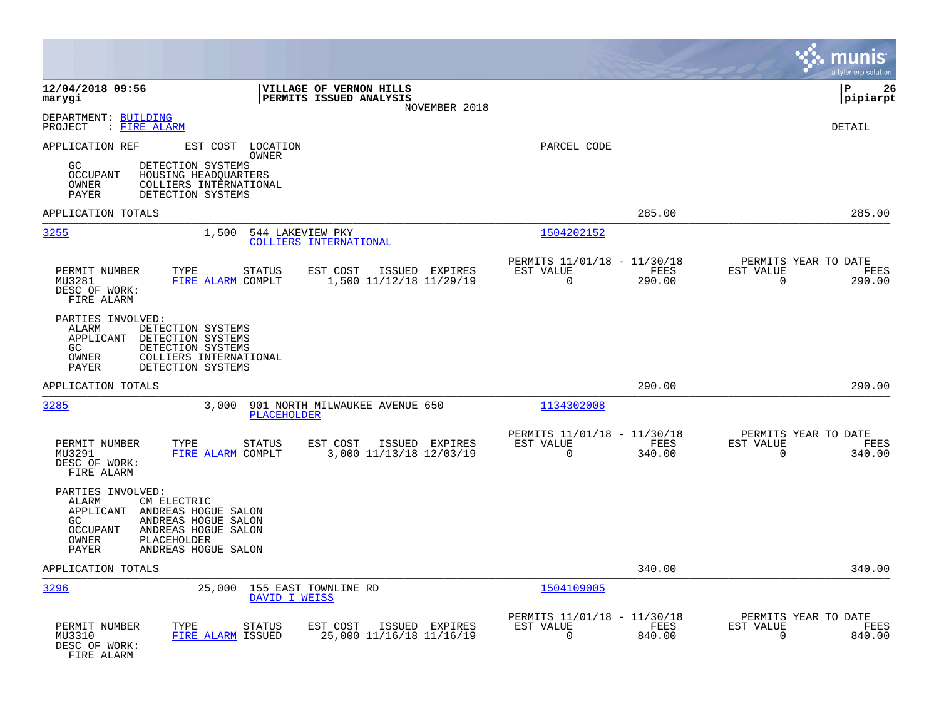|                                                                                                                                                                                                              |                                                                           | munis<br>a tyler erp solution                                      |
|--------------------------------------------------------------------------------------------------------------------------------------------------------------------------------------------------------------|---------------------------------------------------------------------------|--------------------------------------------------------------------|
| 12/04/2018 09:56<br>VILLAGE OF VERNON HILLS<br>PERMITS ISSUED ANALYSIS<br>marygi<br>NOVEMBER 2018                                                                                                            |                                                                           | ΙP<br>26<br> pipiarpt                                              |
| DEPARTMENT: BUILDING<br>PROJECT<br>: FIRE ALARM                                                                                                                                                              |                                                                           | <b>DETAIL</b>                                                      |
| APPLICATION REF<br>EST COST LOCATION<br><b>OWNER</b><br>GC<br>DETECTION SYSTEMS<br>OCCUPANT<br>HOUSING HEADQUARTERS<br>OWNER<br>COLLIERS INTERNATIONAL<br><b>PAYER</b><br>DETECTION SYSTEMS                  | PARCEL CODE                                                               |                                                                    |
| APPLICATION TOTALS                                                                                                                                                                                           | 285.00                                                                    | 285.00                                                             |
| 3255<br>1,500<br>544 LAKEVIEW PKY<br>COLLIERS INTERNATIONAL                                                                                                                                                  | 1504202152                                                                |                                                                    |
| PERMIT NUMBER<br>TYPE<br><b>STATUS</b><br>EST COST<br>ISSUED EXPIRES<br>1,500 11/12/18 11/29/19<br>MU3281<br>FIRE ALARM COMPLT<br>DESC OF WORK:<br>FIRE ALARM                                                | PERMITS 11/01/18 - 11/30/18<br>EST VALUE<br>FEES<br>$\mathbf 0$<br>290.00 | PERMITS YEAR TO DATE<br>EST VALUE<br>FEES<br>0<br>290.00           |
| PARTIES INVOLVED:<br>ALARM<br>DETECTION SYSTEMS<br>APPLICANT<br>DETECTION SYSTEMS<br>GC<br>DETECTION SYSTEMS<br>OWNER<br>COLLIERS INTERNATIONAL<br>PAYER<br>DETECTION SYSTEMS                                |                                                                           |                                                                    |
| APPLICATION TOTALS                                                                                                                                                                                           | 290.00                                                                    | 290.00                                                             |
| 3285<br>3,000<br>901 NORTH MILWAUKEE AVENUE 650<br><b>PLACEHOLDER</b>                                                                                                                                        | 1134302008                                                                |                                                                    |
| PERMIT NUMBER<br>TYPE<br>EST COST<br>ISSUED EXPIRES<br><b>STATUS</b><br>MU3291<br>FIRE ALARM COMPLT<br>3,000 11/13/18 12/03/19<br>DESC OF WORK:<br>FIRE ALARM                                                | PERMITS 11/01/18 - 11/30/18<br>EST VALUE<br>FEES<br>$\mathbf 0$<br>340.00 | PERMITS YEAR TO DATE<br>EST VALUE<br>FEES<br>340.00<br>0           |
| PARTIES INVOLVED:<br>ALARM<br>CM ELECTRIC<br>APPLICANT<br>ANDREAS HOGUE SALON<br>ANDREAS HOGUE SALON<br>GC<br>OCCUPANT<br>ANDREAS HOGUE SALON<br>OWNER<br>PLACEHOLDER<br><b>PAYER</b><br>ANDREAS HOGUE SALON |                                                                           |                                                                    |
| APPLICATION TOTALS                                                                                                                                                                                           | 340.00                                                                    | 340.00                                                             |
| 3296<br>25,000<br>155 EAST TOWNLINE RD<br>DAVID I WEISS                                                                                                                                                      | 1504109005                                                                |                                                                    |
| PERMIT NUMBER<br>TYPE<br>EST COST<br>ISSUED EXPIRES<br>STATUS<br>25,000 11/16/18 11/16/19<br>MU3310<br>FIRE ALARM ISSUED<br>DESC OF WORK:<br>FIRE ALARM                                                      | PERMITS 11/01/18 - 11/30/18<br>EST VALUE<br>FEES<br>$\mathbf 0$<br>840.00 | PERMITS YEAR TO DATE<br>EST VALUE<br>FEES<br>$\mathbf 0$<br>840.00 |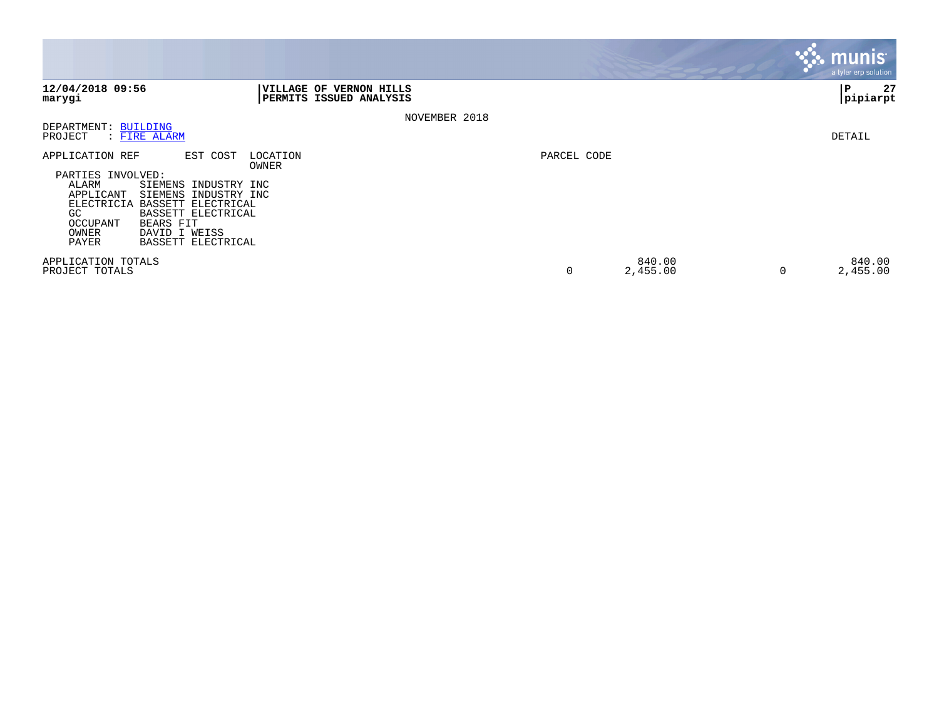|                                                                                                                                                                                                                                                                                  |                                                    |             |                    |   | munis <sup>'</sup><br>a tyler erp solution |
|----------------------------------------------------------------------------------------------------------------------------------------------------------------------------------------------------------------------------------------------------------------------------------|----------------------------------------------------|-------------|--------------------|---|--------------------------------------------|
| 12/04/2018 09:56<br>marygi                                                                                                                                                                                                                                                       | VILLAGE OF VERNON HILLS<br>PERMITS ISSUED ANALYSIS |             |                    |   | 27<br>IΡ<br> pipiarpt                      |
|                                                                                                                                                                                                                                                                                  | NOVEMBER 2018                                      |             |                    |   |                                            |
| DEPARTMENT: BUILDING<br>PROJECT<br>: FIRE ALARM                                                                                                                                                                                                                                  |                                                    |             |                    |   | DETAIL                                     |
| APPLICATION REF<br>EST COST<br>PARTIES INVOLVED:<br>ALARM<br>SIEMENS INDUSTRY INC<br>APPLICANT<br>SIEMENS INDUSTRY INC<br><b>ELECTRICIA</b><br>BASSETT ELECTRICAL<br>BASSETT ELECTRICAL<br>GC.<br>OCCUPANT<br>BEARS FIT<br>OWNER<br>DAVID I WEISS<br>PAYER<br>BASSETT ELECTRICAL | LOCATION<br>OWNER                                  | PARCEL CODE |                    |   |                                            |
| APPLICATION TOTALS<br>PROJECT TOTALS                                                                                                                                                                                                                                             |                                                    | 0           | 840.00<br>2,455.00 | 0 | 840.00<br>2,455.00                         |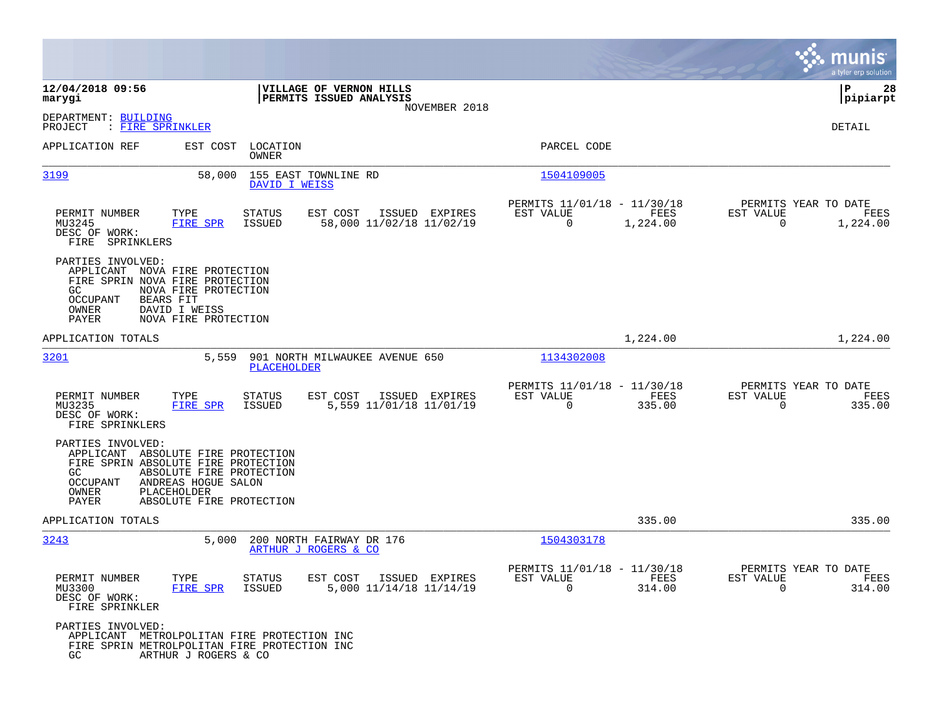|                                                                                                                                                   |                                                                             |                                                    |                |                                                      |                  |                                                  | a tyler erp solution  |
|---------------------------------------------------------------------------------------------------------------------------------------------------|-----------------------------------------------------------------------------|----------------------------------------------------|----------------|------------------------------------------------------|------------------|--------------------------------------------------|-----------------------|
| 12/04/2018 09:56<br>marygi                                                                                                                        |                                                                             | VILLAGE OF VERNON HILLS<br>PERMITS ISSUED ANALYSIS |                |                                                      |                  |                                                  | l P<br>28<br>pipiarpt |
| DEPARTMENT: BUILDING<br>PROJECT<br>: FIRE SPRINKLER                                                                                               |                                                                             |                                                    | NOVEMBER 2018  |                                                      |                  |                                                  | DETAIL                |
| APPLICATION REF                                                                                                                                   | EST COST<br>LOCATION<br>OWNER                                               |                                                    |                | PARCEL CODE                                          |                  |                                                  |                       |
| 3199                                                                                                                                              | 58,000                                                                      | 155 EAST TOWNLINE RD<br>DAVID I WEISS              |                | 1504109005                                           |                  |                                                  |                       |
| PERMIT NUMBER<br>MU3245<br>DESC OF WORK:<br>FIRE SPRINKLERS                                                                                       | TYPE<br><b>STATUS</b><br><b>FIRE SPR</b><br>ISSUED                          | EST COST<br>58,000 11/02/18 11/02/19               | ISSUED EXPIRES | PERMITS 11/01/18 - 11/30/18<br>EST VALUE<br>$\Omega$ | FEES<br>1,224.00 | PERMITS YEAR TO DATE<br>EST VALUE<br>$\mathbf 0$ | FEES<br>1,224.00      |
| PARTIES INVOLVED:<br>APPLICANT NOVA FIRE PROTECTION<br>FIRE SPRIN NOVA FIRE PROTECTION<br>GC<br>BEARS FIT<br>OCCUPANT<br>OWNER<br>PAYER           | NOVA FIRE PROTECTION<br>DAVID I WEISS<br>NOVA FIRE PROTECTION               |                                                    |                |                                                      |                  |                                                  |                       |
| APPLICATION TOTALS                                                                                                                                |                                                                             |                                                    |                |                                                      | 1,224.00         |                                                  | 1,224.00              |
| 3201                                                                                                                                              | 5,559<br><b>PLACEHOLDER</b>                                                 | 901 NORTH MILWAUKEE AVENUE 650                     |                | 1134302008                                           |                  |                                                  |                       |
| PERMIT NUMBER<br>MU3235<br>DESC OF WORK:<br>FIRE SPRINKLERS                                                                                       | TYPE<br><b>STATUS</b><br><b>FIRE SPR</b><br>ISSUED                          | EST COST<br>5,559 11/01/18 11/01/19                | ISSUED EXPIRES | PERMITS 11/01/18 - 11/30/18<br>EST VALUE<br>$\Omega$ | FEES<br>335.00   | PERMITS YEAR TO DATE<br>EST VALUE<br>$\mathbf 0$ | FEES<br>335.00        |
| PARTIES INVOLVED:<br>APPLICANT ABSOLUTE FIRE PROTECTION<br>FIRE SPRIN ABSOLUTE FIRE PROTECTION<br>GC<br>OCCUPANT<br>PLACEHOLDER<br>OWNER<br>PAYER | ABSOLUTE FIRE PROTECTION<br>ANDREAS HOGUE SALON<br>ABSOLUTE FIRE PROTECTION |                                                    |                |                                                      |                  |                                                  |                       |
| APPLICATION TOTALS                                                                                                                                |                                                                             |                                                    |                |                                                      | 335.00           |                                                  | 335.00                |
| 3243                                                                                                                                              | 5.000                                                                       | 200 NORTH FAIRWAY DR 176<br>ARTHUR J ROGERS & CO   |                | 1504303178                                           |                  |                                                  |                       |
| PERMIT NUMBER<br>MU3300<br>DESC OF WORK:<br>FIRE SPRINKLER                                                                                        | TYPE<br><b>STATUS</b><br>FIRE SPR<br>ISSUED                                 | EST COST<br>5,000 11/14/18 11/14/19                | ISSUED EXPIRES | PERMITS 11/01/18 - 11/30/18<br>EST VALUE<br>$\Omega$ | FEES<br>314.00   | PERMITS YEAR TO DATE<br>EST VALUE<br>$\Omega$    | FEES<br>314.00        |
| PARTIES INVOLVED:<br>APPLICANT METROLPOLITAN FIRE PROTECTION INC<br>FIRE SPRIN METROLPOLITAN FIRE PROTECTION INC<br>GC                            | ARTHUR J ROGERS & CO                                                        |                                                    |                |                                                      |                  |                                                  |                       |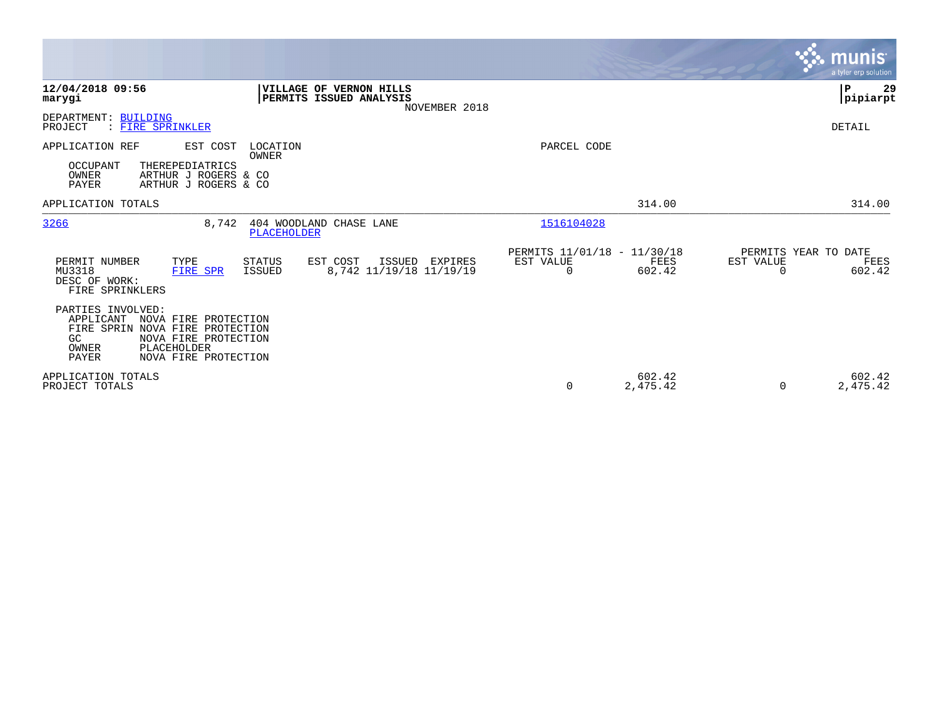|                                                                                                                                                                                         |                                                                                     |                                                      | <b>munis</b><br>a tyler erp solution                                              |
|-----------------------------------------------------------------------------------------------------------------------------------------------------------------------------------------|-------------------------------------------------------------------------------------|------------------------------------------------------|-----------------------------------------------------------------------------------|
| 12/04/2018 09:56<br>marygi                                                                                                                                                              | VILLAGE OF VERNON HILLS<br>PERMITS ISSUED ANALYSIS<br>NOVEMBER 2018                 |                                                      | P<br>29<br> pipiarpt                                                              |
| DEPARTMENT: BUILDING<br>: FIRE SPRINKLER<br>PROJECT                                                                                                                                     |                                                                                     |                                                      | DETAIL                                                                            |
| APPLICATION REF<br>EST COST<br><b>OCCUPANT</b><br>THEREPEDIATRICS<br>OWNER<br>ARTHUR J ROGERS & CO<br><b>PAYER</b><br>ARTHUR J ROGERS & CO                                              | LOCATION<br>OWNER                                                                   | PARCEL CODE                                          |                                                                                   |
| APPLICATION TOTALS                                                                                                                                                                      |                                                                                     |                                                      | 314.00<br>314.00                                                                  |
| 3266<br>8,742                                                                                                                                                                           | 404 WOODLAND CHASE LANE<br>PLACEHOLDER                                              | 1516104028                                           |                                                                                   |
| PERMIT NUMBER<br>TYPE<br>MU3318<br>FIRE SPR<br>DESC OF WORK:<br>FIRE SPRINKLERS                                                                                                         | EST COST<br>STATUS<br>ISSUED<br>EXPIRES<br>8,742 11/19/18 11/19/19<br><b>ISSUED</b> | PERMITS 11/01/18 - 11/30/18<br>EST VALUE<br>$\Omega$ | PERMITS YEAR TO DATE<br>EST VALUE<br>FEES<br>FEES<br>602.42<br>602.42<br>$\Omega$ |
| PARTIES INVOLVED:<br>APPLICANT<br>NOVA FIRE PROTECTION<br>FIRE SPRIN NOVA FIRE PROTECTION<br>NOVA FIRE PROTECTION<br>GC<br>PLACEHOLDER<br>OWNER<br><b>PAYER</b><br>NOVA FIRE PROTECTION |                                                                                     |                                                      |                                                                                   |
| APPLICATION TOTALS<br>PROJECT TOTALS                                                                                                                                                    |                                                                                     | 0                                                    | 602.42<br>602.42<br>2,475.42<br>2,475.42<br>0                                     |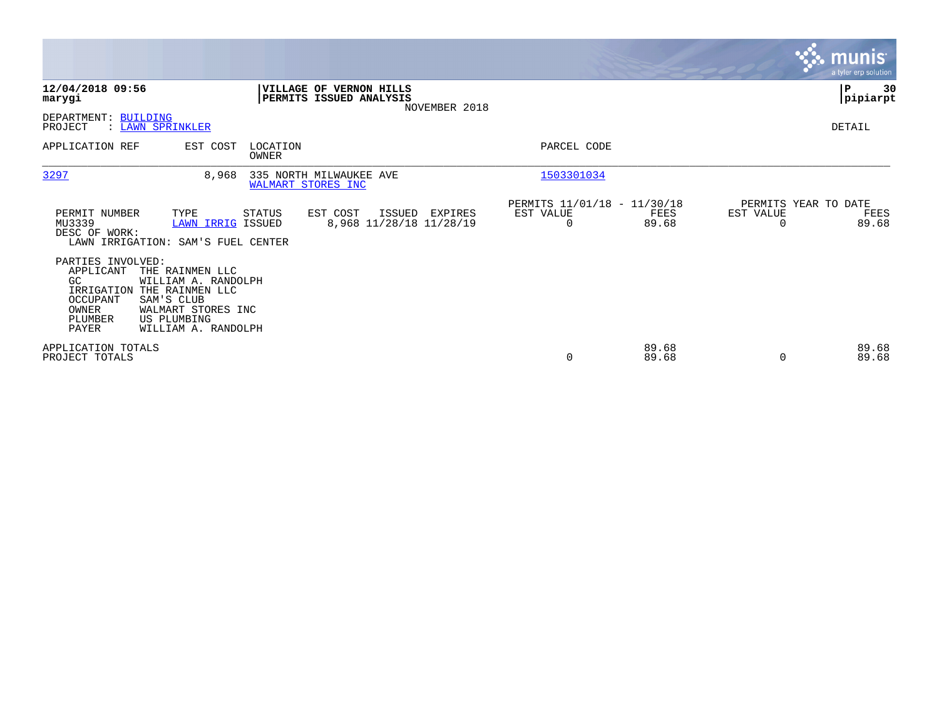|                                                                                                                                                                                                                                           |                                                                              |                                                                    |                |                                               | <b>munis</b><br>a tyler erp solution |
|-------------------------------------------------------------------------------------------------------------------------------------------------------------------------------------------------------------------------------------------|------------------------------------------------------------------------------|--------------------------------------------------------------------|----------------|-----------------------------------------------|--------------------------------------|
| 12/04/2018 09:56<br>marygi                                                                                                                                                                                                                | VILLAGE OF VERNON HILLS<br>PERMITS ISSUED ANALYSIS                           | NOVEMBER 2018                                                      |                |                                               | ∣P<br>30<br> pipiarpt                |
| DEPARTMENT: BUILDING<br>PROJECT<br>: LAWN SPRINKLER                                                                                                                                                                                       |                                                                              |                                                                    |                |                                               | DETAIL                               |
| APPLICATION REF<br>EST COST                                                                                                                                                                                                               | LOCATION<br>OWNER                                                            | PARCEL CODE                                                        |                |                                               |                                      |
| 3297<br>8,968                                                                                                                                                                                                                             | 335 NORTH MILWAUKEE AVE<br>WALMART STORES INC                                | 1503301034                                                         |                |                                               |                                      |
| PERMIT NUMBER<br>TYPE<br>MU3339<br>DESC OF WORK:<br>LAWN IRRIGATION: SAM'S FUEL CENTER                                                                                                                                                    | STATUS<br>EST COST<br>ISSUED<br>8,968 11/28/18 11/28/19<br>LAWN IRRIG ISSUED | PERMITS 11/01/18 - 11/30/18<br>EST VALUE<br>EXPIRES<br>$\mathbf 0$ | FEES<br>89.68  | PERMITS YEAR TO DATE<br>EST VALUE<br>$\Omega$ | FEES<br>89.68                        |
| PARTIES INVOLVED:<br>APPLICANT<br>THE RAINMEN LLC<br>GC<br>WILLIAM A. RANDOLPH<br>IRRIGATION<br>THE RAINMEN LLC<br>OCCUPANT<br>SAM'S CLUB<br>OWNER<br>WALMART STORES INC<br>PLUMBER<br>US PLUMBING<br><b>PAYER</b><br>WILLIAM A. RANDOLPH |                                                                              |                                                                    |                |                                               |                                      |
| APPLICATION TOTALS<br>PROJECT TOTALS                                                                                                                                                                                                      |                                                                              | 0                                                                  | 89.68<br>89.68 | $\Omega$                                      | 89.68<br>89.68                       |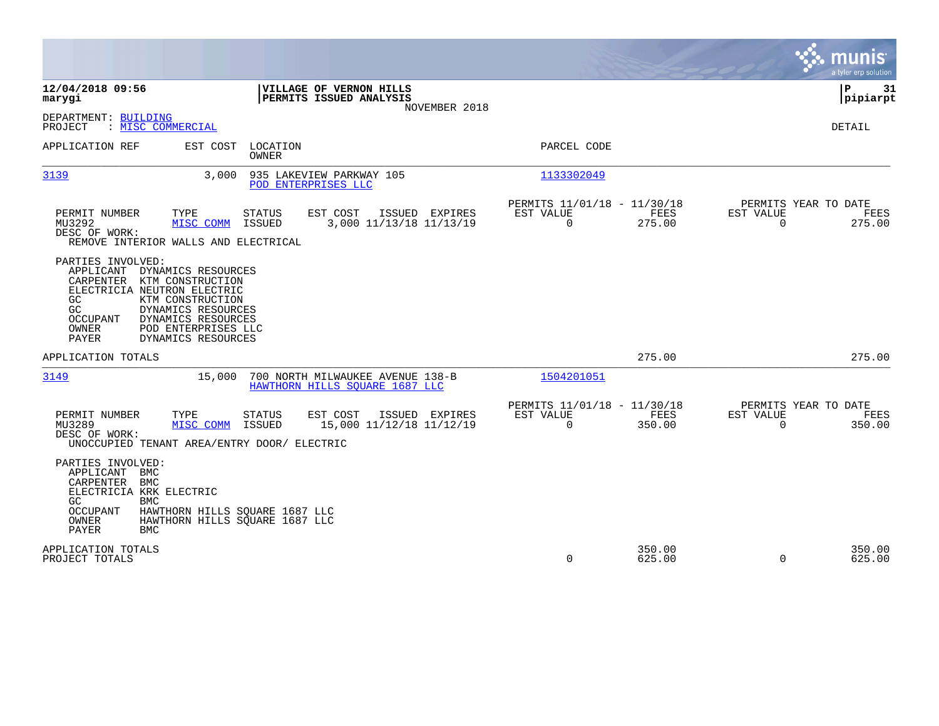|                                                                                                                                                                                                                                                                                           |                                                                     |                                                            |                  |                                               | munis<br>a tyler erp solution |
|-------------------------------------------------------------------------------------------------------------------------------------------------------------------------------------------------------------------------------------------------------------------------------------------|---------------------------------------------------------------------|------------------------------------------------------------|------------------|-----------------------------------------------|-------------------------------|
| 12/04/2018 09:56<br>marygi                                                                                                                                                                                                                                                                | VILLAGE OF VERNON HILLS<br>PERMITS ISSUED ANALYSIS<br>NOVEMBER 2018 |                                                            |                  |                                               | ΙP<br>31<br>pipiarpt          |
| DEPARTMENT: BUILDING<br>PROJECT<br>: MISC COMMERCIAL                                                                                                                                                                                                                                      |                                                                     |                                                            |                  |                                               | <b>DETAIL</b>                 |
| APPLICATION REF<br>EST COST<br>LOCATION<br><b>OWNER</b>                                                                                                                                                                                                                                   |                                                                     | PARCEL CODE                                                |                  |                                               |                               |
| 3139<br>3.000                                                                                                                                                                                                                                                                             | 935 LAKEVIEW PARKWAY 105<br>POD ENTERPRISES LLC                     | 1133302049                                                 |                  |                                               |                               |
| PERMIT NUMBER<br>TYPE<br>STATUS<br>MU3292<br>MISC COMM<br>ISSUED<br>DESC OF WORK:<br>REMOVE INTERIOR WALLS AND ELECTRICAL                                                                                                                                                                 | EST COST<br>ISSUED EXPIRES<br>3,000 11/13/18 11/13/19               | PERMITS 11/01/18 - 11/30/18<br>EST VALUE<br>$\overline{0}$ | FEES<br>275.00   | PERMITS YEAR TO DATE<br>EST VALUE<br>$\Omega$ | FEES<br>275.00                |
| PARTIES INVOLVED:<br>APPLICANT<br>DYNAMICS RESOURCES<br>CARPENTER<br>KTM CONSTRUCTION<br>ELECTRICIA NEUTRON ELECTRIC<br>GC<br>KTM CONSTRUCTION<br>DYNAMICS RESOURCES<br>GC<br>DYNAMICS RESOURCES<br><b>OCCUPANT</b><br>OWNER<br>POD ENTERPRISES LLC<br><b>PAYER</b><br>DYNAMICS RESOURCES |                                                                     |                                                            |                  |                                               |                               |
| APPLICATION TOTALS                                                                                                                                                                                                                                                                        |                                                                     |                                                            | 275.00           |                                               | 275.00                        |
| 3149<br>15,000                                                                                                                                                                                                                                                                            | 700 NORTH MILWAUKEE AVENUE 138-B<br>HAWTHORN HILLS SOUARE 1687 LLC  | 1504201051                                                 |                  |                                               |                               |
| PERMIT NUMBER<br>TYPE<br><b>STATUS</b><br>MU3289<br>MISC COMM<br>ISSUED<br>DESC OF WORK:<br>UNOCCUPIED TENANT AREA/ENTRY DOOR/ ELECTRIC                                                                                                                                                   | EST COST<br>ISSUED EXPIRES<br>15,000 11/12/18 11/12/19              | PERMITS 11/01/18 - 11/30/18<br>EST VALUE<br>$\Omega$       | FEES<br>350.00   | PERMITS YEAR TO DATE<br>EST VALUE<br>$\Omega$ | FEES<br>350.00                |
| PARTIES INVOLVED:<br>APPLICANT<br>BMC<br>CARPENTER<br>BMC<br>ELECTRICIA KRK ELECTRIC<br>GC.<br><b>BMC</b><br><b>OCCUPANT</b><br>HAWTHORN HILLS SQUARE 1687 LLC<br><b>OWNER</b><br>HAWTHORN HILLS SQUARE 1687 LLC<br><b>PAYER</b><br><b>BMC</b>                                            |                                                                     |                                                            |                  |                                               |                               |
| APPLICATION TOTALS<br>PROJECT TOTALS                                                                                                                                                                                                                                                      |                                                                     | 0                                                          | 350.00<br>625.00 | $\Omega$                                      | 350.00<br>625.00              |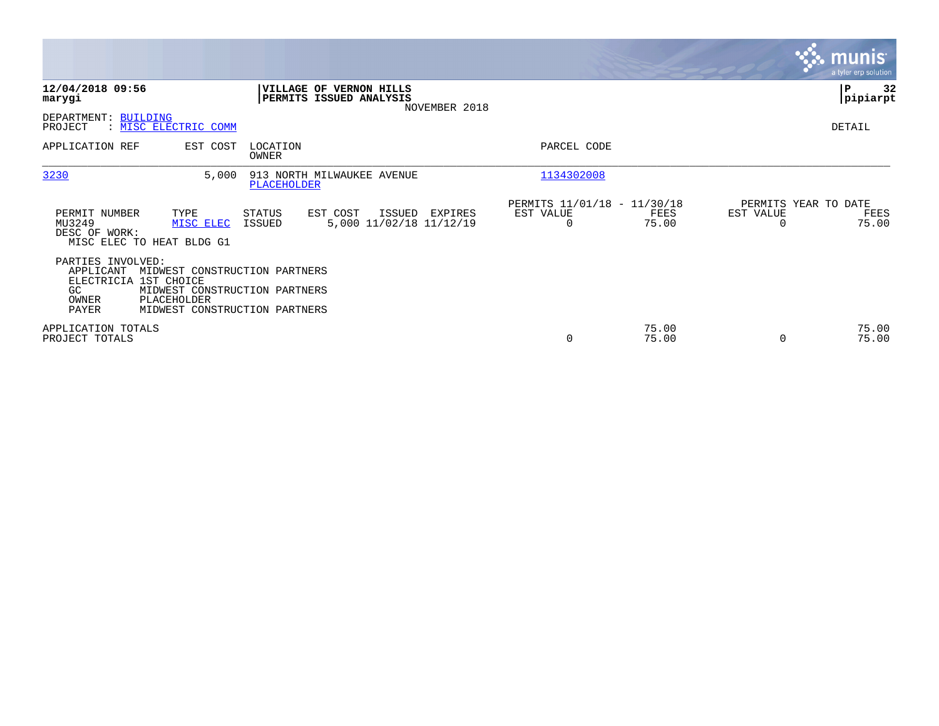|                                                                                 |                                                                                                                |                          |                                                                            |                       |                                              |                                               | <b>munis</b><br>a tyler erp solution |
|---------------------------------------------------------------------------------|----------------------------------------------------------------------------------------------------------------|--------------------------|----------------------------------------------------------------------------|-----------------------|----------------------------------------------|-----------------------------------------------|--------------------------------------|
| 12/04/2018 09:56<br>marygi                                                      |                                                                                                                |                          | <b>VILLAGE OF VERNON HILLS</b><br>PERMITS ISSUED ANALYSIS<br>NOVEMBER 2018 |                       |                                              |                                               | 32<br>P<br> pipiarpt                 |
| DEPARTMENT: BUILDING<br>PROJECT                                                 | : MISC ELECTRIC COMM                                                                                           |                          |                                                                            |                       |                                              |                                               | DETAIL                               |
| APPLICATION REF                                                                 | EST COST                                                                                                       | LOCATION<br><b>OWNER</b> |                                                                            | PARCEL CODE           |                                              |                                               |                                      |
| 3230                                                                            | 5,000                                                                                                          | PLACEHOLDER              | 913 NORTH MILWAUKEE AVENUE                                                 | 1134302008            |                                              |                                               |                                      |
| PERMIT NUMBER<br>MU3249<br>DESC OF WORK:                                        | TYPE<br>MISC ELEC<br>MISC ELEC TO HEAT BLDG G1                                                                 | STATUS<br>ISSUED         | ISSUED<br>EST COST<br>EXPIRES<br>5,000 11/02/18 11/12/19                   | EST VALUE<br>$\Omega$ | PERMITS 11/01/18 - 11/30/18<br>FEES<br>75.00 | PERMITS YEAR TO DATE<br>EST VALUE<br>$\Omega$ | FEES<br>75.00                        |
| PARTIES INVOLVED:<br>APPLICANT<br>ELECTRICIA 1ST CHOICE<br>GC<br>OWNER<br>PAYER | MIDWEST CONSTRUCTION PARTNERS<br>MIDWEST CONSTRUCTION PARTNERS<br>PLACEHOLDER<br>MIDWEST CONSTRUCTION PARTNERS |                          |                                                                            |                       |                                              |                                               |                                      |
| APPLICATION TOTALS<br>PROJECT TOTALS                                            |                                                                                                                |                          |                                                                            | 0                     | 75.00<br>75.00                               | 0                                             | 75.00<br>75.00                       |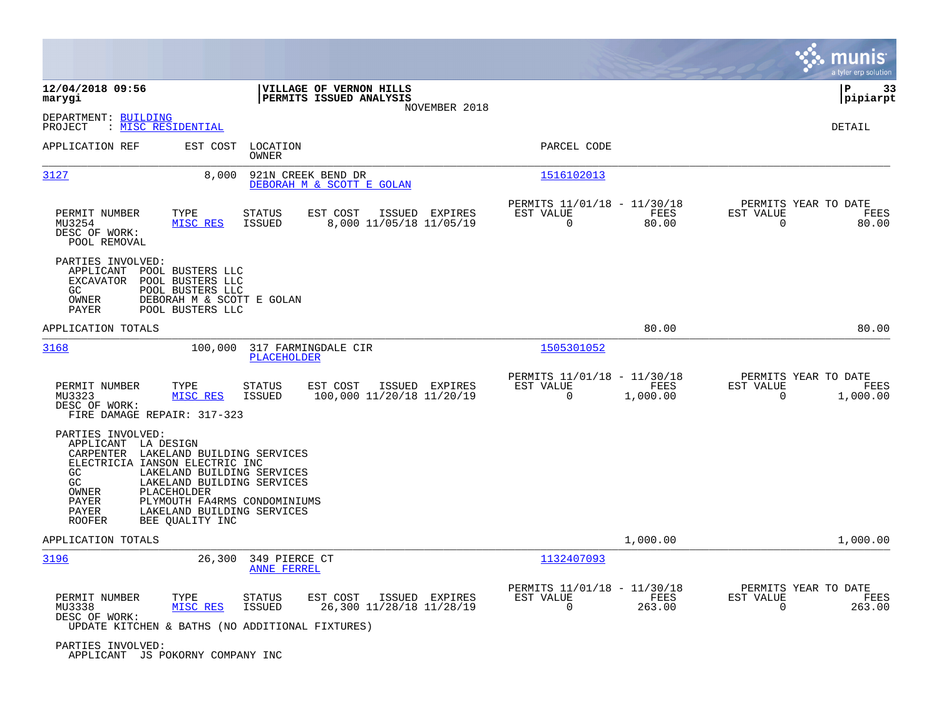|                                                                                                               |                                                                                                                                                                                                                          |                                                                     |                                                            | munis<br>a tyler erp solution                                                            |
|---------------------------------------------------------------------------------------------------------------|--------------------------------------------------------------------------------------------------------------------------------------------------------------------------------------------------------------------------|---------------------------------------------------------------------|------------------------------------------------------------|------------------------------------------------------------------------------------------|
| 12/04/2018 09:56<br>marygi                                                                                    |                                                                                                                                                                                                                          | VILLAGE OF VERNON HILLS<br>PERMITS ISSUED ANALYSIS<br>NOVEMBER 2018 |                                                            | ΙP<br>33<br> pipiarpt                                                                    |
| DEPARTMENT: BUILDING<br>PROJECT                                                                               | : MISC RESIDENTIAL                                                                                                                                                                                                       |                                                                     |                                                            | <b>DETAIL</b>                                                                            |
| APPLICATION REF                                                                                               | EST COST<br>LOCATION<br>OWNER                                                                                                                                                                                            |                                                                     | PARCEL CODE                                                |                                                                                          |
| 3127                                                                                                          | 8,000                                                                                                                                                                                                                    | 921N CREEK BEND DR<br>DEBORAH M & SCOTT E GOLAN                     | 1516102013                                                 |                                                                                          |
| PERMIT NUMBER<br>MU3254<br>DESC OF WORK:<br>POOL REMOVAL                                                      | TYPE<br><b>STATUS</b><br>MISC RES<br><b>ISSUED</b>                                                                                                                                                                       | EST COST<br>ISSUED EXPIRES<br>8,000 11/05/18 11/05/19               | PERMITS 11/01/18 - 11/30/18<br>EST VALUE<br>0              | PERMITS YEAR TO DATE<br>EST VALUE<br>FEES<br>FEES<br>80.00<br>0<br>80.00                 |
| PARTIES INVOLVED:<br>APPLICANT<br>EXCAVATOR<br>GC<br>OWNER<br>PAYER                                           | POOL BUSTERS LLC<br>POOL BUSTERS LLC<br>POOL BUSTERS LLC<br>DEBORAH M & SCOTT E GOLAN<br>POOL BUSTERS LLC                                                                                                                |                                                                     |                                                            |                                                                                          |
| APPLICATION TOTALS                                                                                            |                                                                                                                                                                                                                          |                                                                     |                                                            | 80.00<br>80.00                                                                           |
| 3168                                                                                                          | 100,000<br>PLACEHOLDER                                                                                                                                                                                                   | 317 FARMINGDALE CIR                                                 | 1505301052                                                 |                                                                                          |
| PERMIT NUMBER<br>MU3323<br>DESC OF WORK:<br>FIRE DAMAGE REPAIR: 317-323                                       | <b>STATUS</b><br>TYPE<br>MISC RES<br><b>ISSUED</b>                                                                                                                                                                       | EST COST<br>ISSUED EXPIRES<br>100,000 11/20/18 11/20/19             | PERMITS 11/01/18 - 11/30/18<br>EST VALUE<br>$\mathbf 0$    | PERMITS YEAR TO DATE<br>EST VALUE<br>FEES<br>FEES<br>1,000.00<br>$\mathbf 0$<br>1,000.00 |
| PARTIES INVOLVED:<br>APPLICANT LA DESIGN<br>CARPENTER<br>GC<br>GC<br>OWNER<br>PAYER<br>PAYER<br><b>ROOFER</b> | LAKELAND BUILDING SERVICES<br>ELECTRICIA IANSON ELECTRIC INC<br>LAKELAND BUILDING SERVICES<br>LAKELAND BUILDING SERVICES<br>PLACEHOLDER<br>PLYMOUTH FA4RMS CONDOMINIUMS<br>LAKELAND BUILDING SERVICES<br>BEE QUALITY INC |                                                                     |                                                            |                                                                                          |
| APPLICATION TOTALS                                                                                            |                                                                                                                                                                                                                          |                                                                     |                                                            | 1,000.00<br>1,000.00                                                                     |
| 3196                                                                                                          | 26,300<br>349 PIERCE CT<br><b>ANNE FERREL</b>                                                                                                                                                                            |                                                                     | 1132407093                                                 |                                                                                          |
| PERMIT NUMBER<br>MU3338<br>DESC OF WORK:                                                                      | STATUS<br>TYPE<br>MISC RES<br><b>ISSUED</b><br>UPDATE KITCHEN & BATHS (NO ADDITIONAL FIXTURES)                                                                                                                           | EST COST<br>ISSUED EXPIRES<br>26,300 11/28/18 11/28/19              | PERMITS 11/01/18 - 11/30/18<br>EST VALUE<br>$\overline{0}$ | PERMITS YEAR TO DATE<br>FEES<br>EST VALUE<br>FEES<br>263.00<br>$\mathbf 0$<br>263.00     |
| PARTIES INVOLVED:                                                                                             | APPLICANT JS POKORNY COMPANY INC                                                                                                                                                                                         |                                                                     |                                                            |                                                                                          |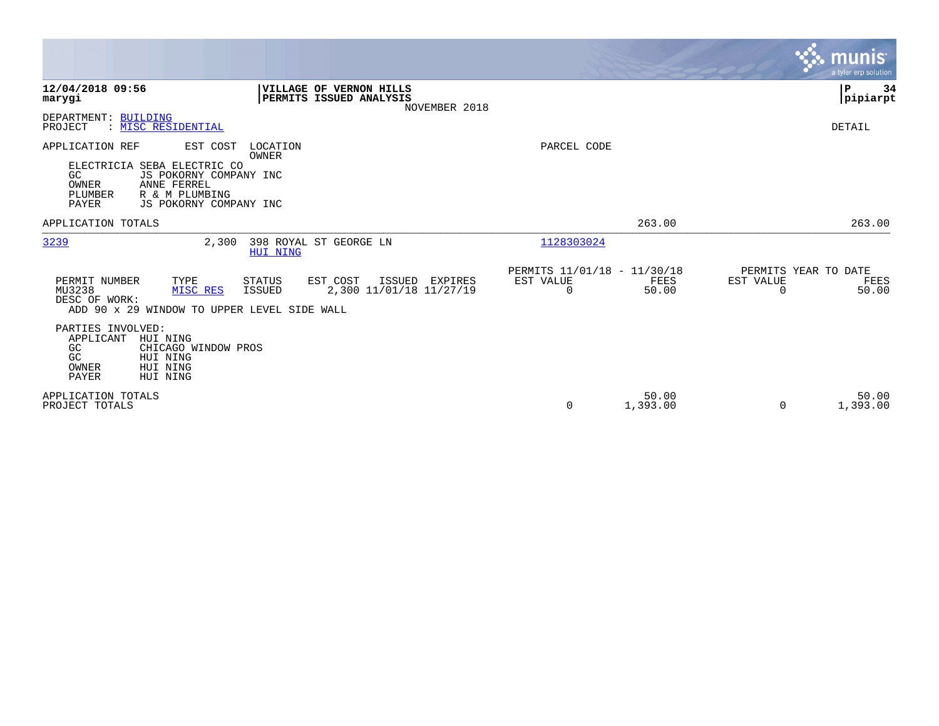|                                                                                                                                                                                    |                                                                                         |                                               |                   | munis <sup>®</sup><br>a tyler erp solution              |
|------------------------------------------------------------------------------------------------------------------------------------------------------------------------------------|-----------------------------------------------------------------------------------------|-----------------------------------------------|-------------------|---------------------------------------------------------|
| 12/04/2018 09:56<br>marygi                                                                                                                                                         | VILLAGE OF VERNON HILLS<br>PERMITS ISSUED ANALYSIS<br>NOVEMBER 2018                     |                                               |                   | P<br>34<br> pipiarpt                                    |
| DEPARTMENT: BUILDING<br>PROJECT<br>: MISC RESIDENTIAL                                                                                                                              |                                                                                         |                                               |                   | DETAIL                                                  |
| APPLICATION REF<br>EST COST<br>ELECTRICIA SEBA ELECTRIC CO<br>GC<br>JS POKORNY COMPANY INC<br>OWNER<br>ANNE FERREL<br>PLUMBER<br>R & M PLUMBING<br>PAYER<br>JS POKORNY COMPANY INC | LOCATION<br>OWNER                                                                       | PARCEL CODE                                   |                   |                                                         |
| APPLICATION TOTALS                                                                                                                                                                 |                                                                                         |                                               | 263.00            | 263.00                                                  |
| 3239<br>2,300                                                                                                                                                                      | 398 ROYAL ST GEORGE LN<br><b>HUI NING</b>                                               | 1128303024                                    |                   |                                                         |
| PERMIT NUMBER<br>TYPE<br>MU3238<br>MISC RES<br>DESC OF WORK:<br>ADD 90 x 29 WINDOW TO UPPER LEVEL SIDE WALL                                                                        | <b>STATUS</b><br>EST COST<br>ISSUED EXPIRES<br><b>ISSUED</b><br>2,300 11/01/18 11/27/19 | PERMITS 11/01/18 - 11/30/18<br>EST VALUE<br>0 | FEES<br>50.00     | PERMITS YEAR TO DATE<br>EST VALUE<br>FEES<br>0<br>50.00 |
| PARTIES INVOLVED:<br>APPLICANT<br>HUI NING<br>GC<br>CHICAGO WINDOW PROS<br>GC<br>HUI NING<br>HUI NING<br>OWNER<br>PAYER<br>HUI NING                                                |                                                                                         |                                               |                   |                                                         |
| APPLICATION TOTALS<br>PROJECT TOTALS                                                                                                                                               |                                                                                         | 0                                             | 50.00<br>1,393.00 | 50.00<br>1,393.00<br>0                                  |

 $\mathcal{L}^{\text{max}}$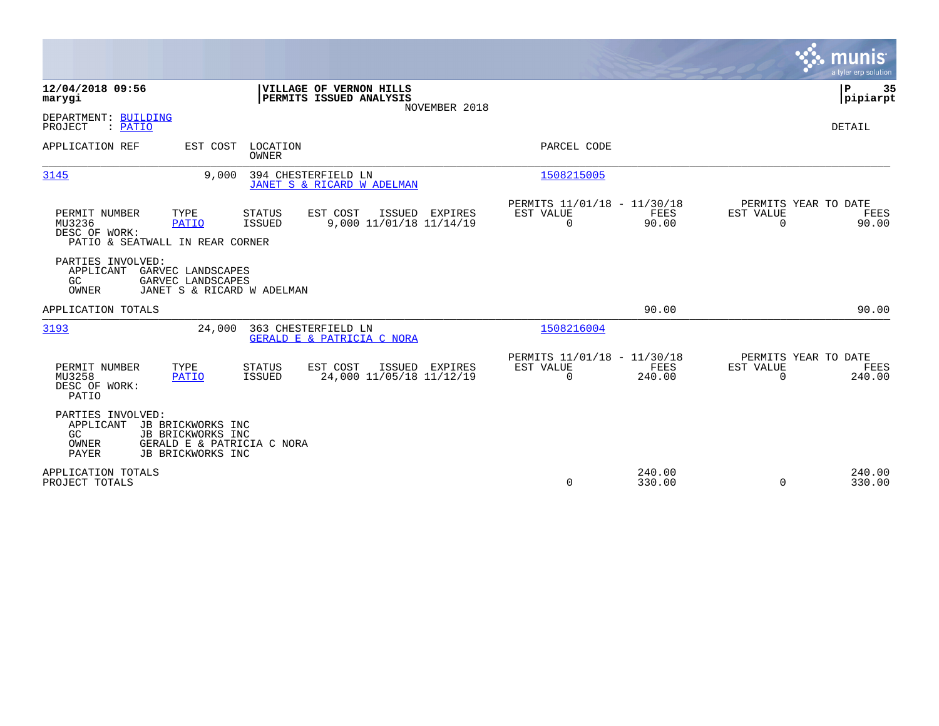|                                                                                                                                                     |                                                                     |                                                             | munis<br>a tyler erp solution                                                                   |
|-----------------------------------------------------------------------------------------------------------------------------------------------------|---------------------------------------------------------------------|-------------------------------------------------------------|-------------------------------------------------------------------------------------------------|
| 12/04/2018 09:56<br>marygi                                                                                                                          | VILLAGE OF VERNON HILLS<br>PERMITS ISSUED ANALYSIS<br>NOVEMBER 2018 |                                                             | Þ<br>35<br> pipiarpt                                                                            |
| DEPARTMENT: BUILDING<br>PROJECT<br>: PATIO                                                                                                          |                                                                     |                                                             | <b>DETAIL</b>                                                                                   |
| APPLICATION REF<br>EST COST LOCATION<br>OWNER                                                                                                       |                                                                     | PARCEL CODE                                                 |                                                                                                 |
| 9.000<br>3145                                                                                                                                       | 394 CHESTERFIELD LN<br>JANET S & RICARD W ADELMAN                   | 1508215005                                                  |                                                                                                 |
| PERMIT NUMBER<br>TYPE<br><b>STATUS</b><br>MU3236<br><b>PATIO</b><br>ISSUED<br>DESC OF WORK:<br>PATIO & SEATWALL IN REAR CORNER                      | EST COST<br>ISSUED EXPIRES<br>9,000 11/01/18 11/14/19               | PERMITS 11/01/18 - 11/30/18<br>EST VALUE<br>$\Omega$        | PERMITS YEAR TO DATE<br>FEES<br>EST VALUE<br>FEES<br>90.00<br>$\Omega$<br>90.00                 |
| PARTIES INVOLVED:<br>APPLICANT<br>GARVEC LANDSCAPES<br>GC<br>GARVEC LANDSCAPES<br>OWNER<br>JANET S & RICARD W ADELMAN                               |                                                                     |                                                             |                                                                                                 |
| APPLICATION TOTALS                                                                                                                                  |                                                                     |                                                             | 90.00<br>90.00                                                                                  |
| 3193<br>24,000                                                                                                                                      | 363 CHESTERFIELD LN<br>GERALD E & PATRICIA C NORA                   | 1508216004                                                  |                                                                                                 |
| PERMIT NUMBER<br>TYPE<br><b>STATUS</b><br>MU3258<br>ISSUED<br>PATIO<br>DESC OF WORK:<br>PATIO                                                       | EST COST<br>ISSUED EXPIRES<br>24,000 11/05/18 11/12/19              | PERMITS 11/01/18 - 11/30/18<br><b>EST VALUE</b><br>$\Omega$ | PERMITS YEAR TO DATE<br><b>FEES</b><br><b>EST VALUE</b><br>FEES<br>240.00<br>$\Omega$<br>240.00 |
| PARTIES INVOLVED:<br>APPLICANT<br>JB BRICKWORKS INC<br>GC<br>JB BRICKWORKS INC<br>OWNER<br>GERALD E & PATRICIA C NORA<br>PAYER<br>JB BRICKWORKS INC |                                                                     |                                                             |                                                                                                 |
| APPLICATION TOTALS<br>PROJECT TOTALS                                                                                                                |                                                                     | $\Omega$                                                    | 240.00<br>240.00<br>$\Omega$<br>330.00<br>330.00                                                |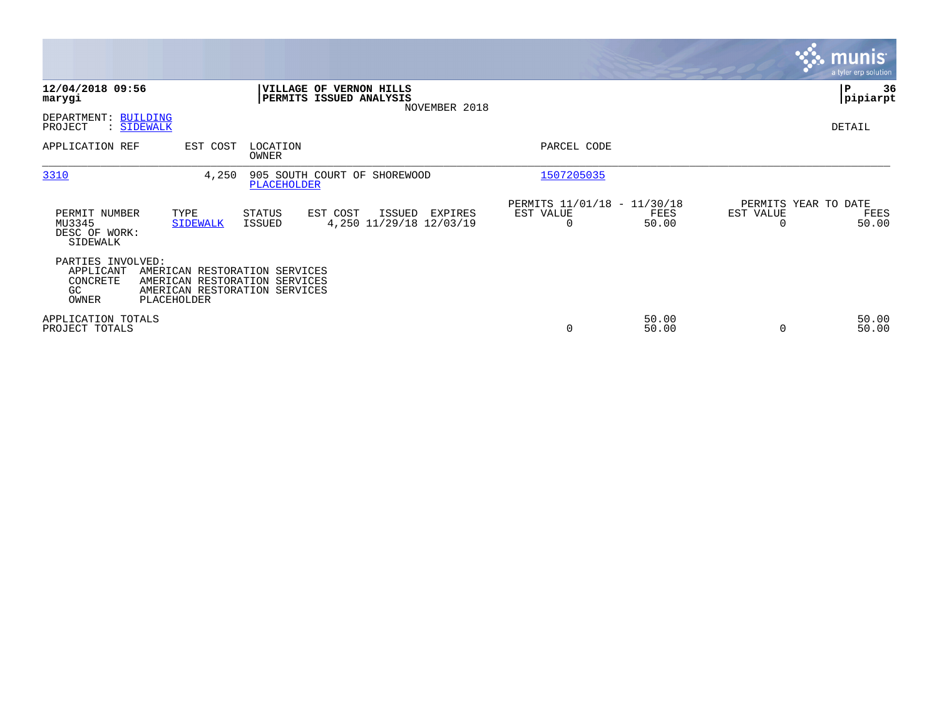|                                                            |                                                                                                                       |                   |                                                                     |                                                      |                |           | <b>munis</b><br>a tyler erp solution  |
|------------------------------------------------------------|-----------------------------------------------------------------------------------------------------------------------|-------------------|---------------------------------------------------------------------|------------------------------------------------------|----------------|-----------|---------------------------------------|
| 12/04/2018 09:56<br>marygi                                 |                                                                                                                       |                   | VILLAGE OF VERNON HILLS<br>PERMITS ISSUED ANALYSIS<br>NOVEMBER 2018 |                                                      |                |           | ∣P<br>36<br> pipiarpt                 |
| DEPARTMENT: BUILDING<br>PROJECT<br>: SIDEWALK              |                                                                                                                       |                   |                                                                     |                                                      |                |           | DETAIL                                |
| APPLICATION REF                                            | EST COST                                                                                                              | LOCATION<br>OWNER |                                                                     | PARCEL CODE                                          |                |           |                                       |
| 3310                                                       | 4,250                                                                                                                 | PLACEHOLDER       | 905 SOUTH COURT OF SHOREWOOD                                        | 1507205035                                           |                |           |                                       |
| PERMIT NUMBER<br>MU3345<br>DESC OF WORK:<br>SIDEWALK       | TYPE<br><b>SIDEWALK</b>                                                                                               | STATUS<br>ISSUED  | EST COST<br>ISSUED<br>EXPIRES<br>4,250 11/29/18 12/03/19            | PERMITS 11/01/18 - 11/30/18<br>EST VALUE<br>$\Omega$ | FEES<br>50.00  | EST VALUE | PERMITS YEAR TO DATE<br>FEES<br>50.00 |
| PARTIES INVOLVED:<br>APPLICANT<br>CONCRETE<br>GC.<br>OWNER | AMERICAN RESTORATION SERVICES<br>AMERICAN RESTORATION SERVICES<br>AMERICAN RESTORATION SERVICES<br><b>PLACEHOLDER</b> |                   |                                                                     |                                                      |                |           |                                       |
| APPLICATION TOTALS<br>PROJECT TOTALS                       |                                                                                                                       |                   |                                                                     | 0                                                    | 50.00<br>50.00 |           | 50.00<br>50.00                        |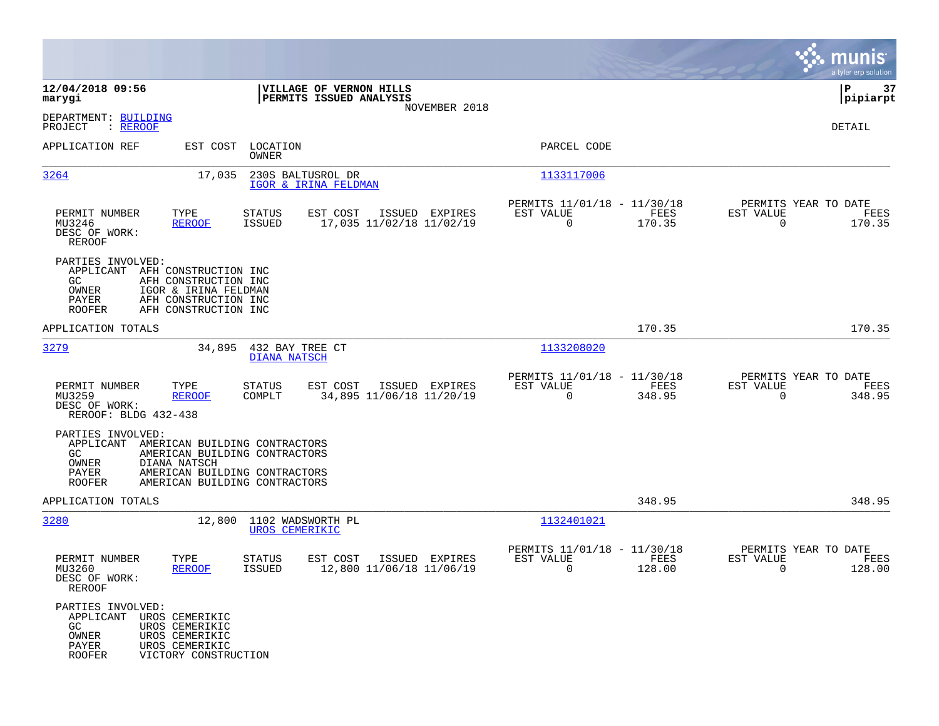|                                                                                                                                                                                                                              |                                                                                   |                                                                              | munis<br>a tyler erp solution                                      |
|------------------------------------------------------------------------------------------------------------------------------------------------------------------------------------------------------------------------------|-----------------------------------------------------------------------------------|------------------------------------------------------------------------------|--------------------------------------------------------------------|
| 12/04/2018 09:56<br>marygi                                                                                                                                                                                                   | VILLAGE OF VERNON HILLS<br>PERMITS ISSUED ANALYSIS                                |                                                                              | ΙP<br>37<br> pipiarpt                                              |
| DEPARTMENT: BUILDING<br>PROJECT<br>: <u>REROOF</u>                                                                                                                                                                           | NOVEMBER 2018                                                                     |                                                                              | DETAIL                                                             |
| APPLICATION REF<br>EST COST                                                                                                                                                                                                  | LOCATION<br>OWNER                                                                 | PARCEL CODE                                                                  |                                                                    |
| 3264<br>17,035                                                                                                                                                                                                               | 230S BALTUSROL DR<br>IGOR & IRINA FELDMAN                                         | 1133117006                                                                   |                                                                    |
| PERMIT NUMBER<br>TYPE<br>MU3246<br><b>REROOF</b><br>DESC OF WORK:<br>REROOF                                                                                                                                                  | <b>STATUS</b><br>EST COST<br>ISSUED EXPIRES<br>17,035 11/02/18 11/02/19<br>ISSUED | PERMITS 11/01/18 - 11/30/18<br>FEES<br>EST VALUE<br>$\overline{0}$<br>170.35 | PERMITS YEAR TO DATE<br>EST VALUE<br>FEES<br>$\mathbf 0$<br>170.35 |
| PARTIES INVOLVED:<br>APPLICANT<br>AFH CONSTRUCTION INC<br>GC.<br>AFH CONSTRUCTION INC<br>OWNER<br>IGOR & IRINA FELDMAN<br>PAYER<br>AFH CONSTRUCTION INC<br><b>ROOFER</b><br>AFH CONSTRUCTION INC                             |                                                                                   |                                                                              |                                                                    |
| APPLICATION TOTALS                                                                                                                                                                                                           |                                                                                   | 170.35                                                                       | 170.35                                                             |
| 3279<br>34,895                                                                                                                                                                                                               | 432 BAY TREE CT<br><b>DIANA NATSCH</b>                                            | 1133208020                                                                   |                                                                    |
| PERMIT NUMBER<br>TYPE<br>MU3259<br><b>REROOF</b><br>DESC OF WORK:<br>REROOF: BLDG 432-438                                                                                                                                    | <b>STATUS</b><br>EST COST<br>ISSUED EXPIRES<br>COMPLT<br>34,895 11/06/18 11/20/19 | PERMITS 11/01/18 - 11/30/18<br>EST VALUE<br>FEES<br>$\mathbf 0$<br>348.95    | PERMITS YEAR TO DATE<br>EST VALUE<br>FEES<br>$\mathbf 0$<br>348.95 |
| PARTIES INVOLVED:<br>APPLICANT<br>AMERICAN BUILDING CONTRACTORS<br>GC.<br>AMERICAN BUILDING CONTRACTORS<br>OWNER<br>DIANA NATSCH<br>PAYER<br>AMERICAN BUILDING CONTRACTORS<br><b>ROOFER</b><br>AMERICAN BUILDING CONTRACTORS |                                                                                   |                                                                              |                                                                    |
| APPLICATION TOTALS                                                                                                                                                                                                           |                                                                                   | 348.95                                                                       | 348.95                                                             |
| 3280<br>12,800                                                                                                                                                                                                               | 1102 WADSWORTH PL<br><b>UROS CEMERIKIC</b>                                        | 1132401021                                                                   |                                                                    |
| PERMIT NUMBER<br>TYPE<br>MU3260<br><b>REROOF</b><br>DESC OF WORK:<br><b>REROOF</b>                                                                                                                                           | EST COST<br>ISSUED EXPIRES<br>STATUS<br><b>ISSUED</b><br>12,800 11/06/18 11/06/19 | PERMITS 11/01/18 - 11/30/18<br>EST VALUE<br>FEES<br>0<br>128.00              | PERMITS YEAR TO DATE<br>EST VALUE<br>FEES<br>0<br>128.00           |
| PARTIES INVOLVED:<br>APPLICANT<br>UROS CEMERIKIC<br>UROS CEMERIKIC<br>GC.<br>OWNER<br>UROS CEMERIKIC<br>PAYER<br>UROS CEMERIKIC<br><b>ROOFER</b><br>VICTORY CONSTRUCTION                                                     |                                                                                   |                                                                              |                                                                    |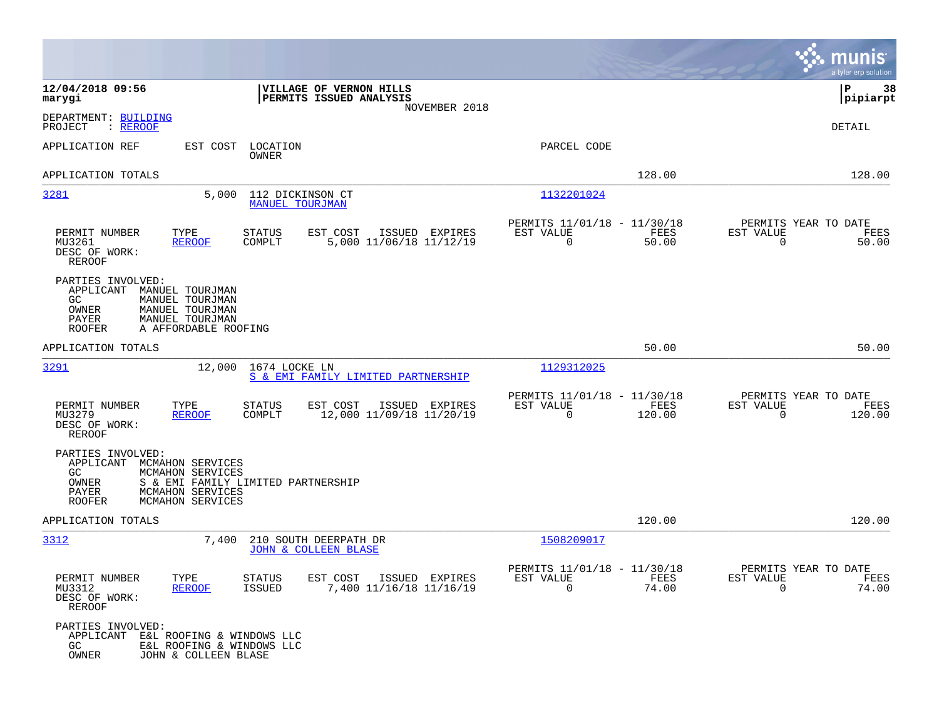|                                                                          |                                                                                                                    |                                                                     |                                                         |                |                                                  | munis<br>a tyler erp solution |
|--------------------------------------------------------------------------|--------------------------------------------------------------------------------------------------------------------|---------------------------------------------------------------------|---------------------------------------------------------|----------------|--------------------------------------------------|-------------------------------|
| 12/04/2018 09:56<br>marygi                                               |                                                                                                                    | VILLAGE OF VERNON HILLS<br>PERMITS ISSUED ANALYSIS<br>NOVEMBER 2018 |                                                         |                |                                                  | 38<br>IΡ<br>$ $ pipiarpt      |
| DEPARTMENT: BUILDING<br>PROJECT<br>: <u>REROOF</u>                       |                                                                                                                    |                                                                     |                                                         |                |                                                  | <b>DETAIL</b>                 |
| APPLICATION REF                                                          | EST COST<br>LOCATION<br>OWNER                                                                                      |                                                                     | PARCEL CODE                                             |                |                                                  |                               |
| APPLICATION TOTALS                                                       |                                                                                                                    |                                                                     |                                                         | 128.00         |                                                  | 128.00                        |
| 3281                                                                     | 5,000<br><b>MANUEL TOURJMAN</b>                                                                                    | 112 DICKINSON CT                                                    | 1132201024                                              |                |                                                  |                               |
| PERMIT NUMBER<br>MU3261<br>DESC OF WORK:<br><b>REROOF</b>                | TYPE<br>STATUS<br><b>REROOF</b><br>COMPLT                                                                          | EST COST<br>ISSUED EXPIRES<br>5,000 11/06/18 11/12/19               | PERMITS 11/01/18 - 11/30/18<br>EST VALUE<br>$\mathbf 0$ | FEES<br>50.00  | PERMITS YEAR TO DATE<br>EST VALUE<br>$\mathbf 0$ | FEES<br>50.00                 |
| PARTIES INVOLVED:<br>APPLICANT<br>GC.<br>OWNER<br>PAYER<br><b>ROOFER</b> | MANUEL TOURJMAN<br>MANUEL TOURJMAN<br>MANUEL TOURJMAN<br>MANUEL TOURJMAN<br>A AFFORDABLE ROOFING                   |                                                                     |                                                         |                |                                                  |                               |
| APPLICATION TOTALS                                                       |                                                                                                                    |                                                                     |                                                         | 50.00          |                                                  | 50.00                         |
| 3291                                                                     | 12,000<br>1674 LOCKE LN                                                                                            | S & EMI FAMILY LIMITED PARTNERSHIP                                  | 1129312025                                              |                |                                                  |                               |
| PERMIT NUMBER<br>MU3279<br>DESC OF WORK:<br>REROOF                       | TYPE<br><b>STATUS</b><br>COMPLT<br><b>REROOF</b>                                                                   | EST COST<br>ISSUED EXPIRES<br>12,000 11/09/18 11/20/19              | PERMITS 11/01/18 - 11/30/18<br>EST VALUE<br>$\mathbf 0$ | FEES<br>120.00 | PERMITS YEAR TO DATE<br>EST VALUE<br>0           | FEES<br>120.00                |
| PARTIES INVOLVED:<br>APPLICANT<br>GC.<br>OWNER<br>PAYER<br><b>ROOFER</b> | MCMAHON SERVICES<br>MCMAHON SERVICES<br>S & EMI FAMILY LIMITED PARTNERSHIP<br>MCMAHON SERVICES<br>MCMAHON SERVICES |                                                                     |                                                         |                |                                                  |                               |
| APPLICATION TOTALS                                                       |                                                                                                                    |                                                                     |                                                         | 120.00         |                                                  | 120.00                        |
| 3312                                                                     | 7,400                                                                                                              | 210 SOUTH DEERPATH DR<br><b>JOHN &amp; COLLEEN BLASE</b>            | 1508209017                                              |                |                                                  |                               |
| PERMIT NUMBER<br>MU3312<br>DESC OF WORK:<br>REROOF                       | TYPE<br>STATUS<br><u>REROOF</u><br>ISSUED                                                                          | EST COST ISSUED EXPIRES<br>7,400 11/16/18 11/16/19                  | PERMITS 11/01/18 - 11/30/18<br>EST AUTOE<br>$\Omega$    | FEES<br>74.00  | PERMITS YEAR TO DATE<br>EST VALUE<br>$\Omega$    | F.F.F.P.<br>74.00             |
| PARTIES INVOLVED:<br>APPLICANT E&L ROOFING & WINDOWS LLC<br>GC<br>OWNER  | E&L ROOFING & WINDOWS LLC<br>JOHN & COLLEEN BLASE                                                                  |                                                                     |                                                         |                |                                                  |                               |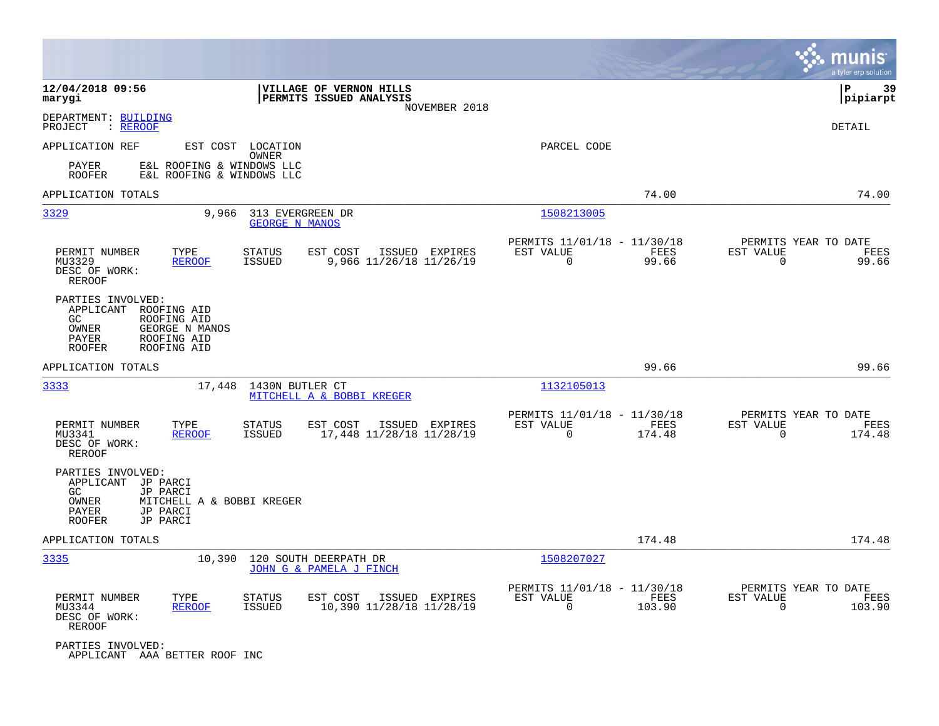|                                                                                                                                                        |                                                        |                                                        |               |                                                            |                |                                                     | munis<br>a tyler erp solution |
|--------------------------------------------------------------------------------------------------------------------------------------------------------|--------------------------------------------------------|--------------------------------------------------------|---------------|------------------------------------------------------------|----------------|-----------------------------------------------------|-------------------------------|
| 12/04/2018 09:56<br>marygi                                                                                                                             |                                                        | VILLAGE OF VERNON HILLS<br>PERMITS ISSUED ANALYSIS     | NOVEMBER 2018 |                                                            |                |                                                     | 39<br>l P<br> pipiarpt        |
| DEPARTMENT: BUILDING<br>PROJECT<br>: REROOF                                                                                                            |                                                        |                                                        |               |                                                            |                |                                                     | DETAIL                        |
| APPLICATION REF                                                                                                                                        | EST COST LOCATION<br>OWNER                             |                                                        |               | PARCEL CODE                                                |                |                                                     |                               |
| PAYER<br><b>ROOFER</b>                                                                                                                                 | E&L ROOFING & WINDOWS LLC<br>E&L ROOFING & WINDOWS LLC |                                                        |               |                                                            |                |                                                     |                               |
| APPLICATION TOTALS                                                                                                                                     |                                                        |                                                        |               |                                                            | 74.00          |                                                     | 74.00                         |
| 3329                                                                                                                                                   | 9,966 313 EVERGREEN DR<br><b>GEORGE N MANOS</b>        |                                                        |               | 1508213005                                                 |                |                                                     |                               |
| PERMIT NUMBER<br>TYPE<br>MU3329<br>DESC OF WORK:<br><b>REROOF</b>                                                                                      | STATUS<br>ISSUED<br><b>REROOF</b>                      | EST COST<br>ISSUED EXPIRES<br>9,966 11/26/18 11/26/19  |               | PERMITS 11/01/18 - 11/30/18<br>EST VALUE<br>$\Omega$       | FEES<br>99.66  | PERMITS YEAR TO DATE<br>EST VALUE<br>$\mathbf 0$    | FEES<br>99.66                 |
| PARTIES INVOLVED:<br>APPLICANT<br>ROOFING AID<br>GC.<br>ROOFING AID<br>OWNER<br>GEORGE N MANOS<br>PAYER<br>ROOFING AID<br><b>ROOFER</b><br>ROOFING AID |                                                        |                                                        |               |                                                            |                |                                                     |                               |
| APPLICATION TOTALS                                                                                                                                     |                                                        |                                                        |               |                                                            | 99.66          |                                                     | 99.66                         |
| 3333                                                                                                                                                   | 17,448 1430N BUTLER CT                                 | MITCHELL A & BOBBI KREGER                              |               | 1132105013                                                 |                |                                                     |                               |
| PERMIT NUMBER<br>TYPE<br>MU3341<br>DESC OF WORK:<br>REROOF                                                                                             | <b>STATUS</b><br><b>REROOF</b><br><b>ISSUED</b>        | EST COST<br>ISSUED EXPIRES<br>17,448 11/28/18 11/28/19 |               | PERMITS 11/01/18 - 11/30/18<br>EST VALUE<br>$\Omega$       | FEES<br>174.48 | PERMITS YEAR TO DATE<br>EST VALUE<br>$\Omega$       | FEES<br>174.48                |
| PARTIES INVOLVED:<br>APPLICANT JP PARCI<br>GC.<br>JP PARCI<br>OWNER<br>PAYER<br>JP PARCI<br>JP PARCI<br><b>ROOFER</b>                                  | MITCHELL A & BOBBI KREGER                              |                                                        |               |                                                            |                |                                                     |                               |
| APPLICATION TOTALS                                                                                                                                     |                                                        |                                                        |               |                                                            | 174.48         |                                                     | 174.48                        |
| 3335                                                                                                                                                   | 10,390                                                 | 120 SOUTH DEERPATH DR<br>JOHN G & PAMELA J FINCH       |               | 1508207027                                                 |                |                                                     |                               |
| PERMIT NUMBER<br>TYPE<br>MU3344<br>DESC OF WORK:<br>REROOF                                                                                             | STATUS<br><b>REROOF</b><br>ISSUED                      | EST COST<br>ISSUED EXPIRES<br>10,390 11/28/18 11/28/19 |               | PERMITS 11/01/18 - 11/30/18<br>EST VALUE<br>$\overline{0}$ | FEES<br>103.90 | PERMITS YEAR TO DATE<br>EST VALUE<br>$\overline{0}$ | FEES<br>103.90                |
| PARTIES INVOLVED:<br>APPLICANT AAA BETTER ROOF INC                                                                                                     |                                                        |                                                        |               |                                                            |                |                                                     |                               |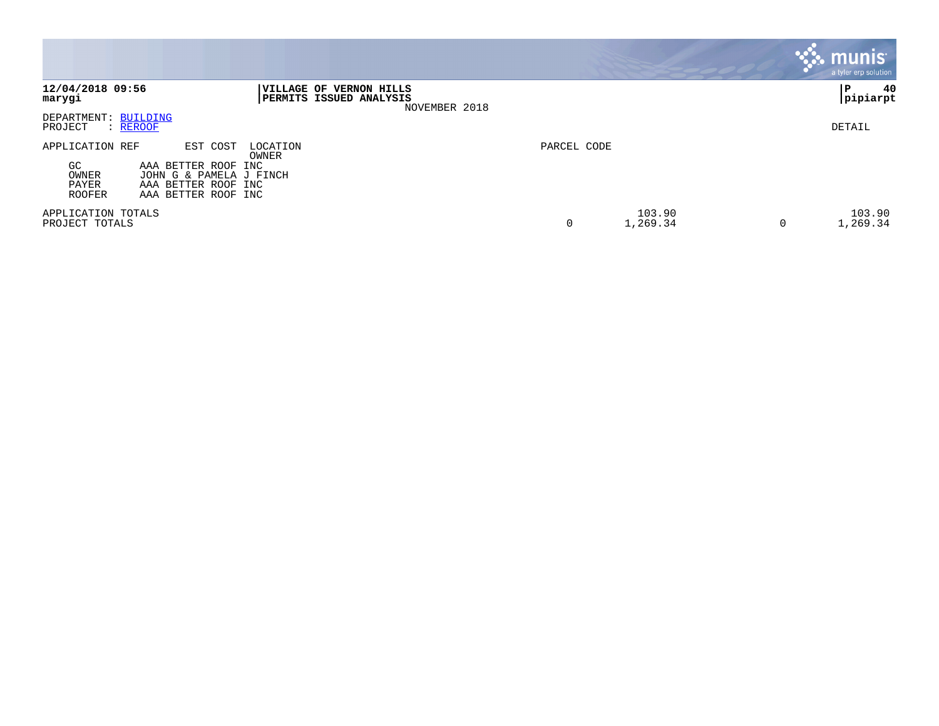|                                                    |                                                                                                                               |                         | <b>munis</b><br>a tyler erp solution |
|----------------------------------------------------|-------------------------------------------------------------------------------------------------------------------------------|-------------------------|--------------------------------------|
| 12/04/2018 09:56<br>marygi                         | <b> VILLAGE OF</b><br><b>VERNON HILLS</b><br>PERMITS ISSUED ANALYSIS<br>NOVEMBER 2018                                         |                         | 40<br>  P<br>pipiarpt                |
| DEPARTMENT: BUILDING<br>PROJECT<br>: REROOF        |                                                                                                                               |                         | DETAIL                               |
| APPLICATION REF<br>GC.<br>OWNER<br>PAYER<br>ROOFER | EST COST<br>LOCATION<br>OWNER<br>AAA BETTER ROOF INC<br>JOHN G & PAMELA J FINCH<br>AAA BETTER ROOF INC<br>AAA BETTER ROOF INC | PARCEL CODE             |                                      |
| APPLICATION TOTALS<br>PROJECT TOTALS               |                                                                                                                               | 103.90<br>1,269.34<br>0 | 103.90<br>1,269.34<br>0              |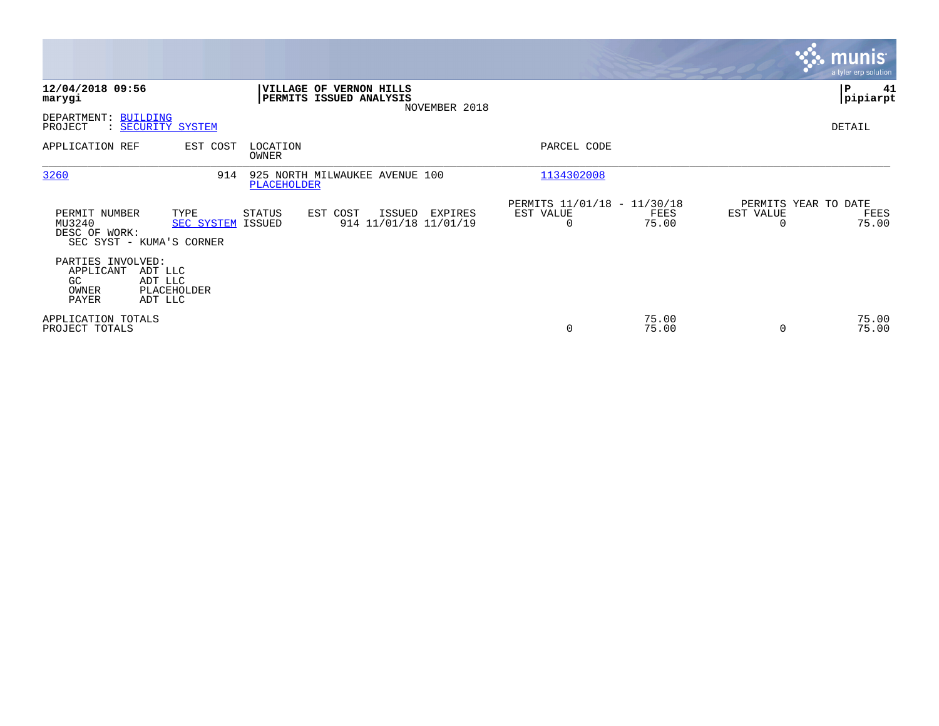|                                                        |                                                       |                   |                                                    |               |                                                         |                |                | <b>munis</b><br>a tyler erp solution  |
|--------------------------------------------------------|-------------------------------------------------------|-------------------|----------------------------------------------------|---------------|---------------------------------------------------------|----------------|----------------|---------------------------------------|
| 12/04/2018 09:56<br>marygi                             |                                                       |                   | VILLAGE OF VERNON HILLS<br>PERMITS ISSUED ANALYSIS | NOVEMBER 2018 |                                                         |                |                | P<br>41<br> pipiarpt                  |
| DEPARTMENT: BUILDING<br>PROJECT                        | : SECURITY SYSTEM                                     |                   |                                                    |               |                                                         |                |                | DETAIL                                |
| APPLICATION REF                                        | EST COST                                              | LOCATION<br>OWNER |                                                    |               | PARCEL CODE                                             |                |                |                                       |
| 3260                                                   | 914                                                   | PLACEHOLDER       | 925 NORTH MILWAUKEE AVENUE 100                     |               | 1134302008                                              |                |                |                                       |
| PERMIT NUMBER<br>MU3240<br>DESC OF WORK:               | TYPE<br>SEC SYSTEM ISSUED<br>SEC SYST - KUMA'S CORNER | STATUS            | EST COST<br>ISSUED<br>914 11/01/18 11/01/19        | EXPIRES       | PERMITS 11/01/18 - 11/30/18<br>EST VALUE<br>$\mathbf 0$ | FEES<br>75.00  | EST VALUE<br>0 | PERMITS YEAR TO DATE<br>FEES<br>75.00 |
| PARTIES INVOLVED:<br>APPLICANT<br>GC<br>OWNER<br>PAYER | ADT LLC<br>ADT LLC<br>PLACEHOLDER<br>ADT LLC          |                   |                                                    |               |                                                         |                |                |                                       |
| APPLICATION TOTALS<br>PROJECT TOTALS                   |                                                       |                   |                                                    |               | $\mathbf 0$                                             | 75.00<br>75.00 | $\Omega$       | 75.00<br>75.00                        |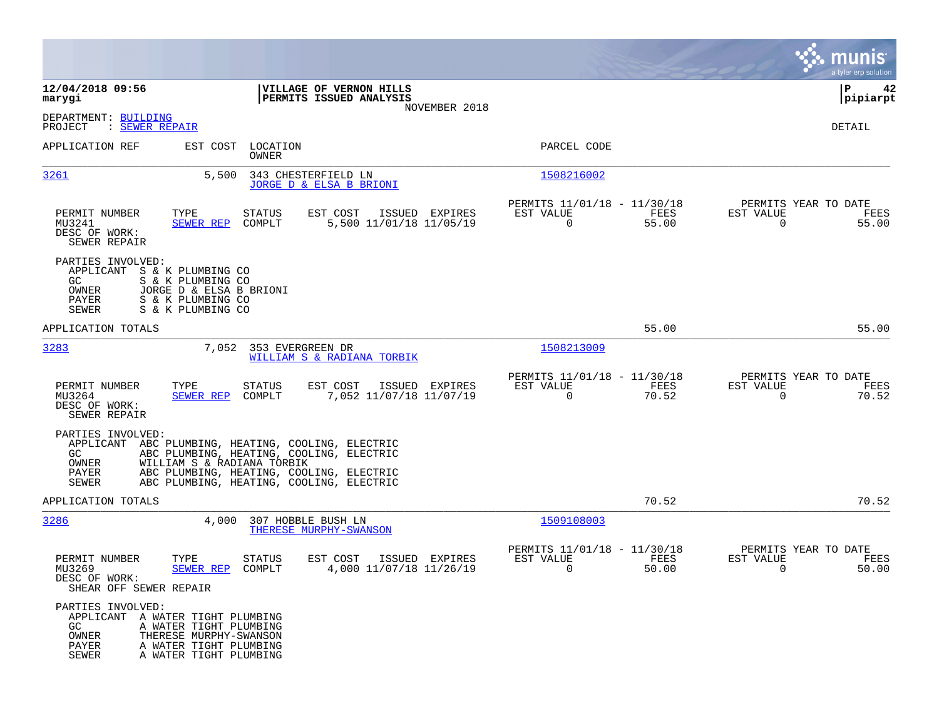|                                                                                        |                                                                                                      |                                                                                                                                                                                        |                |                                                         |               |                                               | munis<br>a tyler erp solution |
|----------------------------------------------------------------------------------------|------------------------------------------------------------------------------------------------------|----------------------------------------------------------------------------------------------------------------------------------------------------------------------------------------|----------------|---------------------------------------------------------|---------------|-----------------------------------------------|-------------------------------|
| 12/04/2018 09:56<br>marygi                                                             |                                                                                                      | VILLAGE OF VERNON HILLS<br>PERMITS ISSUED ANALYSIS                                                                                                                                     |                |                                                         |               |                                               | 42<br>IΡ<br> pipiarpt         |
| DEPARTMENT: BUILDING<br>PROJECT<br>: SEWER REPAIR                                      |                                                                                                      |                                                                                                                                                                                        | NOVEMBER 2018  |                                                         |               |                                               | DETAIL                        |
| APPLICATION REF                                                                        | EST COST<br>LOCATION<br>OWNER                                                                        |                                                                                                                                                                                        |                | PARCEL CODE                                             |               |                                               |                               |
| 3261                                                                                   | 5,500                                                                                                | 343 CHESTERFIELD LN<br>JORGE D & ELSA B BRIONI                                                                                                                                         |                | 1508216002                                              |               |                                               |                               |
| PERMIT NUMBER<br>MU3241<br>DESC OF WORK:<br>SEWER REPAIR                               | TYPE<br><b>STATUS</b><br><b>SEWER REP</b><br>COMPLT                                                  | EST COST<br>5,500 11/01/18 11/05/19                                                                                                                                                    | ISSUED EXPIRES | PERMITS 11/01/18 - 11/30/18<br>EST VALUE<br>$\mathbf 0$ | FEES<br>55.00 | PERMITS YEAR TO DATE<br>EST VALUE<br>$\Omega$ | FEES<br>55.00                 |
| PARTIES INVOLVED:<br>APPLICANT S & K PLUMBING CO<br>GC.<br>OWNER<br>PAYER<br>SEWER     | S & K PLUMBING CO<br>JORGE D & ELSA B BRIONI<br>S & K PLUMBING CO<br>S & K PLUMBING CO               |                                                                                                                                                                                        |                |                                                         |               |                                               |                               |
| APPLICATION TOTALS                                                                     |                                                                                                      |                                                                                                                                                                                        |                |                                                         | 55.00         |                                               | 55.00                         |
| 3283                                                                                   | 7,052                                                                                                | 353 EVERGREEN DR<br>WILLIAM S & RADIANA TORBIK                                                                                                                                         |                | 1508213009                                              |               |                                               |                               |
| PERMIT NUMBER<br>MU3264<br>DESC OF WORK:<br>SEWER REPAIR                               | TYPE<br>STATUS<br><b>SEWER REP</b><br>COMPLT                                                         | EST COST<br>7,052 11/07/18 11/07/19                                                                                                                                                    | ISSUED EXPIRES | PERMITS 11/01/18 - 11/30/18<br>EST VALUE<br>$\Omega$    | FEES<br>70.52 | PERMITS YEAR TO DATE<br>EST VALUE<br>$\Omega$ | FEES<br>70.52                 |
| PARTIES INVOLVED:<br>GC.<br>OWNER<br>PAYER<br>SEWER                                    | WILLIAM S & RADIANA TORBIK                                                                           | APPLICANT ABC PLUMBING, HEATING, COOLING, ELECTRIC<br>ABC PLUMBING, HEATING, COOLING, ELECTRIC<br>ABC PLUMBING, HEATING, COOLING, ELECTRIC<br>ABC PLUMBING, HEATING, COOLING, ELECTRIC |                |                                                         |               |                                               |                               |
| APPLICATION TOTALS                                                                     |                                                                                                      |                                                                                                                                                                                        |                |                                                         | 70.52         |                                               | 70.52                         |
| 3286                                                                                   | 4,000                                                                                                | 307 HOBBLE BUSH LN<br>THERESE MURPHY-SWANSON                                                                                                                                           |                | 1509108003                                              |               |                                               |                               |
| PERMIT NUMBER<br>MU3269<br>DESC OF WORK:<br>SHEAR OFF SEWER REPAIR                     | TYPE<br>STATUS<br>SEWER REP<br>COMPLT                                                                | EST COST<br>4,000 11/07/18 11/26/19                                                                                                                                                    | ISSUED EXPIRES | PERMITS 11/01/18 - 11/30/18<br>EST VALUE<br>0           | FEES<br>50.00 | PERMITS YEAR TO DATE<br>EST VALUE<br>0        | FEES<br>50.00                 |
| PARTIES INVOLVED:<br>APPLICANT A WATER TIGHT PLUMBING<br>GC<br>OWNER<br>PAYER<br>SEWER | A WATER TIGHT PLUMBING<br>THERESE MURPHY-SWANSON<br>A WATER TIGHT PLUMBING<br>A WATER TIGHT PLUMBING |                                                                                                                                                                                        |                |                                                         |               |                                               |                               |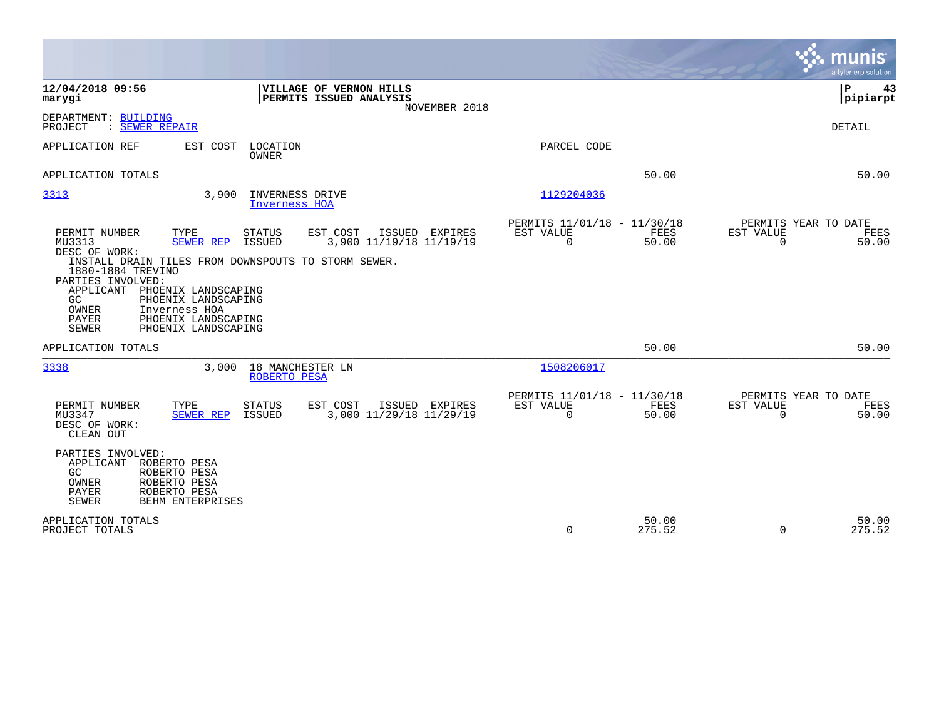|                                                                                                                                                                                                                                                                                                                                                                                                                                             | a tyler erp solution                                                                                                                                            |
|---------------------------------------------------------------------------------------------------------------------------------------------------------------------------------------------------------------------------------------------------------------------------------------------------------------------------------------------------------------------------------------------------------------------------------------------|-----------------------------------------------------------------------------------------------------------------------------------------------------------------|
| 12/04/2018 09:56<br>VILLAGE OF VERNON HILLS<br>PERMITS ISSUED ANALYSIS<br>marygi                                                                                                                                                                                                                                                                                                                                                            | P<br>43<br> pipiarpt<br>NOVEMBER 2018                                                                                                                           |
| DEPARTMENT: BUILDING<br>: SEWER REPAIR<br>PROJECT                                                                                                                                                                                                                                                                                                                                                                                           | DETAIL                                                                                                                                                          |
| EST COST<br>LOCATION<br>APPLICATION REF<br><b>OWNER</b>                                                                                                                                                                                                                                                                                                                                                                                     | PARCEL CODE                                                                                                                                                     |
| APPLICATION TOTALS                                                                                                                                                                                                                                                                                                                                                                                                                          | 50.00<br>50.00                                                                                                                                                  |
| 3313<br>INVERNESS DRIVE<br>3,900<br>Inverness HOA                                                                                                                                                                                                                                                                                                                                                                                           | 1129204036                                                                                                                                                      |
| PERMIT NUMBER<br>TYPE<br>STATUS<br>EST COST<br>ISSUED EXPIRES<br>3,900 11/19/18 11/19/19<br>MU3313<br>SEWER REP<br>ISSUED<br>DESC OF WORK:<br>INSTALL DRAIN TILES FROM DOWNSPOUTS TO STORM SEWER.<br>1880-1884 TREVINO<br>PARTIES INVOLVED:<br>APPLICANT<br>PHOENIX LANDSCAPING<br>PHOENIX LANDSCAPING<br>GC.<br>OWNER<br>Inverness HOA<br><b>PAYER</b><br>PHOENIX LANDSCAPING<br><b>SEWER</b><br>PHOENIX LANDSCAPING<br>APPLICATION TOTALS | PERMITS 11/01/18 - 11/30/18<br>PERMITS YEAR TO DATE<br>EST VALUE<br>FEES<br>EST VALUE<br>FEES<br>$\mathbf 0$<br>50.00<br>$\mathbf 0$<br>50.00<br>50.00<br>50.00 |
| 3338<br>3,000<br>18 MANCHESTER LN<br>ROBERTO PESA                                                                                                                                                                                                                                                                                                                                                                                           | 1508206017                                                                                                                                                      |
| EST COST<br>PERMIT NUMBER<br>TYPE<br>STATUS<br>ISSUED EXPIRES<br>3,000 11/29/18 11/29/19<br>MU3347<br>SEWER REP<br><b>ISSUED</b><br>DESC OF WORK:<br>CLEAN OUT                                                                                                                                                                                                                                                                              | PERMITS 11/01/18 - 11/30/18<br>PERMITS YEAR TO DATE<br>EST VALUE<br><b>FEES</b><br>EST VALUE<br>FEES<br>$\Omega$<br>50.00<br>$\Omega$<br>50.00                  |
| PARTIES INVOLVED:<br>ROBERTO PESA<br>APPLICANT<br>GC.<br>ROBERTO PESA<br>OWNER<br>ROBERTO PESA<br><b>PAYER</b><br>ROBERTO PESA<br><b>SEWER</b><br>BEHM ENTERPRISES                                                                                                                                                                                                                                                                          |                                                                                                                                                                 |
| APPLICATION TOTALS<br>PROJECT TOTALS                                                                                                                                                                                                                                                                                                                                                                                                        | 50.00<br>50.00<br>$\mathbf 0$<br>275.52<br>$\mathbf 0$<br>275.52                                                                                                |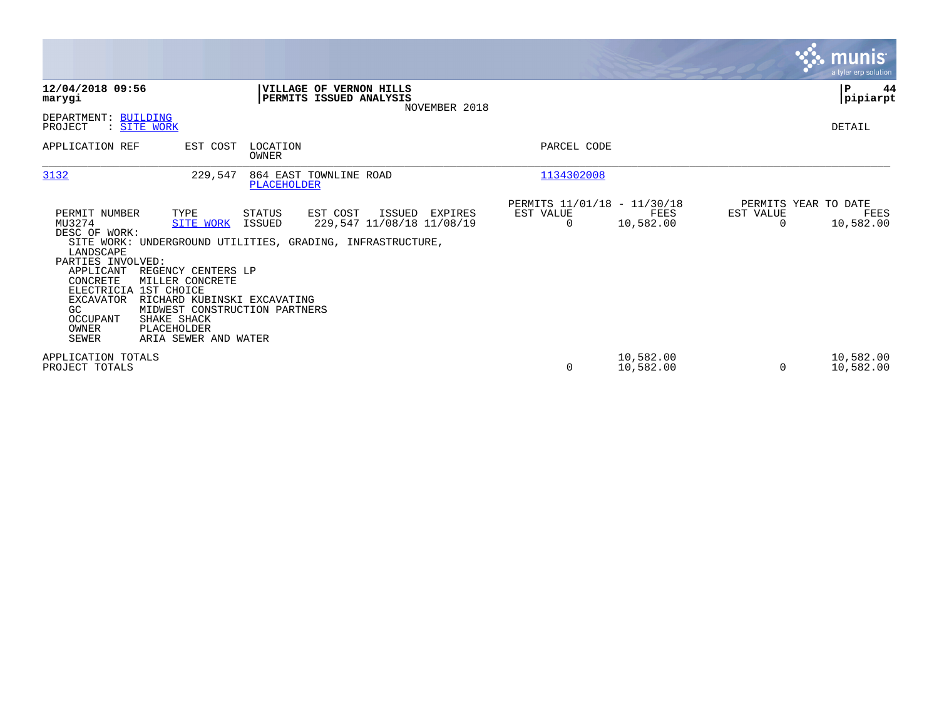|                                                                                                                                                                     |                                                                                                                                                                                                                  |                   |                                                                                                                       |                                                      |                        |                       | <b>munis</b><br>a tyler erp solution      |
|---------------------------------------------------------------------------------------------------------------------------------------------------------------------|------------------------------------------------------------------------------------------------------------------------------------------------------------------------------------------------------------------|-------------------|-----------------------------------------------------------------------------------------------------------------------|------------------------------------------------------|------------------------|-----------------------|-------------------------------------------|
| 12/04/2018 09:56<br>marygi                                                                                                                                          |                                                                                                                                                                                                                  |                   | <b>VILLAGE OF VERNON HILLS</b><br>PERMITS ISSUED ANALYSIS<br>NOVEMBER 2018                                            |                                                      |                        |                       | P<br>44<br> pipiarpt                      |
| DEPARTMENT: BUILDING<br>PROJECT                                                                                                                                     | : SITE WORK                                                                                                                                                                                                      |                   |                                                                                                                       |                                                      |                        |                       | DETAIL                                    |
| APPLICATION REF                                                                                                                                                     | EST COST                                                                                                                                                                                                         | LOCATION<br>OWNER |                                                                                                                       | PARCEL CODE                                          |                        |                       |                                           |
| 3132                                                                                                                                                                | 229,547                                                                                                                                                                                                          | PLACEHOLDER       | 864 EAST TOWNLINE ROAD                                                                                                | 1134302008                                           |                        |                       |                                           |
| PERMIT NUMBER<br>MU3274<br>DESC OF WORK:<br>LANDSCAPE<br>PARTIES INVOLVED:<br>APPLICANT<br>CONCRETE<br><b>EXCAVATOR</b><br>GC.<br>OCCUPANT<br>OWNER<br><b>SEWER</b> | TYPE<br><b>SITE WORK</b><br>REGENCY CENTERS LP<br>MILLER CONCRETE<br>ELECTRICIA 1ST CHOICE<br>RICHARD KUBINSKI EXCAVATING<br>MIDWEST CONSTRUCTION PARTNERS<br>SHAKE SHACK<br>PLACEHOLDER<br>ARIA SEWER AND WATER | STATUS<br>ISSUED  | EST COST<br>ISSUED EXPIRES<br>229,547 11/08/18 11/08/19<br>SITE WORK: UNDERGROUND UTILITIES, GRADING, INFRASTRUCTURE, | PERMITS 11/01/18 - 11/30/18<br>EST VALUE<br>$\Omega$ | FEES<br>10,582.00      | EST VALUE<br>$\Omega$ | PERMITS YEAR TO DATE<br>FEES<br>10,582.00 |
| APPLICATION TOTALS<br>PROJECT TOTALS                                                                                                                                |                                                                                                                                                                                                                  |                   |                                                                                                                       | 0                                                    | 10,582.00<br>10,582.00 |                       | 10,582.00<br>10,582.00                    |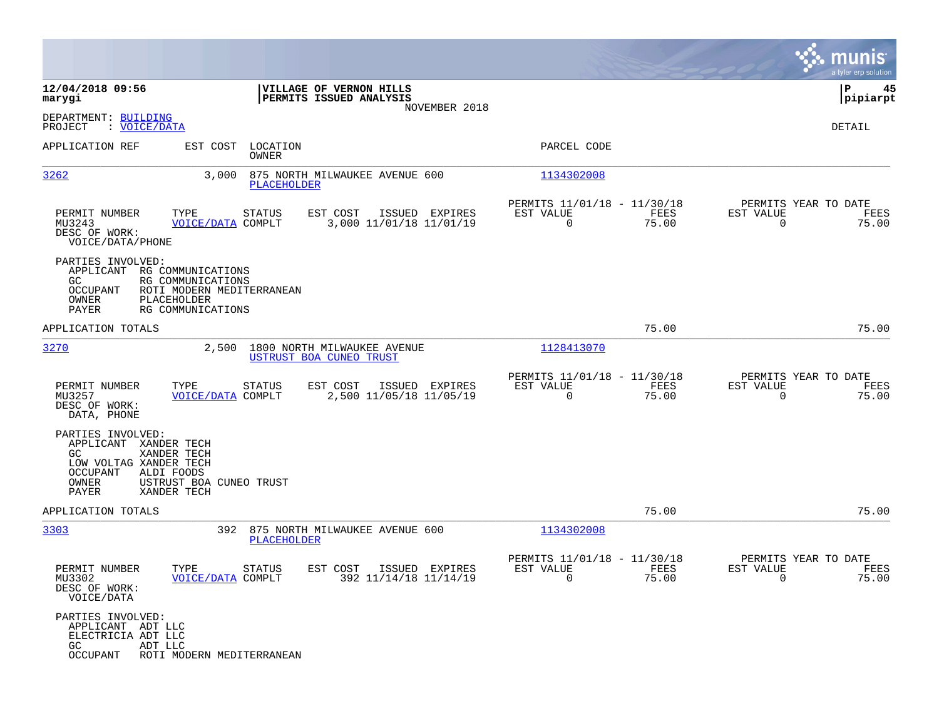|                                                                                                                                                       |                                                                     |               |                                                        |                |                                                            |               |                                                     | munis<br>a tyler erp solution |
|-------------------------------------------------------------------------------------------------------------------------------------------------------|---------------------------------------------------------------------|---------------|--------------------------------------------------------|----------------|------------------------------------------------------------|---------------|-----------------------------------------------------|-------------------------------|
| 12/04/2018 09:56<br>marygi                                                                                                                            |                                                                     |               | VILLAGE OF VERNON HILLS<br>PERMITS ISSUED ANALYSIS     |                |                                                            |               |                                                     | ΙP<br>45<br> pipiarpt         |
| DEPARTMENT: BUILDING<br>: VOICE/DATA<br>PROJECT                                                                                                       |                                                                     |               |                                                        | NOVEMBER 2018  |                                                            |               |                                                     | DETAIL                        |
| APPLICATION REF                                                                                                                                       | EST COST LOCATION                                                   | OWNER         |                                                        |                | PARCEL CODE                                                |               |                                                     |                               |
| 3262                                                                                                                                                  | 3,000                                                               | PLACEHOLDER   | 875 NORTH MILWAUKEE AVENUE 600                         |                | 1134302008                                                 |               |                                                     |                               |
| PERMIT NUMBER<br>MU3243<br>DESC OF WORK:<br>VOICE/DATA/PHONE                                                                                          | TYPE<br><b>VOICE/DATA COMPLT</b>                                    | <b>STATUS</b> | EST COST<br>3,000 11/01/18 11/01/19                    | ISSUED EXPIRES | PERMITS 11/01/18 - 11/30/18<br>EST VALUE<br>$\mathbf 0$    | FEES<br>75.00 | PERMITS YEAR TO DATE<br>EST VALUE<br>$\Omega$       | FEES<br>75.00                 |
| PARTIES INVOLVED:<br>APPLICANT RG COMMUNICATIONS<br>GC.<br>OCCUPANT<br>OWNER<br>PLACEHOLDER<br>PAYER                                                  | RG COMMUNICATIONS<br>ROTI MODERN MEDITERRANEAN<br>RG COMMUNICATIONS |               |                                                        |                |                                                            |               |                                                     |                               |
| APPLICATION TOTALS                                                                                                                                    |                                                                     |               |                                                        |                |                                                            | 75.00         |                                                     | 75.00                         |
| 3270                                                                                                                                                  | 2,500                                                               |               | 1800 NORTH MILWAUKEE AVENUE<br>USTRUST BOA CUNEO TRUST |                | 1128413070                                                 |               |                                                     |                               |
| PERMIT NUMBER<br>MU3257<br>DESC OF WORK:<br>DATA, PHONE                                                                                               | TYPE<br>VOICE/DATA COMPLT                                           | STATUS        | EST COST<br>ISSUED EXPIRES<br>2,500 11/05/18 11/05/19  |                | PERMITS 11/01/18 - 11/30/18<br>EST VALUE<br>$\mathbf 0$    | FEES<br>75.00 | PERMITS YEAR TO DATE<br>EST VALUE<br>$\mathbf 0$    | FEES<br>75.00                 |
| PARTIES INVOLVED:<br>APPLICANT XANDER TECH<br>XANDER TECH<br>GC.<br>LOW VOLTAG XANDER TECH<br>OCCUPANT<br>ALDI FOODS<br>OWNER<br>PAYER<br>XANDER TECH | USTRUST BOA CUNEO TRUST                                             |               |                                                        |                |                                                            |               |                                                     |                               |
| APPLICATION TOTALS                                                                                                                                    |                                                                     |               |                                                        |                |                                                            | 75.00         |                                                     | 75.00                         |
| 3303                                                                                                                                                  |                                                                     | PLACEHOLDER   | 392 875 NORTH MILWAUKEE AVENUE 600                     |                | 1134302008                                                 |               |                                                     |                               |
| PERMIT NUMBER<br>MU3302<br>DESC OF WORK:<br>VOICE/DATA                                                                                                | TYPE<br><b>VOICE/DATA COMPLT</b>                                    | <b>STATUS</b> | EST COST<br>392 11/14/18 11/14/19                      | ISSUED EXPIRES | PERMITS 11/01/18 - 11/30/18<br>EST VALUE<br>$\overline{0}$ | FEES<br>75.00 | PERMITS YEAR TO DATE<br>EST VALUE<br>$\overline{0}$ | FEES<br>75.00                 |
| PARTIES INVOLVED:<br>APPLICANT ADT LLC<br>ELECTRICIA ADT LLC<br>GC<br>ADT LLC<br>OCCUPANT                                                             | ROTI MODERN MEDITERRANEAN                                           |               |                                                        |                |                                                            |               |                                                     |                               |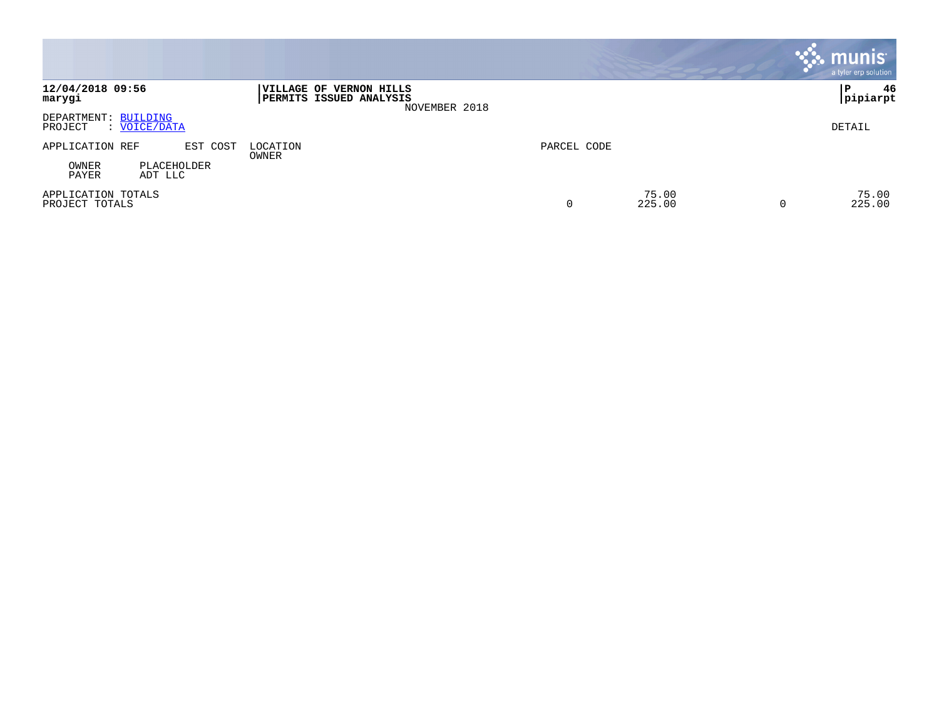|                                                 |                                                                     |             |                 | <b>munis</b><br>a tyler erp solution |
|-------------------------------------------------|---------------------------------------------------------------------|-------------|-----------------|--------------------------------------|
| 12/04/2018 09:56<br>marygi                      | VILLAGE OF VERNON HILLS<br>PERMITS ISSUED ANALYSIS<br>NOVEMBER 2018 |             |                 | 46<br>l P<br> pipiarpt               |
| DEPARTMENT: BUILDING<br>PROJECT<br>: VOICE/DATA |                                                                     |             |                 | DETAIL                               |
| APPLICATION REF<br>EST COST                     | LOCATION<br>OWNER                                                   | PARCEL CODE |                 |                                      |
| OWNER<br>PLACEHOLDER<br>PAYER<br>ADT LLC        |                                                                     |             |                 |                                      |
| APPLICATION TOTALS<br>PROJECT TOTALS            |                                                                     | 0           | 75.00<br>225.00 | 75.00<br>225.00<br>0                 |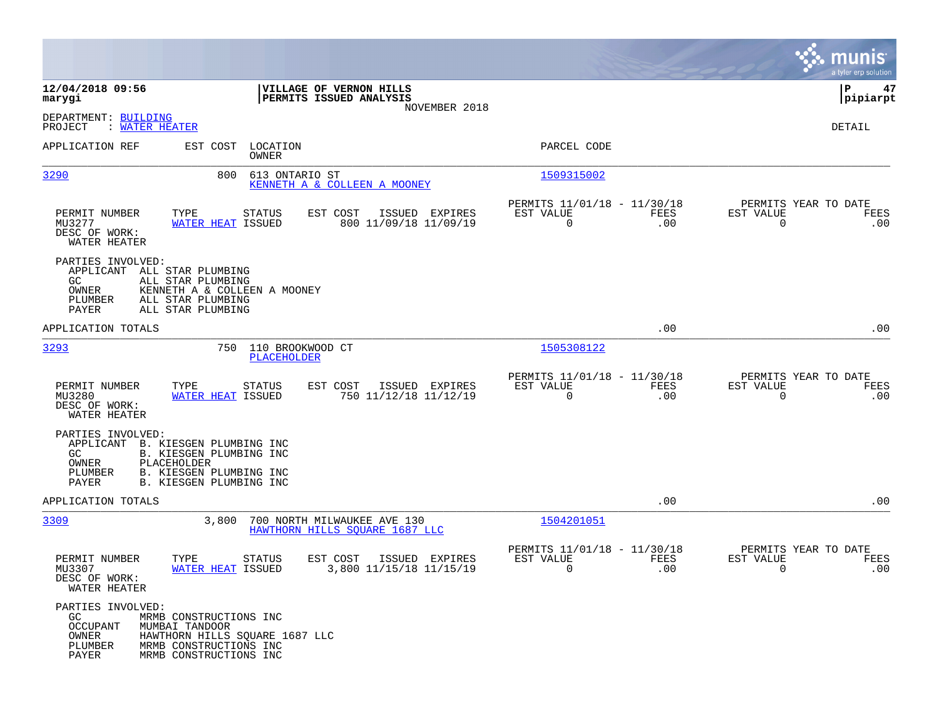|                                                                                      |                                                                                                                                |                                                               |                                                            |                    |                                                  | munis<br>a tyler erp solution |
|--------------------------------------------------------------------------------------|--------------------------------------------------------------------------------------------------------------------------------|---------------------------------------------------------------|------------------------------------------------------------|--------------------|--------------------------------------------------|-------------------------------|
| 12/04/2018 09:56<br>marygi                                                           |                                                                                                                                | VILLAGE OF VERNON HILLS<br>PERMITS ISSUED ANALYSIS            |                                                            |                    |                                                  | 47<br>P<br> pipiarpt          |
| DEPARTMENT: BUILDING<br>: WATER HEATER<br>PROJECT                                    |                                                                                                                                | NOVEMBER 2018                                                 |                                                            |                    |                                                  | DETAIL                        |
| APPLICATION REF                                                                      | EST COST LOCATION<br>OWNER                                                                                                     |                                                               | PARCEL CODE                                                |                    |                                                  |                               |
| 3290                                                                                 | 800<br>613 ONTARIO ST                                                                                                          | KENNETH A & COLLEEN A MOONEY                                  | 1509315002                                                 |                    |                                                  |                               |
| PERMIT NUMBER<br>MU3277<br>DESC OF WORK:<br>WATER HEATER                             | TYPE<br>STATUS<br>WATER HEAT ISSUED                                                                                            | ISSUED EXPIRES<br>EST COST<br>800 11/09/18 11/09/19           | PERMITS 11/01/18 - 11/30/18<br>EST VALUE<br>$\overline{0}$ | FEES<br>.00        | PERMITS YEAR TO DATE<br>EST VALUE<br>$\mathbf 0$ | FEES<br>.00                   |
| PARTIES INVOLVED:<br>APPLICANT ALL STAR PLUMBING<br>GC.<br>OWNER<br>PLUMBER<br>PAYER | ALL STAR PLUMBING<br>KENNETH A & COLLEEN A MOONEY<br>ALL STAR PLUMBING<br>ALL STAR PLUMBING                                    |                                                               |                                                            |                    |                                                  |                               |
| APPLICATION TOTALS                                                                   |                                                                                                                                |                                                               |                                                            | .00                |                                                  | .00                           |
| 3293                                                                                 | 750<br>110 BROOKWOOD CT<br>PLACEHOLDER                                                                                         |                                                               | 1505308122                                                 |                    |                                                  |                               |
| PERMIT NUMBER<br>MU3280<br>DESC OF WORK:<br>WATER HEATER                             | STATUS<br>TYPE<br><b>WATER HEAT ISSUED</b>                                                                                     | EST COST<br>ISSUED EXPIRES<br>750 11/12/18 11/12/19           | PERMITS 11/01/18 - 11/30/18<br>EST VALUE<br>$\Omega$       | FEES<br>.00        | PERMITS YEAR TO DATE<br>EST VALUE<br>$\Omega$    | FEES<br>.00                   |
| PARTIES INVOLVED:<br>APPLICANT<br>GC.<br>PLACEHOLDER<br>OWNER<br>PLUMBER<br>PAYER    | B. KIESGEN PLUMBING INC<br>B. KIESGEN PLUMBING INC<br>B. KIESGEN PLUMBING INC<br>B. KIESGEN PLUMBING INC                       |                                                               |                                                            |                    |                                                  |                               |
| APPLICATION TOTALS                                                                   |                                                                                                                                |                                                               |                                                            | .00                |                                                  | .00                           |
| 3309                                                                                 | 3,800                                                                                                                          | 700 NORTH MILWAUKEE AVE 130<br>HAWTHORN HILLS SOUARE 1687 LLC | 1504201051                                                 |                    |                                                  |                               |
| PERMIT NUMBER<br>MU3307<br>DESC OF WORK:<br>WATER HEATER                             | TYPE<br><b>STATUS</b><br>WATER HEAT ISSUED                                                                                     | EST COST<br>ISSUED EXPIRES<br>3,800 11/15/18 11/15/19         | PERMITS 11/01/18 - 11/30/18<br>EST VALUE<br>$\mathbf 0$    | <b>FEES</b><br>.00 | PERMITS YEAR TO DATE<br>EST VALUE<br>0           | FEES<br>.00                   |
| PARTIES INVOLVED:<br>GC<br><b>OCCUPANT</b><br>OWNER<br>PLUMBER<br>PAYER              | MRMB CONSTRUCTIONS INC<br>MUMBAI TANDOOR<br>HAWTHORN HILLS SOUARE 1687 LLC<br>MRMB CONSTRUCTIONS INC<br>MRMB CONSTRUCTIONS INC |                                                               |                                                            |                    |                                                  |                               |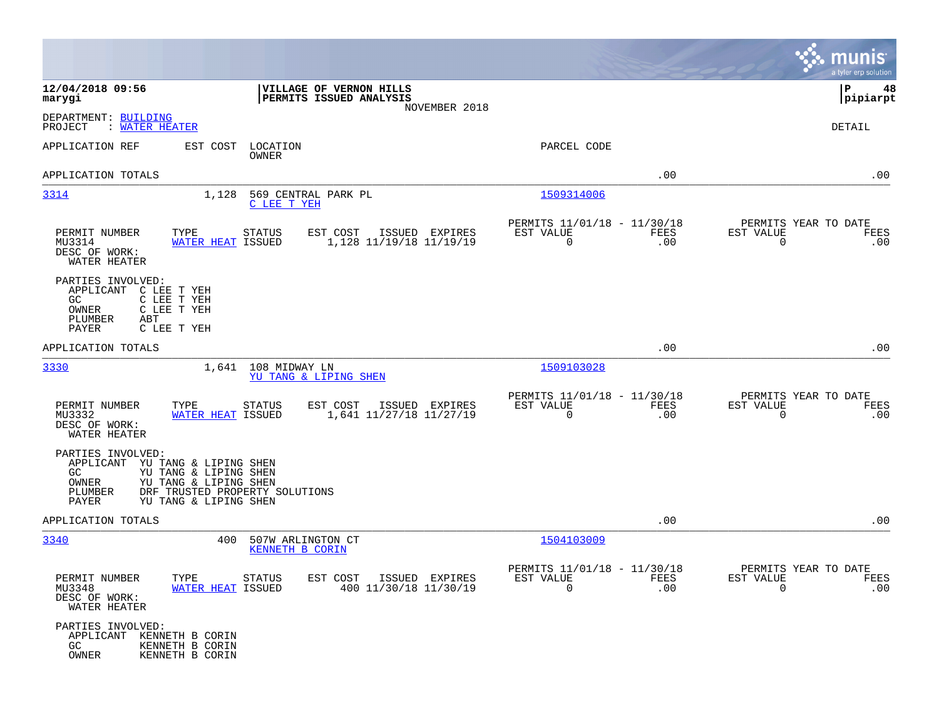|                                                                                                                                                                                                          |                                                                        |                                                         |             |                                                  | munis<br>a tyler erp solution |
|----------------------------------------------------------------------------------------------------------------------------------------------------------------------------------------------------------|------------------------------------------------------------------------|---------------------------------------------------------|-------------|--------------------------------------------------|-------------------------------|
| 12/04/2018 09:56<br>marygi                                                                                                                                                                               | VILLAGE OF VERNON HILLS<br>PERMITS ISSUED ANALYSIS<br>NOVEMBER 2018    |                                                         |             |                                                  | P<br>48<br> pipiarpt          |
| DEPARTMENT: BUILDING<br>PROJECT<br>: WATER HEATER                                                                                                                                                        |                                                                        |                                                         |             |                                                  | DETAIL                        |
| APPLICATION REF<br>EST COST                                                                                                                                                                              | LOCATION<br>OWNER                                                      | PARCEL CODE                                             |             |                                                  |                               |
| APPLICATION TOTALS                                                                                                                                                                                       |                                                                        |                                                         | .00         |                                                  | .00                           |
| 3314<br>1,128                                                                                                                                                                                            | 569 CENTRAL PARK PL<br>C LEE T YEH                                     | 1509314006                                              |             |                                                  |                               |
| PERMIT NUMBER<br>TYPE<br>MU3314<br><b>WATER HEAT ISSUED</b><br>DESC OF WORK:<br>WATER HEATER                                                                                                             | <b>STATUS</b><br>EST COST<br>ISSUED EXPIRES<br>1,128 11/19/18 11/19/19 | PERMITS 11/01/18 - 11/30/18<br>EST VALUE<br>$\mathbf 0$ | FEES<br>.00 | PERMITS YEAR TO DATE<br>EST VALUE<br>$\mathbf 0$ | FEES<br>.00                   |
| PARTIES INVOLVED:<br>APPLICANT C LEE T YEH<br>GC.<br>C LEE T YEH<br>C LEE T YEH<br>OWNER<br>PLUMBER<br>ABT<br><b>PAYER</b><br>C LEE T YEH                                                                |                                                                        |                                                         |             |                                                  |                               |
| APPLICATION TOTALS                                                                                                                                                                                       |                                                                        |                                                         | .00         |                                                  | .00                           |
| 3330<br>1,641                                                                                                                                                                                            | 108 MIDWAY LN<br>YU TANG & LIPING SHEN                                 | 1509103028                                              |             |                                                  |                               |
| PERMIT NUMBER<br>TYPE<br>MU3332<br>WATER HEAT ISSUED<br>DESC OF WORK:<br>WATER HEATER                                                                                                                    | EST COST<br>STATUS<br>ISSUED EXPIRES<br>1,641 11/27/18 11/27/19        | PERMITS 11/01/18 - 11/30/18<br>EST VALUE<br>$\mathbf 0$ | FEES<br>.00 | PERMITS YEAR TO DATE<br>EST VALUE<br>$\mathbf 0$ | FEES<br>.00                   |
| PARTIES INVOLVED:<br>APPLICANT<br>YU TANG & LIPING SHEN<br>GC.<br>YU TANG & LIPING SHEN<br>OWNER<br>YU TANG & LIPING SHEN<br>PLUMBER<br>DRF TRUSTED PROPERTY SOLUTIONS<br>YU TANG & LIPING SHEN<br>PAYER |                                                                        |                                                         |             |                                                  |                               |
| APPLICATION TOTALS                                                                                                                                                                                       |                                                                        |                                                         | .00         |                                                  | .00                           |
| 3340<br>400                                                                                                                                                                                              | 507W ARLINGTON CT<br>KENNETH B CORIN                                   | 1504103009                                              |             |                                                  |                               |
| PERMIT NUMBER<br>TYPE<br>MU3348<br>WATER HEAT ISSUED<br>DESC OF WORK:<br>WATER HEATER                                                                                                                    | STATUS<br>EST COST ISSUED EXPIRES<br>400 11/30/18 11/30/19             | PERMITS 11/01/18 - 11/30/18<br>EST VALUE<br>$\Omega$    | FEES<br>.00 | PERMITS YEAR TO DATE<br>EST VALUE<br>$\Omega$    | FEES<br>.00                   |
| PARTIES INVOLVED:<br>APPLICANT<br>KENNETH B CORIN<br>KENNETH B CORIN<br>GC<br>OWNER<br>KENNETH B CORIN                                                                                                   |                                                                        |                                                         |             |                                                  |                               |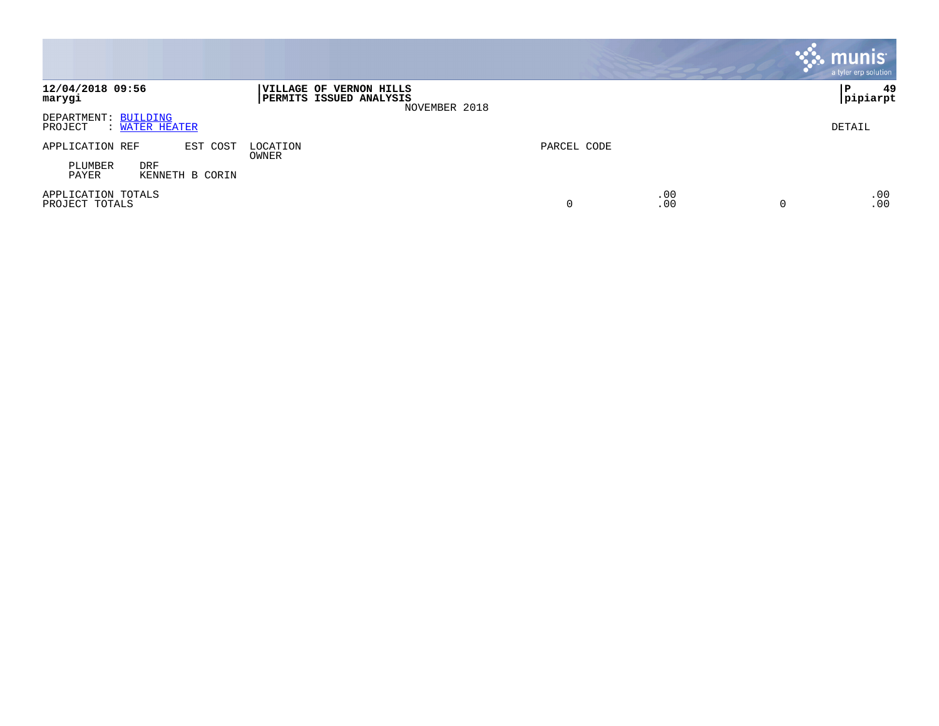|                                                   |                                                                            |             |            | munis <sup>®</sup><br>a tyler erp solution |
|---------------------------------------------------|----------------------------------------------------------------------------|-------------|------------|--------------------------------------------|
| 12/04/2018 09:56<br>marygi                        | VILLAGE OF VERNON HILLS<br><b>PERMITS ISSUED ANALYSIS</b><br>NOVEMBER 2018 |             |            | 49<br>l P<br> pipiarpt                     |
| DEPARTMENT: BUILDING<br>PROJECT<br>: WATER HEATER |                                                                            |             |            | DETAIL                                     |
| EST COST<br>APPLICATION REF                       | LOCATION<br>OWNER                                                          | PARCEL CODE |            |                                            |
| <b>DRF</b><br>PLUMBER<br>PAYER<br>KENNETH B CORIN |                                                                            |             |            |                                            |
| APPLICATION TOTALS<br>PROJECT TOTALS              |                                                                            | 0           | .00<br>.00 | .00<br>.00<br>$\Omega$                     |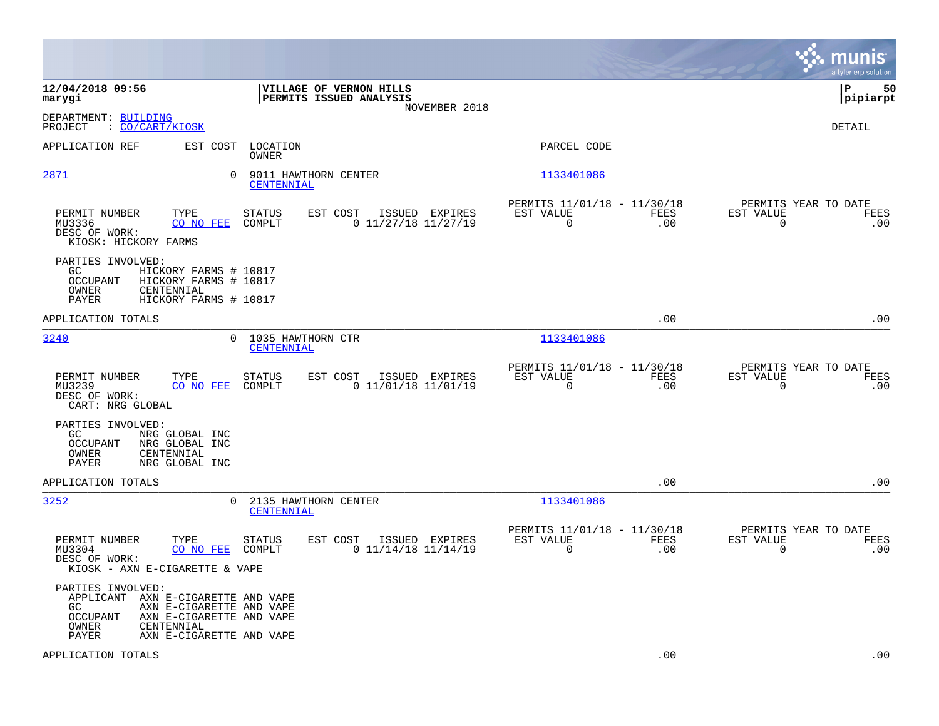|                                                                                                                                                        |                                                                                  |                                                                        | munis<br>a tyler erp solution                                   |
|--------------------------------------------------------------------------------------------------------------------------------------------------------|----------------------------------------------------------------------------------|------------------------------------------------------------------------|-----------------------------------------------------------------|
| 12/04/2018 09:56<br>marygi                                                                                                                             | VILLAGE OF VERNON HILLS<br>PERMITS ISSUED ANALYSIS<br>NOVEMBER 2018              |                                                                        | l P<br>50<br> pipiarpt                                          |
| DEPARTMENT: BUILDING<br>: CO/CART/KIOSK<br>PROJECT                                                                                                     |                                                                                  |                                                                        | DETAIL                                                          |
| APPLICATION REF                                                                                                                                        | EST COST<br>LOCATION<br>OWNER                                                    | PARCEL CODE                                                            |                                                                 |
| 2871                                                                                                                                                   | 0<br>9011 HAWTHORN CENTER<br>CENTENNIAL                                          | 1133401086                                                             |                                                                 |
| PERMIT NUMBER<br>TYPE<br>MU3336<br>CO NO FEE<br>DESC OF WORK:<br>KIOSK: HICKORY FARMS                                                                  | <b>STATUS</b><br>EST COST<br>ISSUED EXPIRES<br>COMPLT<br>$0$ 11/27/18 11/27/19   | PERMITS 11/01/18 - 11/30/18<br>EST VALUE<br>FEES<br>$\mathbf 0$<br>.00 | PERMITS YEAR TO DATE<br>EST VALUE<br>FEES<br>$\mathbf 0$<br>.00 |
| PARTIES INVOLVED:<br>GC.<br>HICKORY FARMS # 10817<br>OCCUPANT<br>HICKORY FARMS # 10817<br>OWNER<br>CENTENNIAL<br><b>PAYER</b><br>HICKORY FARMS # 10817 |                                                                                  |                                                                        |                                                                 |
| APPLICATION TOTALS                                                                                                                                     |                                                                                  | .00                                                                    | .00                                                             |
| 3240                                                                                                                                                   | 1035 HAWTHORN CTR<br>$\Omega$<br>CENTENNIAL                                      | 1133401086                                                             |                                                                 |
| TYPE<br>PERMIT NUMBER<br>MU3239<br>CO NO FEE<br>DESC OF WORK:<br>CART: NRG GLOBAL                                                                      | EST COST<br>ISSUED EXPIRES<br>STATUS<br>COMPLT<br>$0$ 11/01/18 11/01/19          | PERMITS 11/01/18 - 11/30/18<br>EST VALUE<br>FEES<br>$\Omega$<br>.00    | PERMITS YEAR TO DATE<br>EST VALUE<br>FEES<br>$\mathbf 0$<br>.00 |
| PARTIES INVOLVED:<br>GC.<br>NRG GLOBAL INC<br><b>OCCUPANT</b><br>NRG GLOBAL INC<br>OWNER<br>CENTENNIAL<br>NRG GLOBAL INC<br>PAYER                      |                                                                                  |                                                                        |                                                                 |
| APPLICATION TOTALS                                                                                                                                     |                                                                                  | .00                                                                    | .00                                                             |
| 3252                                                                                                                                                   | 2135 HAWTHORN CENTER<br>0<br>CENTENNIAL                                          | 1133401086                                                             |                                                                 |
| PERMIT NUMBER<br>TYPE<br>CO NO FEE<br>MU3304<br>DESC OF WORK:<br>KIOSK - AXN E-CIGARETTE & VAPE                                                        | <b>STATUS</b><br>EST COST ISSUED EXPIRES<br>$0$ 11/14/18 11/14/19<br>COMPLT      | PERMITS 11/01/18 - 11/30/18<br>EST VALUE<br>FEES<br>$\mathbf 0$<br>.00 | PERMITS YEAR TO DATE<br>EST VALUE<br>FEES<br>$\mathbf 0$<br>.00 |
| PARTIES INVOLVED:<br>APPLICANT AXN E-CIGARETTE AND VAPE<br>GC<br>OCCUPANT<br>OWNER<br>CENTENNIAL<br>PAYER                                              | AXN E-CIGARETTE AND VAPE<br>AXN E-CIGARETTE AND VAPE<br>AXN E-CIGARETTE AND VAPE |                                                                        |                                                                 |
| APPLICATION TOTALS                                                                                                                                     |                                                                                  | .00                                                                    | .00                                                             |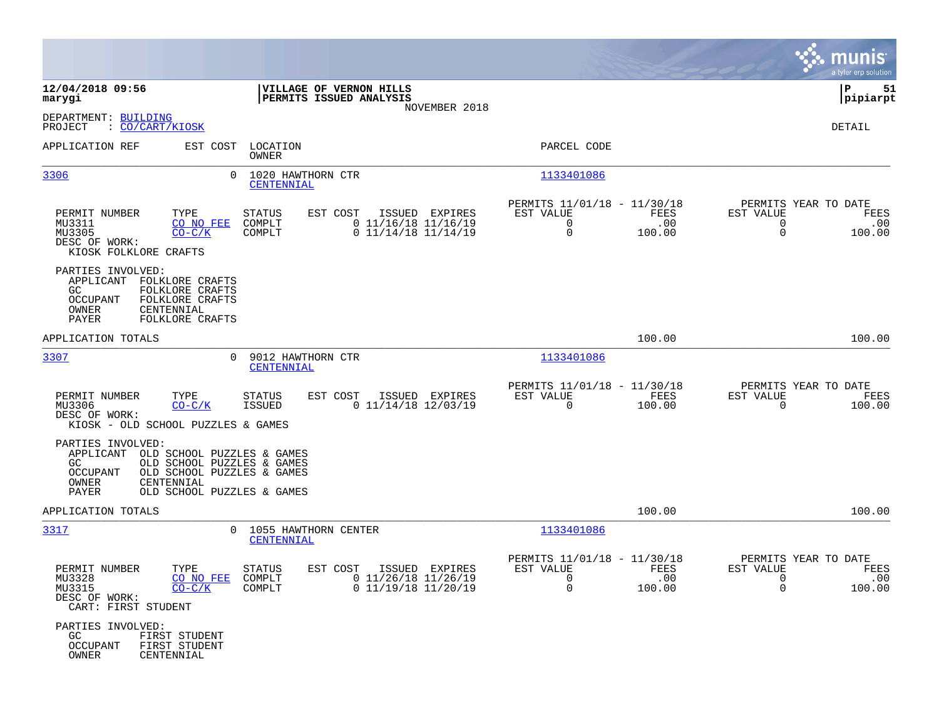|                                                                                                                                                                                                        |                                                                                                                      |                                                                        |                                                                                       | munis<br>a tyler erp solution |
|--------------------------------------------------------------------------------------------------------------------------------------------------------------------------------------------------------|----------------------------------------------------------------------------------------------------------------------|------------------------------------------------------------------------|---------------------------------------------------------------------------------------|-------------------------------|
| 12/04/2018 09:56<br>marygi                                                                                                                                                                             | VILLAGE OF VERNON HILLS<br>PERMITS ISSUED ANALYSIS                                                                   |                                                                        | ∣P                                                                                    | 51<br>pipiarpt                |
| DEPARTMENT: BUILDING<br>PROJECT<br>: <u>CO/CART/KIOSK</u>                                                                                                                                              | NOVEMBER 2018                                                                                                        |                                                                        |                                                                                       | DETAIL                        |
| APPLICATION REF<br>EST COST                                                                                                                                                                            | LOCATION<br>OWNER                                                                                                    | PARCEL CODE                                                            |                                                                                       |                               |
| 3306<br>$\Omega$                                                                                                                                                                                       | 1020 HAWTHORN CTR<br>CENTENNIAL                                                                                      | 1133401086                                                             |                                                                                       |                               |
| PERMIT NUMBER<br>TYPE<br>MU3311<br>CO NO FEE<br>MU3305<br>$CO-C/K$<br>DESC OF WORK:<br>KIOSK FOLKLORE CRAFTS                                                                                           | <b>STATUS</b><br>EST COST<br>ISSUED<br>EXPIRES<br>COMPLT<br>$0$ 11/16/18 11/16/19<br>$0$ 11/14/18 11/14/19<br>COMPLT | PERMITS 11/01/18 - 11/30/18<br>EST VALUE<br>$\mathbf 0$<br>0           | PERMITS YEAR TO DATE<br>FEES<br>EST VALUE<br>.00<br>$\mathbf 0$<br>100.00<br>$\Omega$ | FEES<br>.00<br>100.00         |
| PARTIES INVOLVED:<br>APPLICANT FOLKLORE CRAFTS<br>GC<br>FOLKLORE CRAFTS<br>OCCUPANT<br>FOLKLORE CRAFTS<br>OWNER<br>CENTENNIAL<br>PAYER<br>FOLKLORE CRAFTS                                              |                                                                                                                      |                                                                        |                                                                                       |                               |
| APPLICATION TOTALS                                                                                                                                                                                     |                                                                                                                      |                                                                        | 100.00                                                                                | 100.00                        |
| 3307<br>$\Omega$                                                                                                                                                                                       | 9012 HAWTHORN CTR<br>CENTENNIAL                                                                                      | 1133401086                                                             |                                                                                       |                               |
| TYPE<br>PERMIT NUMBER<br>MU3306<br>$CO-C/K$<br>DESC OF WORK:<br>KIOSK - OLD SCHOOL PUZZLES & GAMES                                                                                                     | <b>STATUS</b><br>EST COST<br>ISSUED EXPIRES<br><b>ISSUED</b><br>$0$ 11/14/18 12/03/19                                | PERMITS 11/01/18 - 11/30/18<br>EST VALUE<br>$\Omega$                   | PERMITS YEAR TO DATE<br>FEES<br>EST VALUE<br>100.00<br>$\mathbf 0$                    | FEES<br>100.00                |
| PARTIES INVOLVED:<br>APPLICANT OLD SCHOOL PUZZLES & GAMES<br>GC.<br>OLD SCHOOL PUZZLES & GAMES<br>OCCUPANT<br>OLD SCHOOL PUZZLES & GAMES<br>OWNER<br>CENTENNIAL<br>PAYER<br>OLD SCHOOL PUZZLES & GAMES |                                                                                                                      |                                                                        |                                                                                       |                               |
| APPLICATION TOTALS                                                                                                                                                                                     |                                                                                                                      |                                                                        | 100.00                                                                                | 100.00                        |
| 3317<br>$\Omega$                                                                                                                                                                                       | 1055 HAWTHORN CENTER<br>CENTENNIAL                                                                                   | 1133401086                                                             |                                                                                       |                               |
| TYPE<br>PERMIT NUMBER<br>MU3328<br>CO NO FEE<br>MU3315<br>$CO-C/K$<br>DESC OF WORK:<br>CART: FIRST STUDENT                                                                                             | <b>STATUS</b><br>EST COST<br>ISSUED EXPIRES<br>$0$ 11/26/18 11/26/19<br>COMPLT<br>$0$ 11/19/18 11/20/19<br>COMPLT    | PERMITS 11/01/18 - 11/30/18<br>EST VALUE<br>$\mathbf 0$<br>$\mathbf 0$ | PERMITS YEAR TO DATE<br>FEES<br>EST VALUE<br>.00<br>0<br>$\Omega$<br>100.00           | FEES<br>.00<br>100.00         |
| PARTIES INVOLVED:<br>GC.<br>FIRST STUDENT<br>FIRST STUDENT<br>OCCUPANT<br>OWNER<br>CENTENNIAL                                                                                                          |                                                                                                                      |                                                                        |                                                                                       |                               |

 $\mathcal{L}^{\text{max}}$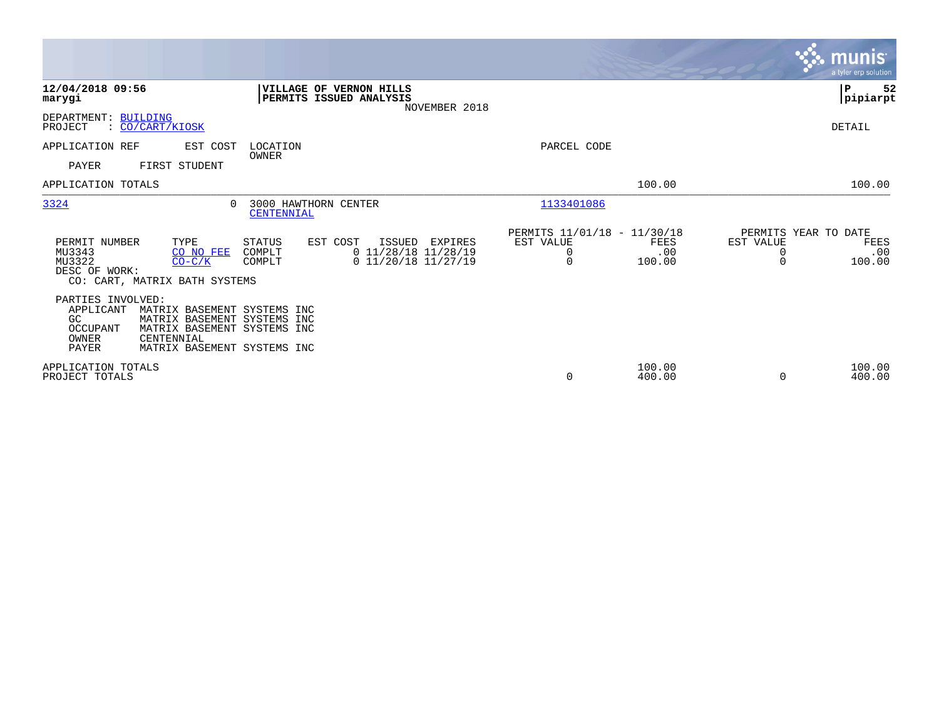|                                                                                                                                                                                                                                       |                                                                                    | <b>munis</b><br>a tyler erp solution                                        |
|---------------------------------------------------------------------------------------------------------------------------------------------------------------------------------------------------------------------------------------|------------------------------------------------------------------------------------|-----------------------------------------------------------------------------|
| 12/04/2018 09:56<br>VILLAGE OF VERNON HILLS<br>PERMITS ISSUED ANALYSIS<br>marygi<br>NOVEMBER 2018                                                                                                                                     |                                                                                    | 52<br>P<br> pipiarpt                                                        |
| DEPARTMENT: BUILDING<br>PROJECT<br>: CO/CART/KIOSK                                                                                                                                                                                    |                                                                                    | DETAIL                                                                      |
| APPLICATION REF<br>EST COST<br>LOCATION<br>OWNER<br><b>PAYER</b><br>FIRST STUDENT                                                                                                                                                     | PARCEL CODE                                                                        |                                                                             |
| APPLICATION TOTALS                                                                                                                                                                                                                    | 100.00                                                                             | 100.00                                                                      |
| 3324<br>3000 HAWTHORN CENTER<br>$\Omega$<br>CENTENNIAL                                                                                                                                                                                | 1133401086                                                                         |                                                                             |
| PERMIT NUMBER<br>TYPE<br>STATUS<br>EST COST<br>ISSUED<br>EXPIRES<br>$0$ 11/28/18 11/28/19<br>MU3343<br>COMPLT<br>CO NO FEE<br>MU3322<br>$0$ 11/20/18 11/27/19<br>$CO-C/K$<br>COMPLT<br>DESC OF WORK:<br>CO: CART, MATRIX BATH SYSTEMS | PERMITS 11/01/18 - 11/30/18<br>EST VALUE<br>FEES<br>0<br>.00<br>$\Omega$<br>100.00 | PERMITS YEAR TO DATE<br>EST VALUE<br>FEES<br>.00<br>0<br>$\Omega$<br>100.00 |
| PARTIES INVOLVED:<br>APPLICANT<br>MATRIX BASEMENT SYSTEMS INC<br>GC<br>MATRIX BASEMENT SYSTEMS INC<br>OCCUPANT<br>MATRIX BASEMENT SYSTEMS INC<br>OWNER<br>CENTENNIAL<br><b>PAYER</b><br>MATRIX BASEMENT SYSTEMS INC                   |                                                                                    |                                                                             |
| APPLICATION TOTALS<br>PROJECT TOTALS                                                                                                                                                                                                  | 100.00<br>0<br>400.00                                                              | 100.00<br>400.00<br>$\Omega$                                                |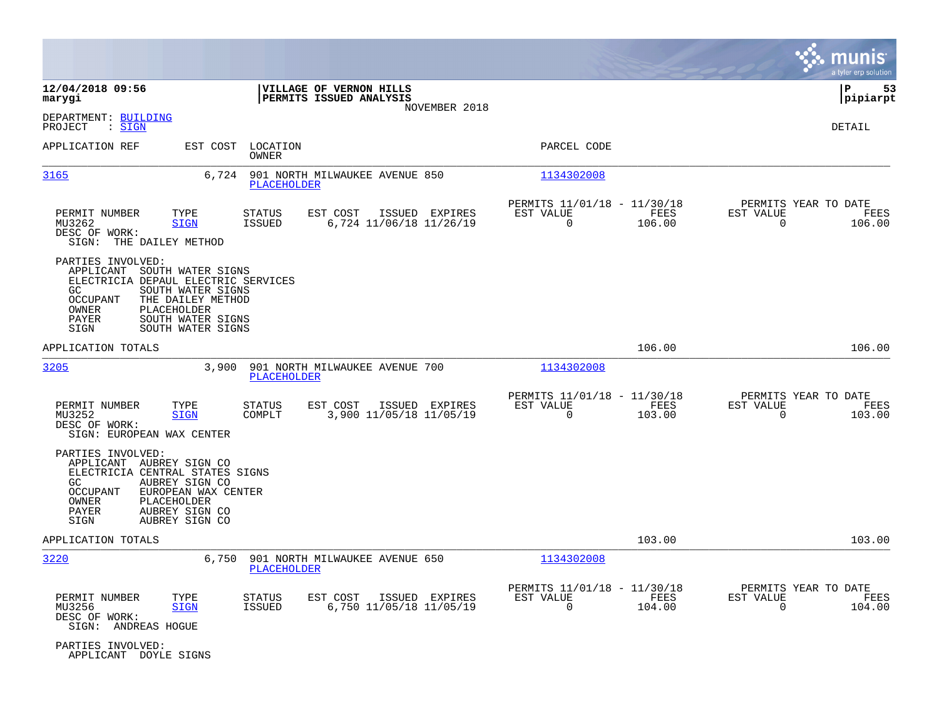|                                                                                                                                                                                                                                                |                                                                                  |                                                                           | munis<br>a tyler erp solution                                      |
|------------------------------------------------------------------------------------------------------------------------------------------------------------------------------------------------------------------------------------------------|----------------------------------------------------------------------------------|---------------------------------------------------------------------------|--------------------------------------------------------------------|
| 12/04/2018 09:56<br>marygi                                                                                                                                                                                                                     | VILLAGE OF VERNON HILLS<br>PERMITS ISSUED ANALYSIS<br>NOVEMBER 2018              |                                                                           | lР<br>53<br> pipiarpt                                              |
| DEPARTMENT: BUILDING<br>: <u>SIGN</u><br>PROJECT                                                                                                                                                                                               |                                                                                  |                                                                           | <b>DETAIL</b>                                                      |
| APPLICATION REF<br>EST COST                                                                                                                                                                                                                    | LOCATION<br>OWNER                                                                | PARCEL CODE                                                               |                                                                    |
| 3165<br>6,724                                                                                                                                                                                                                                  | 901 NORTH MILWAUKEE AVENUE 850<br>PLACEHOLDER                                    | 1134302008                                                                |                                                                    |
| PERMIT NUMBER<br>TYPE<br>MU3262<br><b>SIGN</b><br>DESC OF WORK:<br>SIGN: THE DAILEY METHOD                                                                                                                                                     | STATUS<br>EST COST<br>ISSUED EXPIRES<br>6,724 11/06/18 11/26/19<br>ISSUED        | PERMITS 11/01/18 - 11/30/18<br>EST VALUE<br>FEES<br>$\mathbf 0$<br>106.00 | PERMITS YEAR TO DATE<br>EST VALUE<br>FEES<br>0<br>106.00           |
| PARTIES INVOLVED:<br>APPLICANT SOUTH WATER SIGNS<br>ELECTRICIA DEPAUL ELECTRIC SERVICES<br>GC.<br>SOUTH WATER SIGNS<br><b>OCCUPANT</b><br>THE DAILEY METHOD<br>OWNER<br>PLACEHOLDER<br>SOUTH WATER SIGNS<br>PAYER<br>SOUTH WATER SIGNS<br>SIGN |                                                                                  |                                                                           |                                                                    |
| APPLICATION TOTALS                                                                                                                                                                                                                             |                                                                                  | 106.00                                                                    | 106.00                                                             |
| 3205<br>3,900                                                                                                                                                                                                                                  | 901 NORTH MILWAUKEE AVENUE 700<br>PLACEHOLDER                                    | 1134302008                                                                |                                                                    |
| PERMIT NUMBER<br>TYPE<br>MU3252<br><b>SIGN</b><br>DESC OF WORK:<br>SIGN: EUROPEAN WAX CENTER                                                                                                                                                   | STATUS<br>EST COST<br>ISSUED EXPIRES<br>COMPLT<br>3,900 11/05/18 11/05/19        | PERMITS 11/01/18 - 11/30/18<br>FEES<br>EST VALUE<br>$\mathbf 0$<br>103.00 | PERMITS YEAR TO DATE<br>EST VALUE<br>FEES<br>$\mathbf 0$<br>103.00 |
| PARTIES INVOLVED:<br>APPLICANT AUBREY SIGN CO<br>ELECTRICIA CENTRAL STATES SIGNS<br>GC<br>AUBREY SIGN CO<br><b>OCCUPANT</b><br>EUROPEAN WAX CENTER<br>PLACEHOLDER<br>OWNER<br>PAYER<br>AUBREY SIGN CO<br>AUBREY SIGN CO<br>SIGN                |                                                                                  |                                                                           |                                                                    |
| APPLICATION TOTALS                                                                                                                                                                                                                             |                                                                                  | 103.00                                                                    | 103.00                                                             |
| 3220<br>6,750                                                                                                                                                                                                                                  | 901 NORTH MILWAUKEE AVENUE 650<br>PLACEHOLDER                                    | 1134302008                                                                |                                                                    |
| PERMIT NUMBER<br>TYPE<br>MU3256<br><b>SIGN</b><br>DESC OF WORK:<br>SIGN: ANDREAS HOGUE                                                                                                                                                         | STATUS<br>EST COST<br>ISSUED EXPIRES<br><b>ISSUED</b><br>6,750 11/05/18 11/05/19 | PERMITS 11/01/18 - 11/30/18<br>EST VALUE<br>FEES<br>$\mathbf 0$<br>104.00 | PERMITS YEAR TO DATE<br>EST VALUE<br>FEES<br>$\mathbf 0$<br>104.00 |
| PARTIES INVOLVED:<br>APPLICANT DOYLE SIGNS                                                                                                                                                                                                     |                                                                                  |                                                                           |                                                                    |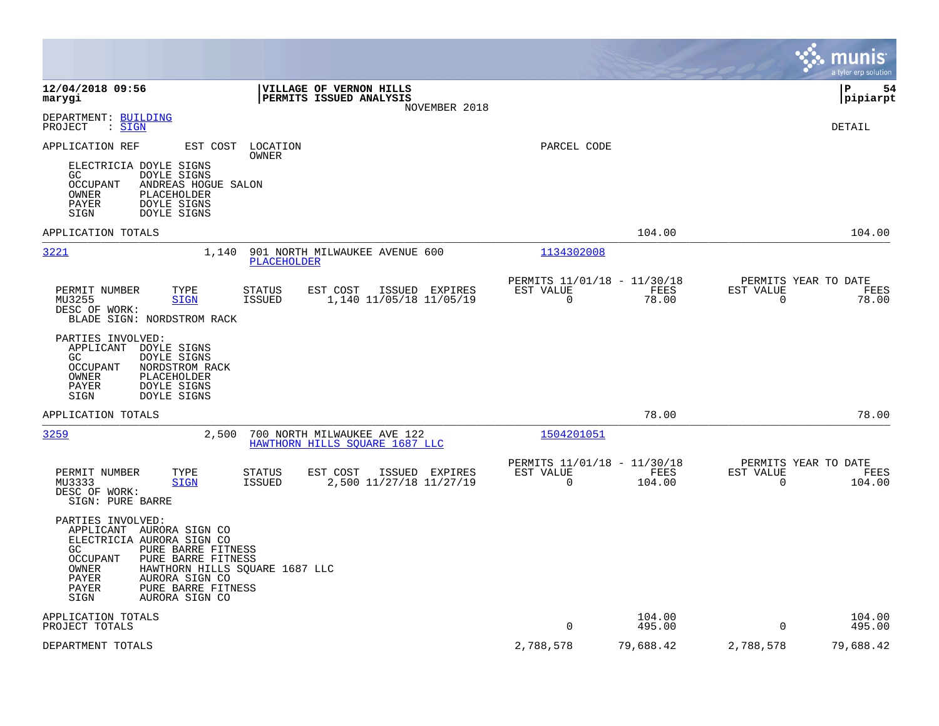|                                                                                                                                                                                                                                                                          |                                                                                   |                                                      |                  |                                                  | munis<br>a tyler erp solution |
|--------------------------------------------------------------------------------------------------------------------------------------------------------------------------------------------------------------------------------------------------------------------------|-----------------------------------------------------------------------------------|------------------------------------------------------|------------------|--------------------------------------------------|-------------------------------|
| 12/04/2018 09:56<br>marygi                                                                                                                                                                                                                                               | <b>VILLAGE OF VERNON HILLS</b><br><b>PERMITS ISSUED ANALYSIS</b><br>NOVEMBER 2018 |                                                      |                  |                                                  | l P<br>54<br> pipiarpt        |
| DEPARTMENT: BUILDING<br>: SIGN<br>PROJECT                                                                                                                                                                                                                                |                                                                                   |                                                      |                  |                                                  | DETAIL                        |
| APPLICATION REF<br>EST COST                                                                                                                                                                                                                                              | LOCATION<br>OWNER                                                                 | PARCEL CODE                                          |                  |                                                  |                               |
| ELECTRICIA DOYLE SIGNS<br><b>DOYLE SIGNS</b><br>GC.<br>OCCUPANT<br>ANDREAS HOGUE SALON<br>OWNER<br>PLACEHOLDER<br>DOYLE SIGNS<br>PAYER<br>SIGN<br><b>DOYLE SIGNS</b>                                                                                                     |                                                                                   |                                                      |                  |                                                  |                               |
| APPLICATION TOTALS                                                                                                                                                                                                                                                       |                                                                                   |                                                      | 104.00           |                                                  | 104.00                        |
| 3221<br>1,140                                                                                                                                                                                                                                                            | 901 NORTH MILWAUKEE AVENUE 600<br>PLACEHOLDER                                     | 1134302008                                           |                  |                                                  |                               |
| PERMIT NUMBER<br>TYPE<br><b>STATUS</b><br>MU3255<br><b>SIGN</b><br><b>ISSUED</b><br>DESC OF WORK:<br>BLADE SIGN: NORDSTROM RACK                                                                                                                                          | EST COST<br>ISSUED EXPIRES<br>1,140 11/05/18 11/05/19                             | PERMITS 11/01/18 - 11/30/18<br>EST VALUE<br>0        | FEES<br>78.00    | PERMITS YEAR TO DATE<br>EST VALUE<br>$\mathbf 0$ | FEES<br>78.00                 |
| PARTIES INVOLVED:<br>APPLICANT<br>DOYLE SIGNS<br>GC.<br>DOYLE SIGNS<br><b>OCCUPANT</b><br>NORDSTROM RACK<br>OWNER<br>PLACEHOLDER<br>PAYER<br>DOYLE SIGNS<br>DOYLE SIGNS<br>SIGN                                                                                          |                                                                                   |                                                      |                  |                                                  |                               |
| APPLICATION TOTALS                                                                                                                                                                                                                                                       |                                                                                   |                                                      | 78.00            |                                                  | 78.00                         |
| 3259<br>2,500                                                                                                                                                                                                                                                            | 700 NORTH MILWAUKEE AVE 122<br>HAWTHORN HILLS SOUARE 1687 LLC                     | 1504201051                                           |                  |                                                  |                               |
| PERMIT NUMBER<br>TYPE<br><b>STATUS</b><br>MU3333<br><b>SIGN</b><br><b>ISSUED</b><br>DESC OF WORK:<br>SIGN: PURE BARRE                                                                                                                                                    | EST COST<br>ISSUED EXPIRES<br>2,500 11/27/18 11/27/19                             | PERMITS 11/01/18 - 11/30/18<br>EST VALUE<br>$\Omega$ | FEES<br>104.00   | PERMITS YEAR TO DATE<br>EST VALUE<br>$\Omega$    | FEES<br>104.00                |
| PARTIES INVOLVED:<br>APPLICANT AURORA SIGN CO<br>ELECTRICIA AURORA SIGN CO<br>GC.<br>PURE BARRE FITNESS<br>PURE BARRE FITNESS<br>OCCUPANT<br>OWNER<br>HAWTHORN HILLS SQUARE 1687 LLC<br>PAYER<br>AURORA SIGN CO<br>PURE BARRE FITNESS<br>PAYER<br>AURORA SIGN CO<br>SIGN |                                                                                   |                                                      |                  |                                                  |                               |
| APPLICATION TOTALS<br>PROJECT TOTALS                                                                                                                                                                                                                                     |                                                                                   | $\Omega$                                             | 104.00<br>495.00 | $\Omega$                                         | 104.00<br>495.00              |
| DEPARTMENT TOTALS                                                                                                                                                                                                                                                        |                                                                                   | 2,788,578                                            | 79,688.42        | 2,788,578                                        | 79,688.42                     |